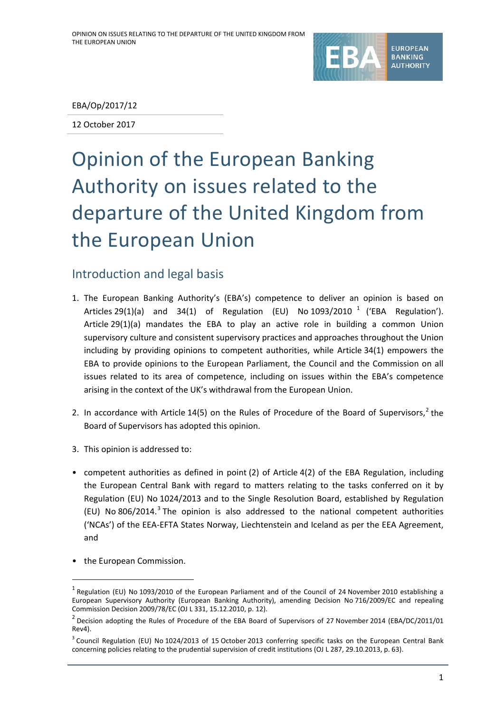

## EBA/Op/2017/12

12 October 2017

# Opinion of the European Banking Authority on issues related to the departure of the United Kingdom from the European Union

# Introduction and legal basis

- 1. The European Banking Authority's (EBA's) competence to deliver an opinion is based on Articles 29([1](#page-0-0))(a) and 34(1) of Regulation (EU) No  $1093/2010^{-1}$  ('EBA Regulation'). Article 29(1)(a) mandates the EBA to play an active role in building a common Union supervisory culture and consistent supervisory practices and approaches throughout the Union including by providing opinions to competent authorities, while Article 34(1) empowers the EBA to provide opinions to the European Parliament, the Council and the Commission on all issues related to its area of competence, including on issues within the EBA's competence arising in the context of the UK's withdrawal from the European Union.
- [2](#page-0-1). In accordance with Article 14(5) on the Rules of Procedure of the Board of Supervisors,<sup>2</sup> the Board of Supervisors has adopted this opinion.
- 3. This opinion is addressed to:
- competent authorities as defined in point (2) of Article 4(2) of the EBA Regulation, including the European Central Bank with regard to matters relating to the tasks conferred on it by Regulation (EU) No 1024/2013 and to the Single Resolution Board, established by Regulation (EU) No 806/2014.<sup>[3](#page-0-2)</sup> The opinion is also addressed to the national competent authorities ('NCAs') of the EEA-EFTA States Norway, Liechtenstein and Iceland as per the EEA Agreement, and
- the European Commission.

<span id="page-0-0"></span> $<sup>1</sup>$  Regulation (EU) No 1093/2010 of the European Parliament and of the Council of 24 November 2010 establishing a</sup> European Supervisory Authority (European Banking Authority), amending Decision No 716/2009/EC and repealing Commission Decision 2009/78/EC (OJ L 331, 15.12.2010, p. 12).

<span id="page-0-1"></span><sup>&</sup>lt;sup>2</sup> Decision adopting the Rules of Procedure of the EBA Board of Supervisors of 27 November 2014 (EBA/DC/2011/01 Rev4).

<span id="page-0-2"></span> $3$  Council Regulation (EU) No 1024/2013 of 15 October 2013 conferring specific tasks on the European Central Bank concerning policies relating to the prudential supervision of credit institutions (OJ L 287, 29.10.2013, p. 63).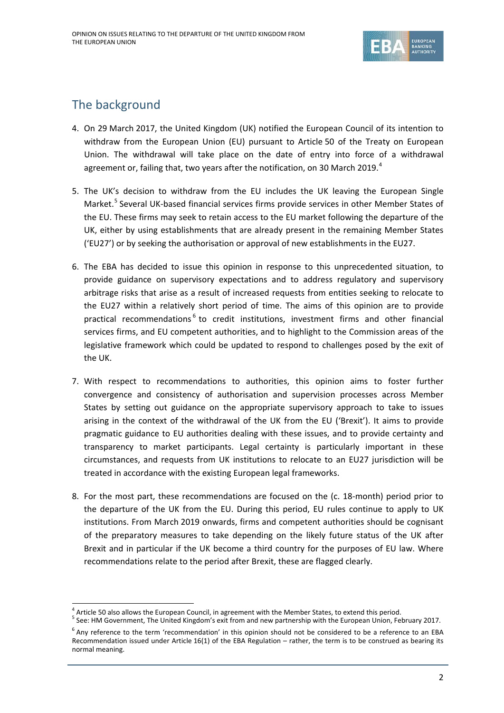

# The background

- 4. On 29 March 2017, the United Kingdom (UK) notified the European Council of its intention to withdraw from the European Union (EU) pursuant to Article 50 of the Treaty on European Union. The withdrawal will take place on the date of entry into force of a withdrawal agreement or, failing that, two years after the notification, on 30 March 2019.<sup>[4](#page-1-0)</sup>
- 5. The UK's decision to withdraw from the EU includes the UK leaving the European Single Market.<sup>[5](#page-1-1)</sup> Several UK-based financial services firms provide services in other Member States of the EU. These firms may seek to retain access to the EU market following the departure of the UK, either by using establishments that are already present in the remaining Member States ('EU27') or by seeking the authorisation or approval of new establishments in the EU27.
- 6. The EBA has decided to issue this opinion in response to this unprecedented situation, to provide guidance on supervisory expectations and to address regulatory and supervisory arbitrage risks that arise as a result of increased requests from entities seeking to relocate to the EU27 within a relatively short period of time. The aims of this opinion are to provide practical recommendations<sup>[6](#page-1-2)</sup> to credit institutions, investment firms and other financial services firms, and EU competent authorities, and to highlight to the Commission areas of the legislative framework which could be updated to respond to challenges posed by the exit of the UK.
- 7. With respect to recommendations to authorities, this opinion aims to foster further convergence and consistency of authorisation and supervision processes across Member States by setting out guidance on the appropriate supervisory approach to take to issues arising in the context of the withdrawal of the UK from the EU ('Brexit'). It aims to provide pragmatic guidance to EU authorities dealing with these issues, and to provide certainty and transparency to market participants. Legal certainty is particularly important in these circumstances, and requests from UK institutions to relocate to an EU27 jurisdiction will be treated in accordance with the existing European legal frameworks.
- 8. For the most part, these recommendations are focused on the (c. 18-month) period prior to the departure of the UK from the EU. During this period, EU rules continue to apply to UK institutions. From March 2019 onwards, firms and competent authorities should be cognisant of the preparatory measures to take depending on the likely future status of the UK after Brexit and in particular if the UK become a third country for the purposes of EU law. Where recommendations relate to the period after Brexit, these are flagged clearly.

<span id="page-1-1"></span><span id="page-1-0"></span><sup>&</sup>lt;sup>4</sup> Article 50 also allows the European Council, in agreement with the Member States, to extend this period.  $5$  See: HM Government, The United Kingdom's exit from and new partnership with the European Union, February 201

<span id="page-1-2"></span> $6$  Any reference to the term 'recommendation' in this opinion should not be considered to be a reference to an EBA Recommendation issued under Article 16(1) of the EBA Regulation – rather, the term is to be construed as bearing its normal meaning.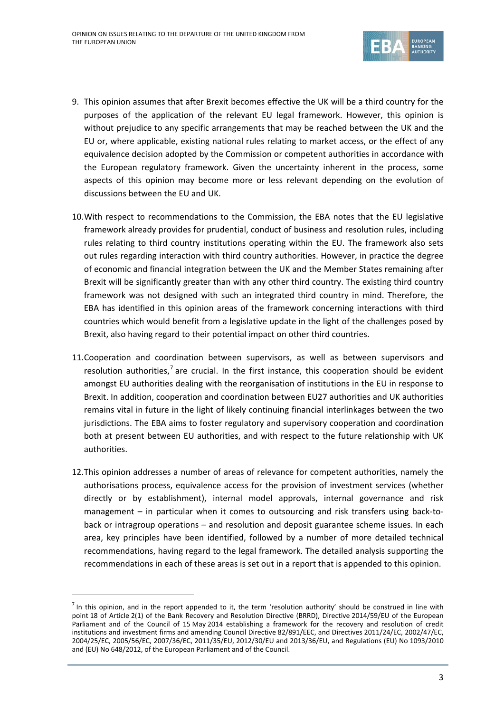

- 9. This opinion assumes that after Brexit becomes effective the UK will be a third country for the purposes of the application of the relevant EU legal framework. However, this opinion is without prejudice to any specific arrangements that may be reached between the UK and the EU or, where applicable, existing national rules relating to market access, or the effect of any equivalence decision adopted by the Commission or competent authorities in accordance with the European regulatory framework. Given the uncertainty inherent in the process, some aspects of this opinion may become more or less relevant depending on the evolution of discussions between the EU and UK.
- 10.With respect to recommendations to the Commission, the EBA notes that the EU legislative framework already provides for prudential, conduct of business and resolution rules, including rules relating to third country institutions operating within the EU. The framework also sets out rules regarding interaction with third country authorities. However, in practice the degree of economic and financial integration between the UK and the Member States remaining after Brexit will be significantly greater than with any other third country. The existing third country framework was not designed with such an integrated third country in mind. Therefore, the EBA has identified in this opinion areas of the framework concerning interactions with third countries which would benefit from a legislative update in the light of the challenges posed by Brexit, also having regard to their potential impact on other third countries.
- 11.Cooperation and coordination between supervisors, as well as between supervisors and resolution authorities,<sup>[7](#page-2-0)</sup> are crucial. In the first instance, this cooperation should be evident amongst EU authorities dealing with the reorganisation of institutions in the EU in response to Brexit. In addition, cooperation and coordination between EU27 authorities and UK authorities remains vital in future in the light of likely continuing financial interlinkages between the two jurisdictions. The EBA aims to foster regulatory and supervisory cooperation and coordination both at present between EU authorities, and with respect to the future relationship with UK authorities.
- 12.This opinion addresses a number of areas of relevance for competent authorities, namely the authorisations process, equivalence access for the provision of investment services (whether directly or by establishment), internal model approvals, internal governance and risk management – in particular when it comes to outsourcing and risk transfers using back-toback or intragroup operations – and resolution and deposit guarantee scheme issues. In each area, key principles have been identified, followed by a number of more detailed technical recommendations, having regard to the legal framework. The detailed analysis supporting the recommendations in each of these areas is set out in a report that is appended to this opinion.

<span id="page-2-0"></span> $<sup>7</sup>$  In this opinion, and in the report appended to it, the term 'resolution authority' should be construed in line with</sup> point 18 of Article 2(1) of the Bank Recovery and Resolution Directive (BRRD), Directive 2014/59/EU of the European Parliament and of the Council of 15 May 2014 establishing a framework for the recovery and resolution of credit institutions and investment firms and amending Council Directive 82/891/EEC, and Directives 2011/24/EC, 2002/47/EC, 2004/25/EC, 2005/56/EC, 2007/36/EC, 2011/35/EU, 2012/30/EU and 2013/36/EU, and Regulations (EU) No 1093/2010 and (EU) No 648/2012, of the European Parliament and of the Council.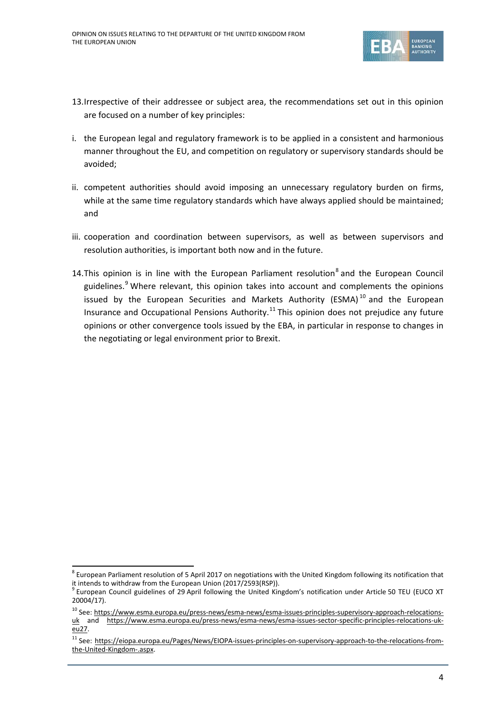

- 13.Irrespective of their addressee or subject area, the recommendations set out in this opinion are focused on a number of key principles:
- i. the European legal and regulatory framework is to be applied in a consistent and harmonious manner throughout the EU, and competition on regulatory or supervisory standards should be avoided;
- ii. competent authorities should avoid imposing an unnecessary regulatory burden on firms, while at the same time regulatory standards which have always applied should be maintained; and
- iii. cooperation and coordination between supervisors, as well as between supervisors and resolution authorities, is important both now and in the future.
- 14. This opinion is in line with the European Parliament resolution<sup>[8](#page-3-0)</sup> and the European Council guidelines.<sup>[9](#page-3-1)</sup> Where relevant, this opinion takes into account and complements the opinions issued by the European Securities and Markets Authority (ESMA) $^{10}$  $^{10}$  $^{10}$  and the European Insurance and Occupational Pensions Authority.<sup>[11](#page-3-3)</sup> This opinion does not prejudice any future opinions or other convergence tools issued by the EBA, in particular in response to changes in the negotiating or legal environment prior to Brexit.

<span id="page-3-0"></span><sup>&</sup>lt;sup>8</sup> European Parliament resolution of 5 April 2017 on negotiations with the United Kingdom following its notification that it intends to withdraw from the European Union (2017/2593(RSP)).<br><sup>9</sup> European Council guidelines of 29 April following the United Kingdom's notification under Article 50 TEU (EUCO XT

<span id="page-3-1"></span><sup>20004/17).</sup>

<span id="page-3-2"></span><sup>&</sup>lt;sup>10</sup> See: [https://www.esma.europa.eu/press-news/esma-news/esma-issues-principles-supervisory-approach-relocations](https://www.esma.europa.eu/press-news/esma-news/esma-issues-principles-supervisory-approach-relocations-uk)[uk](https://www.esma.europa.eu/press-news/esma-news/esma-issues-principles-supervisory-approach-relocations-uk) and [https://www.esma.europa.eu/press-news/esma-news/esma-issues-sector-specific-principles-relocations-uk](https://www.esma.europa.eu/press-news/esma-news/esma-issues-sector-specific-principles-relocations-uk-eu27)[eu27.](https://www.esma.europa.eu/press-news/esma-news/esma-issues-sector-specific-principles-relocations-uk-eu27)

<span id="page-3-3"></span><sup>&</sup>lt;sup>11</sup> See: [https://eiopa.europa.eu/Pages/News/EIOPA-issues-principles-on-supervisory-approach-to-the-relocations-from](https://eiopa.europa.eu/Pages/News/EIOPA-issues-principles-on-supervisory-approach-to-the-relocations-from-the-United-Kingdom-.aspx)[the-United-Kingdom-.aspx.](https://eiopa.europa.eu/Pages/News/EIOPA-issues-principles-on-supervisory-approach-to-the-relocations-from-the-United-Kingdom-.aspx)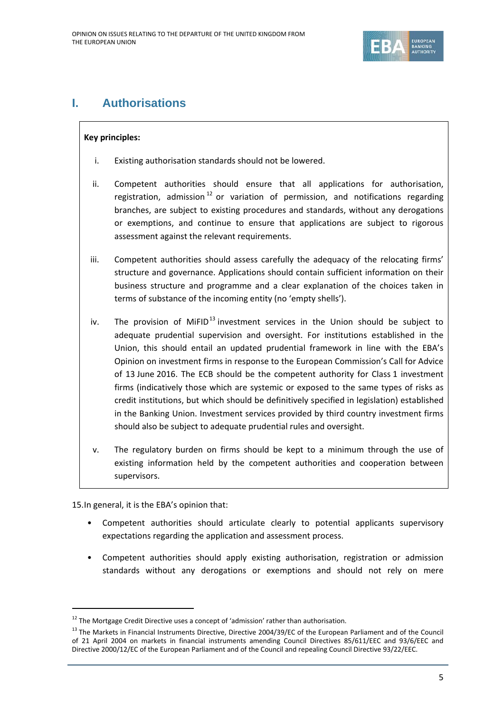

# **I. Authorisations**

## **Key principles:**

- i. Existing authorisation standards should not be lowered.
- ii. Competent authorities should ensure that all applications for authorisation, registration, admission<sup>[12](#page-4-0)</sup> or variation of permission, and notifications regarding branches, are subject to existing procedures and standards, without any derogations or exemptions, and continue to ensure that applications are subject to rigorous assessment against the relevant requirements.
- iii. Competent authorities should assess carefully the adequacy of the relocating firms' structure and governance. Applications should contain sufficient information on their business structure and programme and a clear explanation of the choices taken in terms of substance of the incoming entity (no 'empty shells').
- iv. The provision of MiFID<sup>[13](#page-4-1)</sup> investment services in the Union should be subject to adequate prudential supervision and oversight. For institutions established in the Union, this should entail an updated prudential framework in line with the EBA's Opinion on investment firms in response to the European Commission's Call for Advice of 13 June 2016. The ECB should be the competent authority for Class 1 investment firms (indicatively those which are systemic or exposed to the same types of risks as credit institutions, but which should be definitively specified in legislation) established in the Banking Union. Investment services provided by third country investment firms should also be subject to adequate prudential rules and oversight.
- v. The regulatory burden on firms should be kept to a minimum through the use of existing information held by the competent authorities and cooperation between supervisors.

15.In general, it is the EBA's opinion that:

- Competent authorities should articulate clearly to potential applicants supervisory expectations regarding the application and assessment process.
- Competent authorities should apply existing authorisation, registration or admission standards without any derogations or exemptions and should not rely on mere

<span id="page-4-0"></span> $12$  The Mortgage Credit Directive uses a concept of 'admission' rather than authorisation.

<span id="page-4-1"></span><sup>&</sup>lt;sup>13</sup> The Markets in Financial Instruments Directive, Directive 2004/39/EC of the European Parliament and of the Council of 21 April 2004 on markets in financial instruments amending Council Directives 85/611/EEC and 93/6/EEC and Directive 2000/12/EC of the European Parliament and of the Council and repealing Council Directive 93/22/EEC.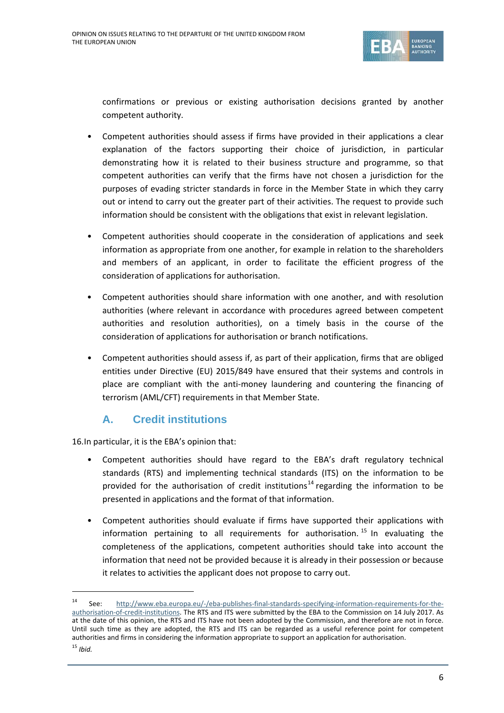

confirmations or previous or existing authorisation decisions granted by another competent authority.

- Competent authorities should assess if firms have provided in their applications a clear explanation of the factors supporting their choice of jurisdiction, in particular demonstrating how it is related to their business structure and programme, so that competent authorities can verify that the firms have not chosen a jurisdiction for the purposes of evading stricter standards in force in the Member State in which they carry out or intend to carry out the greater part of their activities. The request to provide such information should be consistent with the obligations that exist in relevant legislation.
- Competent authorities should cooperate in the consideration of applications and seek information as appropriate from one another, for example in relation to the shareholders and members of an applicant, in order to facilitate the efficient progress of the consideration of applications for authorisation.
- Competent authorities should share information with one another, and with resolution authorities (where relevant in accordance with procedures agreed between competent authorities and resolution authorities), on a timely basis in the course of the consideration of applications for authorisation or branch notifications.
- Competent authorities should assess if, as part of their application, firms that are obliged entities under Directive (EU) 2015/849 have ensured that their systems and controls in place are compliant with the anti-money laundering and countering the financing of terrorism (AML/CFT) requirements in that Member State.

# **A. Credit institutions**

16.In particular, it is the EBA's opinion that:

- Competent authorities should have regard to the EBA's draft regulatory technical standards (RTS) and implementing technical standards (ITS) on the information to be provided for the authorisation of credit institutions<sup>[14](#page-5-0)</sup> regarding the information to be presented in applications and the format of that information.
- Competent authorities should evaluate if firms have supported their applications with information pertaining to all requirements for authorisation.<sup>[15](#page-5-1)</sup> In evaluating the completeness of the applications, competent authorities should take into account the information that need not be provided because it is already in their possession or because it relates to activities the applicant does not propose to carry out.

<span id="page-5-1"></span><span id="page-5-0"></span> <sup>14</sup> See: [http://www.eba.europa.eu/-/eba-publishes-final-standards-specifying-information-requirements-for-the](http://www.eba.europa.eu/-/eba-publishes-final-standards-specifying-information-requirements-for-the-authorisation-of-credit-institutions)[authorisation-of-credit-institutions.](http://www.eba.europa.eu/-/eba-publishes-final-standards-specifying-information-requirements-for-the-authorisation-of-credit-institutions) The RTS and ITS were submitted by the EBA to the Commission on 14 July 2017. As at the date of this opinion, the RTS and ITS have not been adopted by the Commission, and therefore are not in force. Until such time as they are adopted, the RTS and ITS can be regarded as a useful reference point for competent authorities and firms in considering the information appropriate to support an application for authorisation.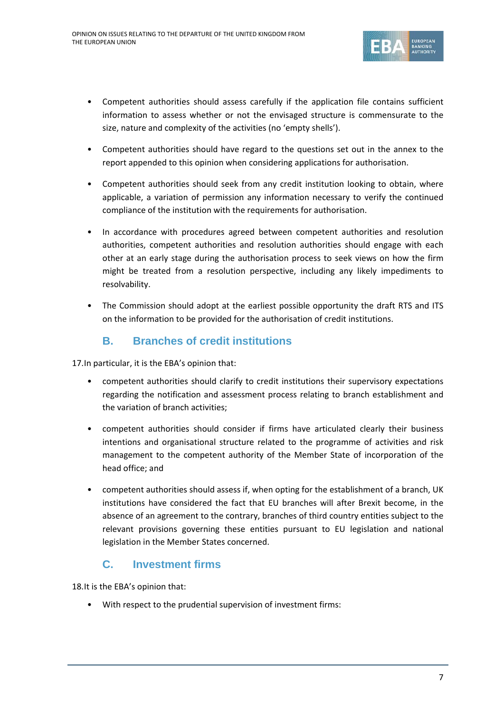

- Competent authorities should assess carefully if the application file contains sufficient information to assess whether or not the envisaged structure is commensurate to the size, nature and complexity of the activities (no 'empty shells').
- Competent authorities should have regard to the questions set out in the annex to the report appended to this opinion when considering applications for authorisation.
- Competent authorities should seek from any credit institution looking to obtain, where applicable, a variation of permission any information necessary to verify the continued compliance of the institution with the requirements for authorisation.
- In accordance with procedures agreed between competent authorities and resolution authorities, competent authorities and resolution authorities should engage with each other at an early stage during the authorisation process to seek views on how the firm might be treated from a resolution perspective, including any likely impediments to resolvability.
- The Commission should adopt at the earliest possible opportunity the draft RTS and ITS on the information to be provided for the authorisation of credit institutions.

# **B. Branches of credit institutions**

17.In particular, it is the EBA's opinion that:

- competent authorities should clarify to credit institutions their supervisory expectations regarding the notification and assessment process relating to branch establishment and the variation of branch activities;
- competent authorities should consider if firms have articulated clearly their business intentions and organisational structure related to the programme of activities and risk management to the competent authority of the Member State of incorporation of the head office; and
- competent authorities should assess if, when opting for the establishment of a branch, UK institutions have considered the fact that EU branches will after Brexit become, in the absence of an agreement to the contrary, branches of third country entities subject to the relevant provisions governing these entities pursuant to EU legislation and national legislation in the Member States concerned.

# **C. Investment firms**

18.It is the EBA's opinion that:

• With respect to the prudential supervision of investment firms: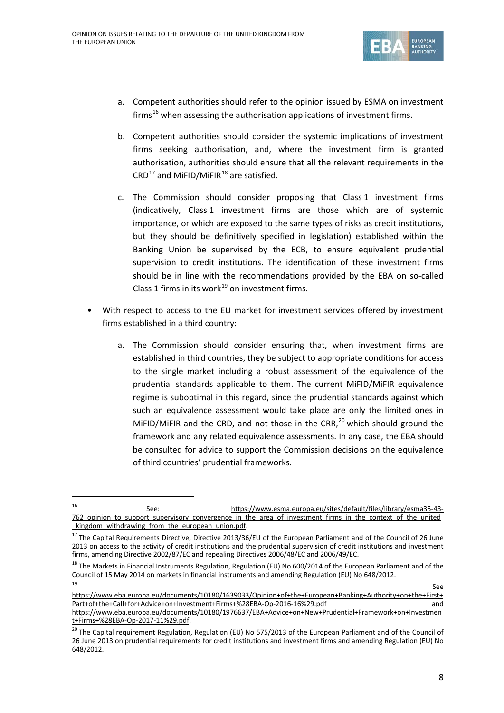

- a. Competent authorities should refer to the opinion issued by ESMA on investment firms<sup>[16](#page-7-0)</sup> when assessing the authorisation applications of investment firms.
- b. Competent authorities should consider the systemic implications of investment firms seeking authorisation, and, where the investment firm is granted authorisation, authorities should ensure that all the relevant requirements in the  $CRD<sup>17</sup>$  $CRD<sup>17</sup>$  $CRD<sup>17</sup>$  and MiFID/MiFIR<sup>[18](#page-7-2)</sup> are satisfied.
- c. The Commission should consider proposing that Class 1 investment firms (indicatively, Class 1 investment firms are those which are of systemic importance, or which are exposed to the same types of risks as credit institutions, but they should be definitively specified in legislation) established within the Banking Union be supervised by the ECB, to ensure equivalent prudential supervision to credit institutions. The identification of these investment firms should be in line with the recommendations provided by the EBA on so-called Class 1 firms in its work $^{19}$  $^{19}$  $^{19}$  on investment firms.
- With respect to access to the EU market for investment services offered by investment firms established in a third country:
	- a. The Commission should consider ensuring that, when investment firms are established in third countries, they be subject to appropriate conditions for access to the single market including a robust assessment of the equivalence of the prudential standards applicable to them. The current MiFID/MiFIR equivalence regime is suboptimal in this regard, since the prudential standards against which such an equivalence assessment would take place are only the limited ones in MiFID/MiFIR and the CRD, and not those in the CRR, $^{20}$  $^{20}$  $^{20}$  which should ground the framework and any related equivalence assessments. In any case, the EBA should be consulted for advice to support the Commission decisions on the equivalence of third countries' prudential frameworks.

<span id="page-7-0"></span> <sup>16</sup> See: [https://www.esma.europa.eu/sites/default/files/library/esma35-43-](https://www.esma.europa.eu/sites/default/files/library/esma35-43-762_opinion_to_support_supervisory_convergence_in_the_area_of_investment_firms_in_the_context_of_the_united_kingdom_withdrawing_from_the_european_union.pdf) 762 opinion to support supervisory convergence in the area of investment firms in the context of the united kingdom withdrawing from the european union.pdf.

<span id="page-7-1"></span> $17$  The Capital Requirements Directive, Directive 2013/36/EU of the European Parliament and of the Council of 26 June 2013 on access to the activity of credit institutions and the prudential supervision of credit institutions and investment firms, amending Directive 2002/87/EC and repealing Directives 2006/48/EC and 2006/49/EC.

<span id="page-7-2"></span><sup>&</sup>lt;sup>18</sup> The Markets in Financial Instruments Regulation, Regulation (EU) No 600/2014 of the European Parliament and of the Council of 15 May 2014 on markets in financial instruments and amending Regulation (EU) No 648/2012.

<span id="page-7-3"></span><sup>19</sup> See [https://www.eba.europa.eu/documents/10180/1639033/Opinion+of+the+European+Banking+Authority+on+the+First+](https://www.eba.europa.eu/documents/10180/1639033/Opinion+of+the+European+Banking+Authority+on+the+First+Part+of+the+Call+for+Advice+on+Investment+Firms+%28EBA-Op-2016-16%29.pdf) [Part+of+the+Call+for+Advice+on+Investment+Firms+%28EBA-Op-2016-16%29.pdf](https://www.eba.europa.eu/documents/10180/1639033/Opinion+of+the+European+Banking+Authority+on+the+First+Part+of+the+Call+for+Advice+on+Investment+Firms+%28EBA-Op-2016-16%29.pdf) and [https://www.eba.europa.eu/documents/10180/1976637/EBA+Advice+on+New+Prudential+Framework+on+Investmen](https://www.eba.europa.eu/documents/10180/1976637/EBA+Advice+on+New+Prudential+Framework+on+Investment+Firms+%28EBA-Op-2017-11%29.pdf) [t+Firms+%28EBA-Op-2017-11%29.pdf.](https://www.eba.europa.eu/documents/10180/1976637/EBA+Advice+on+New+Prudential+Framework+on+Investment+Firms+%28EBA-Op-2017-11%29.pdf)

<span id="page-7-4"></span><sup>&</sup>lt;sup>20</sup> The Capital requirement Regulation, Regulation (EU) No 575/2013 of the European Parliament and of the Council of 26 June 2013 on prudential requirements for credit institutions and investment firms and amending Regulation (EU) No 648/2012.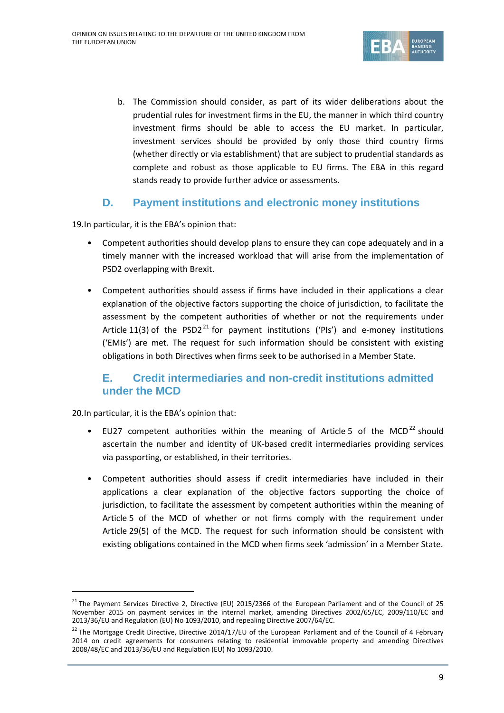

b. The Commission should consider, as part of its wider deliberations about the prudential rules for investment firms in the EU, the manner in which third country investment firms should be able to access the EU market. In particular, investment services should be provided by only those third country firms (whether directly or via establishment) that are subject to prudential standards as complete and robust as those applicable to EU firms. The EBA in this regard stands ready to provide further advice or assessments.

# **D. Payment institutions and electronic money institutions**

19.In particular, it is the EBA's opinion that:

- Competent authorities should develop plans to ensure they can cope adequately and in a timely manner with the increased workload that will arise from the implementation of PSD2 overlapping with Brexit.
- Competent authorities should assess if firms have included in their applications a clear explanation of the objective factors supporting the choice of jurisdiction, to facilitate the assessment by the competent authorities of whether or not the requirements under Article 11(3) of the PSD2<sup>[21](#page-8-0)</sup> for payment institutions ('PIs') and e-money institutions ('EMIs') are met. The request for such information should be consistent with existing obligations in both Directives when firms seek to be authorised in a Member State.

# **E. Credit intermediaries and non-credit institutions admitted under the MCD**

20.In particular, it is the EBA's opinion that:

- EU27 competent authorities within the meaning of Article 5 of the MCD<sup>[22](#page-8-1)</sup> should ascertain the number and identity of UK-based credit intermediaries providing services via passporting, or established, in their territories.
- Competent authorities should assess if credit intermediaries have included in their applications a clear explanation of the objective factors supporting the choice of jurisdiction, to facilitate the assessment by competent authorities within the meaning of Article 5 of the MCD of whether or not firms comply with the requirement under Article 29(5) of the MCD. The request for such information should be consistent with existing obligations contained in the MCD when firms seek 'admission' in a Member State.

<span id="page-8-0"></span> $^{21}$  The Payment Services Directive 2, Directive (EU) 2015/2366 of the European Parliament and of the Council of 25 November 2015 on payment services in the internal market, amending Directives 2002/65/EC, 2009/110/EC and 2013/36/EU and Regulation (EU) No 1093/2010, and repealing Directive 2007/64/EC.

<span id="page-8-1"></span><sup>&</sup>lt;sup>22</sup> The Mortgage Credit Directive, Directive 2014/17/EU of the European Parliament and of the Council of 4 February 2014 on credit agreements for consumers relating to residential immovable property and amending Directives 2008/48/EC and 2013/36/EU and Regulation (EU) No 1093/2010.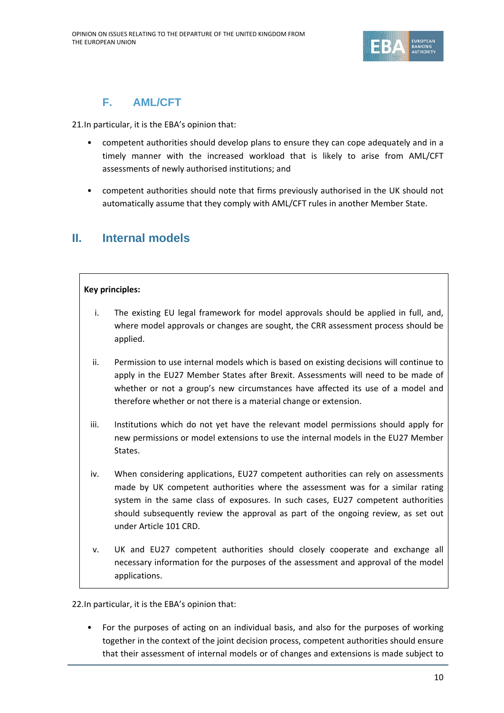

# **F. AML/CFT**

21.In particular, it is the EBA's opinion that:

- competent authorities should develop plans to ensure they can cope adequately and in a timely manner with the increased workload that is likely to arise from AML/CFT assessments of newly authorised institutions; and
- competent authorities should note that firms previously authorised in the UK should not automatically assume that they comply with AML/CFT rules in another Member State.

# **II. Internal models**

## **Key principles:**

- i. The existing EU legal framework for model approvals should be applied in full, and, where model approvals or changes are sought, the CRR assessment process should be applied.
- ii. Permission to use internal models which is based on existing decisions will continue to apply in the EU27 Member States after Brexit. Assessments will need to be made of whether or not a group's new circumstances have affected its use of a model and therefore whether or not there is a material change or extension.
- iii. Institutions which do not yet have the relevant model permissions should apply for new permissions or model extensions to use the internal models in the EU27 Member States.
- iv. When considering applications, EU27 competent authorities can rely on assessments made by UK competent authorities where the assessment was for a similar rating system in the same class of exposures. In such cases, EU27 competent authorities should subsequently review the approval as part of the ongoing review, as set out under Article 101 CRD.
- v. UK and EU27 competent authorities should closely cooperate and exchange all necessary information for the purposes of the assessment and approval of the model applications.

22.In particular, it is the EBA's opinion that:

• For the purposes of acting on an individual basis, and also for the purposes of working together in the context of the joint decision process, competent authorities should ensure that their assessment of internal models or of changes and extensions is made subject to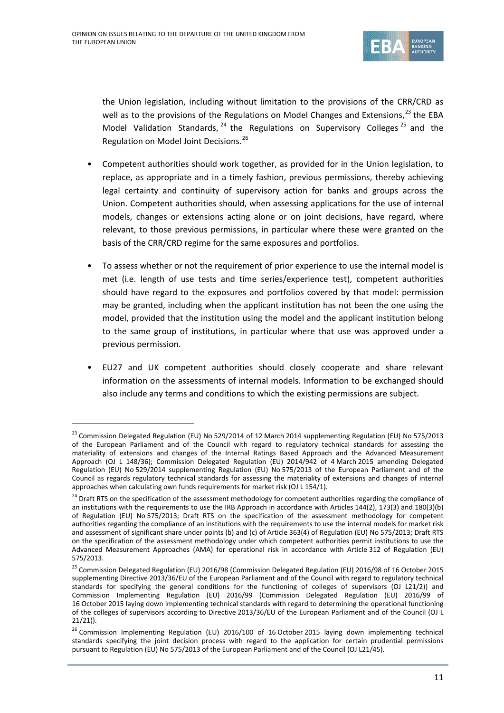

the Union legislation, including without limitation to the provisions of the CRR/CRD as well as to the provisions of the Regulations on Model Changes and Extensions,<sup>[23](#page-10-0)</sup> the EBA Model Validation Standards,  $24$  the Regulations on Supervisory Colleges  $25$  and the Regulation on Model Joint Decisions. [26](#page-10-3)

- Competent authorities should work together, as provided for in the Union legislation, to replace, as appropriate and in a timely fashion, previous permissions, thereby achieving legal certainty and continuity of supervisory action for banks and groups across the Union. Competent authorities should, when assessing applications for the use of internal models, changes or extensions acting alone or on joint decisions, have regard, where relevant, to those previous permissions, in particular where these were granted on the basis of the CRR/CRD regime for the same exposures and portfolios.
- To assess whether or not the requirement of prior experience to use the internal model is met (i.e. length of use tests and time series/experience test), competent authorities should have regard to the exposures and portfolios covered by that model: permission may be granted, including when the applicant institution has not been the one using the model, provided that the institution using the model and the applicant institution belong to the same group of institutions, in particular where that use was approved under a previous permission.
- EU27 and UK competent authorities should closely cooperate and share relevant information on the assessments of internal models. Information to be exchanged should also include any terms and conditions to which the existing permissions are subject.

<span id="page-10-0"></span><sup>&</sup>lt;sup>23</sup> Commission Delegated Regulation (EU) No 529/2014 of 12 March 2014 supplementing Regulation (EU) No 575/2013 of the European Parliament and of the Council with regard to regulatory technical standards for assessing the materiality of extensions and changes of the Internal Ratings Based Approach and the Advanced Measurement Approach (OJ L 148/36); Commission Delegated Regulation (EU) 2014/942 of 4 March 2015 amending Delegated Regulation (EU) No 529/2014 supplementing Regulation (EU) No 575/2013 of the European Parliament and of the Council as regards regulatory technical standards for assessing the materiality of extensions and changes of internal approaches when calculating own funds requirements for market risk (OJ L 154/1).

<span id="page-10-1"></span><sup>&</sup>lt;sup>24</sup> Draft RTS on the specification of the assessment methodology for competent authorities regarding the compliance of an institutions with the requirements to use the IRB Approach in accordance with Articles 144(2), 173(3) and 180(3)(b) of Regulation (EU) No 575/2013; Draft RTS on the specification of the assessment methodology for competent authorities regarding the compliance of an institutions with the requirements to use the internal models for market risk and assessment of significant share under points (b) and (c) of Article 363(4) of Regulation (EU) No 575/2013; Draft RTS on the specification of the assessment methodology under which competent authorities permit institutions to use the Advanced Measurement Approaches (AMA) for operational risk in accordance with Article 312 of Regulation (EU) 575/2013.

<span id="page-10-2"></span><sup>&</sup>lt;sup>25</sup> Commission Delegated Regulation (EU) 2016/98 (Commission Delegated Regulation (EU) 2016/98 of 16 October 2015 supplementing Directive 2013/36/EU of the European Parliament and of the Council with regard to regulatory technical standards for specifying the general conditions for the functioning of colleges of supervisors (OJ L21/2)) and Commission Implementing Regulation (EU) 2016/99 (Commission Delegated Regulation (EU) 2016/99 of 16 October 2015 laying down implementing technical standards with regard to determining the operational functioning of the colleges of supervisors according to Directive 2013/36/EU of the European Parliament and of the Council (OJ L 21/21)).

<span id="page-10-3"></span><sup>&</sup>lt;sup>26</sup> Commission Implementing Regulation (EU) 2016/100 of 16 October 2015 laying down implementing technical standards specifying the joint decision process with regard to the application for certain prudential permissions pursuant to Regulation (EU) No 575/2013 of the European Parliament and of the Council (OJ L21/45).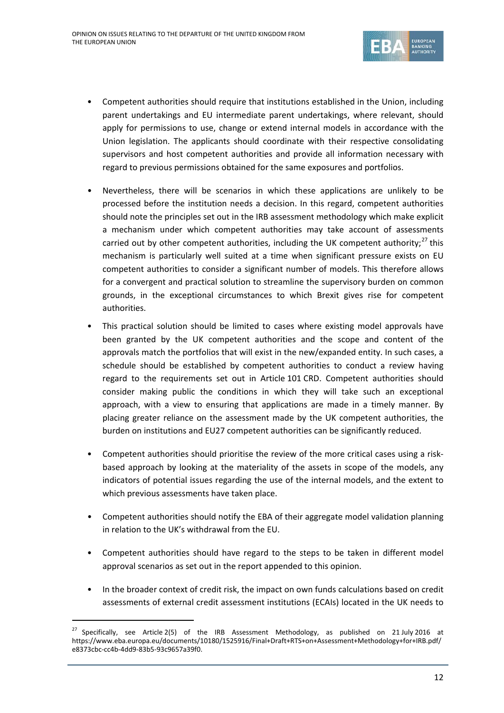

- Competent authorities should require that institutions established in the Union, including parent undertakings and EU intermediate parent undertakings, where relevant, should apply for permissions to use, change or extend internal models in accordance with the Union legislation. The applicants should coordinate with their respective consolidating supervisors and host competent authorities and provide all information necessary with regard to previous permissions obtained for the same exposures and portfolios.
- Nevertheless, there will be scenarios in which these applications are unlikely to be processed before the institution needs a decision. In this regard, competent authorities should note the principles set out in the IRB assessment methodology which make explicit a mechanism under which competent authorities may take account of assessments carried out by other competent authorities, including the UK competent authority; $^{27}$  $^{27}$  $^{27}$  this mechanism is particularly well suited at a time when significant pressure exists on EU competent authorities to consider a significant number of models. This therefore allows for a convergent and practical solution to streamline the supervisory burden on common grounds, in the exceptional circumstances to which Brexit gives rise for competent authorities.
- This practical solution should be limited to cases where existing model approvals have been granted by the UK competent authorities and the scope and content of the approvals match the portfolios that will exist in the new/expanded entity. In such cases, a schedule should be established by competent authorities to conduct a review having regard to the requirements set out in Article 101 CRD. Competent authorities should consider making public the conditions in which they will take such an exceptional approach, with a view to ensuring that applications are made in a timely manner. By placing greater reliance on the assessment made by the UK competent authorities, the burden on institutions and EU27 competent authorities can be significantly reduced.
- Competent authorities should prioritise the review of the more critical cases using a riskbased approach by looking at the materiality of the assets in scope of the models, any indicators of potential issues regarding the use of the internal models, and the extent to which previous assessments have taken place.
- Competent authorities should notify the EBA of their aggregate model validation planning in relation to the UK's withdrawal from the EU.
- Competent authorities should have regard to the steps to be taken in different model approval scenarios as set out in the report appended to this opinion.
- In the broader context of credit risk, the impact on own funds calculations based on credit assessments of external credit assessment institutions (ECAIs) located in the UK needs to

<span id="page-11-0"></span> <sup>27</sup> Specifically, see Article 2(5) of the IRB Assessment Methodology, as published on <sup>21</sup> July <sup>2016</sup> at https://www.eba.europa.eu/documents/10180/1525916/Final+Draft+RTS+on+Assessment+Methodology+for+IRB.pdf/ e8373cbc-cc4b-4dd9-83b5-93c9657a39f0.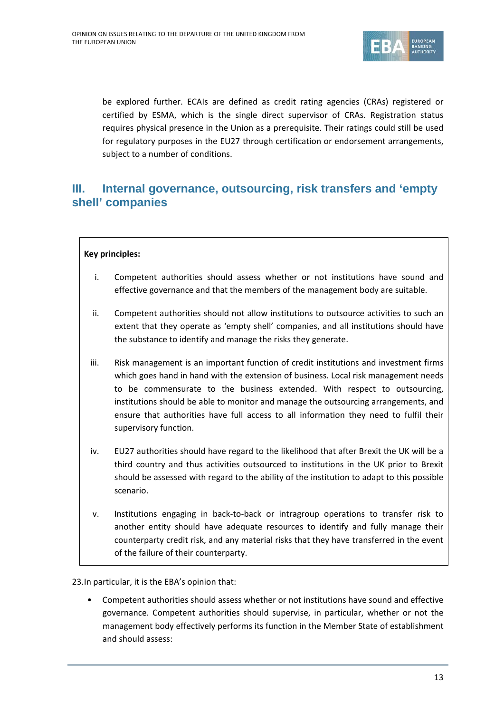

be explored further. ECAIs are defined as credit rating agencies (CRAs) registered or certified by ESMA, which is the single direct supervisor of CRAs. Registration status requires physical presence in the Union as a prerequisite. Their ratings could still be used for regulatory purposes in the EU27 through certification or endorsement arrangements, subject to a number of conditions.

# **III. Internal governance, outsourcing, risk transfers and 'empty shell' companies**

## **Key principles:**

- i. Competent authorities should assess whether or not institutions have sound and effective governance and that the members of the management body are suitable.
- ii. Competent authorities should not allow institutions to outsource activities to such an extent that they operate as 'empty shell' companies, and all institutions should have the substance to identify and manage the risks they generate.
- iii. Risk management is an important function of credit institutions and investment firms which goes hand in hand with the extension of business. Local risk management needs to be commensurate to the business extended. With respect to outsourcing, institutions should be able to monitor and manage the outsourcing arrangements, and ensure that authorities have full access to all information they need to fulfil their supervisory function.
- iv. EU27 authorities should have regard to the likelihood that after Brexit the UK will be a third country and thus activities outsourced to institutions in the UK prior to Brexit should be assessed with regard to the ability of the institution to adapt to this possible scenario.
- v. Institutions engaging in back-to-back or intragroup operations to transfer risk to another entity should have adequate resources to identify and fully manage their counterparty credit risk, and any material risks that they have transferred in the event of the failure of their counterparty.

23.In particular, it is the EBA's opinion that:

• Competent authorities should assess whether or not institutions have sound and effective governance. Competent authorities should supervise, in particular, whether or not the management body effectively performs its function in the Member State of establishment and should assess: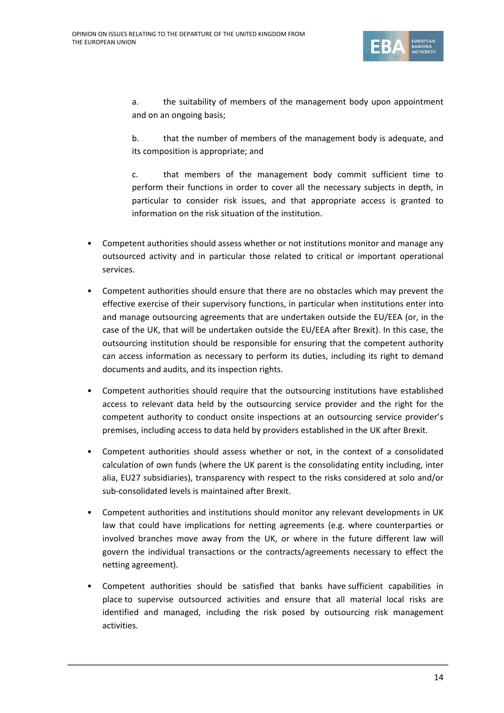

a. the suitability of members of the management body upon appointment and on an ongoing basis;

b. that the number of members of the management body is adequate, and its composition is appropriate; and

c. that members of the management body commit sufficient time to perform their functions in order to cover all the necessary subjects in depth, in particular to consider risk issues, and that appropriate access is granted to information on the risk situation of the institution.

- Competent authorities should assess whether or not institutions monitor and manage any outsourced activity and in particular those related to critical or important operational services.
- Competent authorities should ensure that there are no obstacles which may prevent the effective exercise of their supervisory functions, in particular when institutions enter into and manage outsourcing agreements that are undertaken outside the EU/EEA (or, in the case of the UK, that will be undertaken outside the EU/EEA after Brexit). In this case, the outsourcing institution should be responsible for ensuring that the competent authority can access information as necessary to perform its duties, including its right to demand documents and audits, and its inspection rights.
- Competent authorities should require that the outsourcing institutions have established access to relevant data held by the outsourcing service provider and the right for the competent authority to conduct onsite inspections at an outsourcing service provider's premises, including access to data held by providers established in the UK after Brexit.
- Competent authorities should assess whether or not, in the context of a consolidated calculation of own funds (where the UK parent is the consolidating entity including, inter alia, EU27 subsidiaries), transparency with respect to the risks considered at solo and/or sub-consolidated levels is maintained after Brexit.
- Competent authorities and institutions should monitor any relevant developments in UK law that could have implications for netting agreements (e.g. where counterparties or involved branches move away from the UK, or where in the future different law will govern the individual transactions or the contracts/agreements necessary to effect the netting agreement).
- Competent authorities should be satisfied that banks have sufficient capabilities in place to supervise outsourced activities and ensure that all material local risks are identified and managed, including the risk posed by outsourcing risk management activities.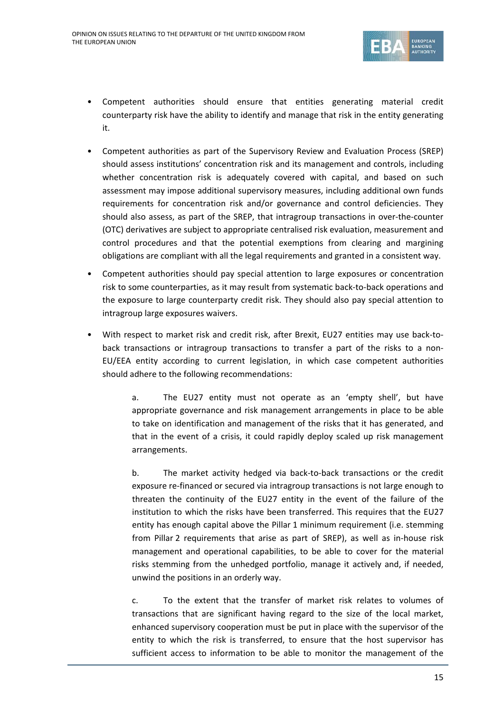

- Competent authorities should ensure that entities generating material credit counterparty risk have the ability to identify and manage that risk in the entity generating it.
- Competent authorities as part of the Supervisory Review and Evaluation Process (SREP) should assess institutions' concentration risk and its management and controls, including whether concentration risk is adequately covered with capital, and based on such assessment may impose additional supervisory measures, including additional own funds requirements for concentration risk and/or governance and control deficiencies. They should also assess, as part of the SREP, that intragroup transactions in over-the-counter (OTC) derivatives are subject to appropriate centralised risk evaluation, measurement and control procedures and that the potential exemptions from clearing and margining obligations are compliant with all the legal requirements and granted in a consistent way.
- Competent authorities should pay special attention to large exposures or concentration risk to some counterparties, as it may result from systematic back-to-back operations and the exposure to large counterparty credit risk. They should also pay special attention to intragroup large exposures waivers.
- With respect to market risk and credit risk, after Brexit, EU27 entities may use back-toback transactions or intragroup transactions to transfer a part of the risks to a non-EU/EEA entity according to current legislation, in which case competent authorities should adhere to the following recommendations:

a. The EU27 entity must not operate as an 'empty shell', but have appropriate governance and risk management arrangements in place to be able to take on identification and management of the risks that it has generated, and that in the event of a crisis, it could rapidly deploy scaled up risk management arrangements.

b. The market activity hedged via back-to-back transactions or the credit exposure re-financed or secured via intragroup transactions is not large enough to threaten the continuity of the EU27 entity in the event of the failure of the institution to which the risks have been transferred. This requires that the EU27 entity has enough capital above the Pillar 1 minimum requirement (i.e. stemming from Pillar 2 requirements that arise as part of SREP), as well as in-house risk management and operational capabilities, to be able to cover for the material risks stemming from the unhedged portfolio, manage it actively and, if needed, unwind the positions in an orderly way.

c. To the extent that the transfer of market risk relates to volumes of transactions that are significant having regard to the size of the local market, enhanced supervisory cooperation must be put in place with the supervisor of the entity to which the risk is transferred, to ensure that the host supervisor has sufficient access to information to be able to monitor the management of the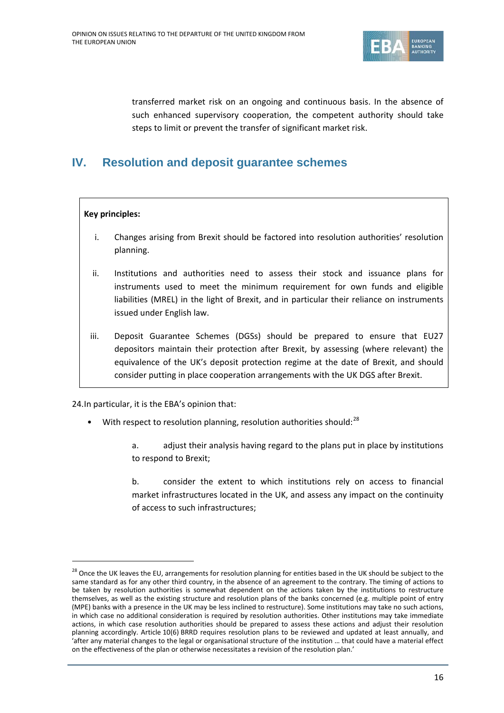

transferred market risk on an ongoing and continuous basis. In the absence of such enhanced supervisory cooperation, the competent authority should take steps to limit or prevent the transfer of significant market risk.

# **IV. Resolution and deposit guarantee schemes**

## **Key principles:**

- i. Changes arising from Brexit should be factored into resolution authorities' resolution planning.
- ii. Institutions and authorities need to assess their stock and issuance plans for instruments used to meet the minimum requirement for own funds and eligible liabilities (MREL) in the light of Brexit, and in particular their reliance on instruments issued under English law.
- iii. Deposit Guarantee Schemes (DGSs) should be prepared to ensure that EU27 depositors maintain their protection after Brexit, by assessing (where relevant) the equivalence of the UK's deposit protection regime at the date of Brexit, and should consider putting in place cooperation arrangements with the UK DGS after Brexit.

24.In particular, it is the EBA's opinion that:

- With respect to resolution planning, resolution authorities should: $^{28}$  $^{28}$  $^{28}$ 
	- a. adjust their analysis having regard to the plans put in place by institutions to respond to Brexit;

b. consider the extent to which institutions rely on access to financial market infrastructures located in the UK, and assess any impact on the continuity of access to such infrastructures;

<span id="page-15-0"></span><sup>&</sup>lt;sup>28</sup> Once the UK leaves the EU, arrangements for resolution planning for entities based in the UK should be subject to the same standard as for any other third country, in the absence of an agreement to the contrary. The timing of actions to be taken by resolution authorities is somewhat dependent on the actions taken by the institutions to restructure themselves, as well as the existing structure and resolution plans of the banks concerned (e.g. multiple point of entry (MPE) banks with a presence in the UK may be less inclined to restructure). Some institutions may take no such actions, in which case no additional consideration is required by resolution authorities. Other institutions may take immediate actions, in which case resolution authorities should be prepared to assess these actions and adjust their resolution planning accordingly. Article 10(6) BRRD requires resolution plans to be reviewed and updated at least annually, and 'after any material changes to the legal or organisational structure of the institution … that could have a material effect on the effectiveness of the plan or otherwise necessitates a revision of the resolution plan.'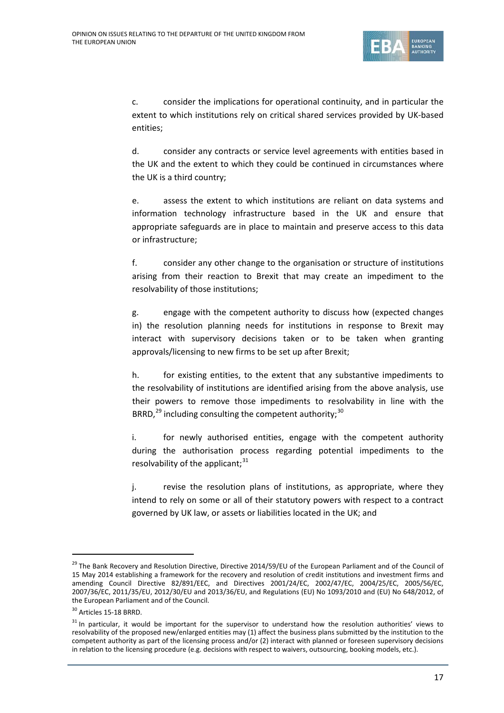

c. consider the implications for operational continuity, and in particular the extent to which institutions rely on critical shared services provided by UK-based entities;

d. consider any contracts or service level agreements with entities based in the UK and the extent to which they could be continued in circumstances where the UK is a third country;

e. assess the extent to which institutions are reliant on data systems and information technology infrastructure based in the UK and ensure that appropriate safeguards are in place to maintain and preserve access to this data or infrastructure;

f. consider any other change to the organisation or structure of institutions arising from their reaction to Brexit that may create an impediment to the resolvability of those institutions;

g. engage with the competent authority to discuss how (expected changes in) the resolution planning needs for institutions in response to Brexit may interact with supervisory decisions taken or to be taken when granting approvals/licensing to new firms to be set up after Brexit;

h. for existing entities, to the extent that any substantive impediments to the resolvability of institutions are identified arising from the above analysis, use their powers to remove those impediments to resolvability in line with the BRRD, $^{29}$  $^{29}$  $^{29}$  including consulting the competent authority:  $^{30}$  $^{30}$  $^{30}$ 

i. for newly authorised entities, engage with the competent authority during the authorisation process regarding potential impediments to the resolvability of the applicant;<sup>[31](#page-16-2)</sup>

j. revise the resolution plans of institutions, as appropriate, where they intend to rely on some or all of their statutory powers with respect to a contract governed by UK law, or assets or liabilities located in the UK; and

<span id="page-16-0"></span><sup>&</sup>lt;sup>29</sup> The Bank Recovery and Resolution Directive, Directive 2014/59/EU of the European Parliament and of the Council of 15 May 2014 establishing a framework for the recovery and resolution of credit institutions and investment firms and amending Council Directive 82/891/EEC, and Directives 2001/24/EC, 2002/47/EC, 2004/25/EC, 2005/56/EC, 2007/36/EC, 2011/35/EU, 2012/30/EU and 2013/36/EU, and Regulations (EU) No 1093/2010 and (EU) No 648/2012, of the European Parliament and of the Council.

<span id="page-16-1"></span><sup>30</sup> Articles 15-18 BRRD.

<span id="page-16-2"></span><sup>&</sup>lt;sup>31</sup> In particular, it would be important for the supervisor to understand how the resolution authorities' views to resolvability of the proposed new/enlarged entities may (1) affect the business plans submitted by the institution to the competent authority as part of the licensing process and/or (2) interact with planned or foreseen supervisory decisions in relation to the licensing procedure (e.g. decisions with respect to waivers, outsourcing, booking models, etc.).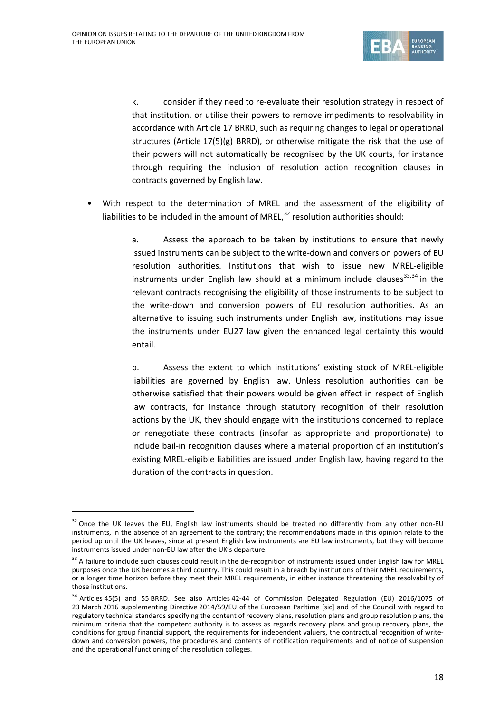

k. consider if they need to re-evaluate their resolution strategy in respect of that institution, or utilise their powers to remove impediments to resolvability in accordance with Article 17 BRRD, such as requiring changes to legal or operational structures (Article 17(5)(g) BRRD), or otherwise mitigate the risk that the use of their powers will not automatically be recognised by the UK courts, for instance through requiring the inclusion of resolution action recognition clauses in contracts governed by English law.

• With respect to the determination of MREL and the assessment of the eligibility of liabilities to be included in the amount of MREL, $^{32}$  $^{32}$  $^{32}$  resolution authorities should:

> a. Assess the approach to be taken by institutions to ensure that newly issued instruments can be subject to the write-down and conversion powers of EU resolution authorities. Institutions that wish to issue new MREL-eligible instruments under English law should at a minimum include clauses $33,34$  $33,34$  $33,34$  in the relevant contracts recognising the eligibility of those instruments to be subject to the write-down and conversion powers of EU resolution authorities. As an alternative to issuing such instruments under English law, institutions may issue the instruments under EU27 law given the enhanced legal certainty this would entail.

> b. Assess the extent to which institutions' existing stock of MREL-eligible liabilities are governed by English law. Unless resolution authorities can be otherwise satisfied that their powers would be given effect in respect of English law contracts, for instance through statutory recognition of their resolution actions by the UK, they should engage with the institutions concerned to replace or renegotiate these contracts (insofar as appropriate and proportionate) to include bail-in recognition clauses where a material proportion of an institution's existing MREL-eligible liabilities are issued under English law, having regard to the duration of the contracts in question.

<span id="page-17-0"></span><sup>&</sup>lt;sup>32</sup> Once the UK leaves the EU, English law instruments should be treated no differently from any other non-EU instruments, in the absence of an agreement to the contrary; the recommendations made in this opinion relate to the period up until the UK leaves, since at present English law instruments are EU law instruments, but they will become instruments issued under non-EU law after the UK's departure.

<span id="page-17-1"></span><sup>&</sup>lt;sup>33</sup> A failure to include such clauses could result in the de-recognition of instruments issued under English law for MREL purposes once the UK becomes a third country. This could result in a breach by institutions of their MREL requirements, or a longer time horizon before they meet their MREL requirements, in either instance threatening the resolvability of those institutions.

<span id="page-17-2"></span><sup>&</sup>lt;sup>34</sup> Articles 45(5) and 55 BRRD. See also Articles 42-44 of Commission Delegated Regulation (EU) 2016/1075 of 23 March 2016 supplementing Directive 2014/59/EU of the European Parltime [sic] and of the Council with regard to regulatory technical standards specifying the content of recovery plans, resolution plans and group resolution plans, the minimum criteria that the competent authority is to assess as regards recovery plans and group recovery plans, the conditions for group financial support, the requirements for independent valuers, the contractual recognition of writedown and conversion powers, the procedures and contents of notification requirements and of notice of suspension and the operational functioning of the resolution colleges.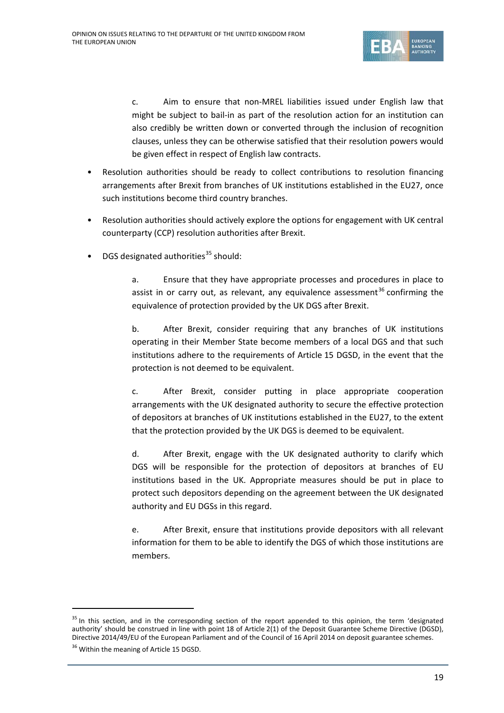

c. Aim to ensure that non-MREL liabilities issued under English law that might be subject to bail-in as part of the resolution action for an institution can also credibly be written down or converted through the inclusion of recognition clauses, unless they can be otherwise satisfied that their resolution powers would be given effect in respect of English law contracts.

- Resolution authorities should be ready to collect contributions to resolution financing arrangements after Brexit from branches of UK institutions established in the EU27, once such institutions become third country branches.
- Resolution authorities should actively explore the options for engagement with UK central counterparty (CCP) resolution authorities after Brexit.
- DGS designated authorities<sup>[35](#page-18-0)</sup> should:

a. Ensure that they have appropriate processes and procedures in place to assist in or carry out, as relevant, any equivalence assessment<sup>[36](#page-18-1)</sup> confirming the equivalence of protection provided by the UK DGS after Brexit.

b. After Brexit, consider requiring that any branches of UK institutions operating in their Member State become members of a local DGS and that such institutions adhere to the requirements of Article 15 DGSD, in the event that the protection is not deemed to be equivalent.

c. After Brexit, consider putting in place appropriate cooperation arrangements with the UK designated authority to secure the effective protection of depositors at branches of UK institutions established in the EU27, to the extent that the protection provided by the UK DGS is deemed to be equivalent.

d. After Brexit, engage with the UK designated authority to clarify which DGS will be responsible for the protection of depositors at branches of EU institutions based in the UK. Appropriate measures should be put in place to protect such depositors depending on the agreement between the UK designated authority and EU DGSs in this regard.

e. After Brexit, ensure that institutions provide depositors with all relevant information for them to be able to identify the DGS of which those institutions are members.

<span id="page-18-0"></span><sup>&</sup>lt;sup>35</sup> In this section, and in the corresponding section of the report appended to this opinion, the term 'designated authority' should be construed in line with point 18 of Article 2(1) of the Deposit Guarantee Scheme Directive (DGSD), Directive 2014/49/EU of the European Parliament and of the Council of 16 April 2014 on deposit guarantee schemes.

<span id="page-18-1"></span><sup>&</sup>lt;sup>36</sup> Within the meaning of Article 15 DGSD.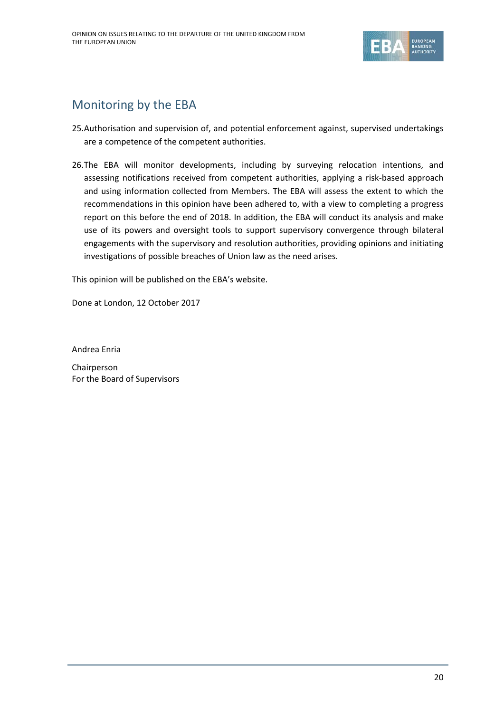

# Monitoring by the EBA

- 25.Authorisation and supervision of, and potential enforcement against, supervised undertakings are a competence of the competent authorities.
- 26.The EBA will monitor developments, including by surveying relocation intentions, and assessing notifications received from competent authorities, applying a risk-based approach and using information collected from Members. The EBA will assess the extent to which the recommendations in this opinion have been adhered to, with a view to completing a progress report on this before the end of 2018. In addition, the EBA will conduct its analysis and make use of its powers and oversight tools to support supervisory convergence through bilateral engagements with the supervisory and resolution authorities, providing opinions and initiating investigations of possible breaches of Union law as the need arises.

This opinion will be published on the EBA's website.

Done at London, 12 October 2017

Andrea Enria

Chairperson For the Board of Supervisors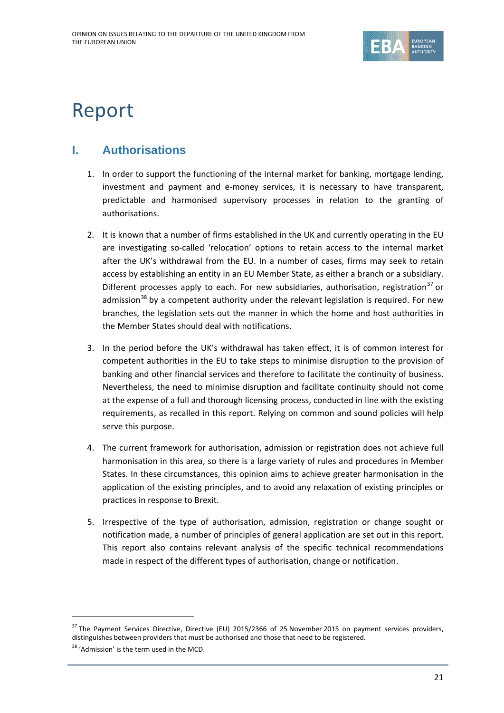

# Report

# **I. Authorisations**

- 1. In order to support the functioning of the internal market for banking, mortgage lending, investment and payment and e-money services, it is necessary to have transparent, predictable and harmonised supervisory processes in relation to the granting of authorisations.
- 2. It is known that a number of firms established in the UK and currently operating in the EU are investigating so-called 'relocation' options to retain access to the internal market after the UK's withdrawal from the EU. In a number of cases, firms may seek to retain access by establishing an entity in an EU Member State, as either a branch or a subsidiary. Different processes apply to each. For new subsidiaries, authorisation, registration<sup>[37](#page-20-0)</sup> or admission<sup>[38](#page-20-1)</sup> by a competent authority under the relevant legislation is required. For new branches, the legislation sets out the manner in which the home and host authorities in the Member States should deal with notifications.
- 3. In the period before the UK's withdrawal has taken effect, it is of common interest for competent authorities in the EU to take steps to minimise disruption to the provision of banking and other financial services and therefore to facilitate the continuity of business. Nevertheless, the need to minimise disruption and facilitate continuity should not come at the expense of a full and thorough licensing process, conducted in line with the existing requirements, as recalled in this report. Relying on common and sound policies will help serve this purpose.
- 4. The current framework for authorisation, admission or registration does not achieve full harmonisation in this area, so there is a large variety of rules and procedures in Member States. In these circumstances, this opinion aims to achieve greater harmonisation in the application of the existing principles, and to avoid any relaxation of existing principles or practices in response to Brexit.
- 5. Irrespective of the type of authorisation, admission, registration or change sought or notification made, a number of principles of general application are set out in this report. This report also contains relevant analysis of the specific technical recommendations made in respect of the different types of authorisation, change or notification.

<span id="page-20-0"></span><sup>&</sup>lt;sup>37</sup> The Payment Services Directive, Directive (EU) 2015/2366 of 25 November 2015 on payment services providers, distinguishes between providers that must be authorised and those that need to be registered.

<span id="page-20-1"></span><sup>&</sup>lt;sup>38</sup> 'Admission' is the term used in the MCD.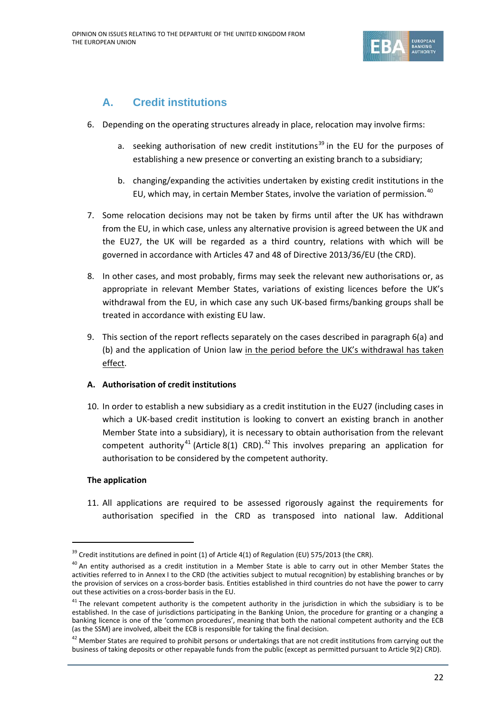

# **A. Credit institutions**

- 6. Depending on the operating structures already in place, relocation may involve firms:
	- a. seeking authorisation of new credit institutions<sup>[39](#page-21-0)</sup> in the EU for the purposes of establishing a new presence or converting an existing branch to a subsidiary;
	- b. changing/expanding the activities undertaken by existing credit institutions in the EU, which may, in certain Member States, involve the variation of permission.<sup>40</sup>
- 7. Some relocation decisions may not be taken by firms until after the UK has withdrawn from the EU, in which case, unless any alternative provision is agreed between the UK and the EU27, the UK will be regarded as a third country, relations with which will be governed in accordance with Articles 47 and 48 of Directive 2013/36/EU (the CRD).
- 8. In other cases, and most probably, firms may seek the relevant new authorisations or, as appropriate in relevant Member States, variations of existing licences before the UK's withdrawal from the EU, in which case any such UK-based firms/banking groups shall be treated in accordance with existing EU law.
- 9. This section of the report reflects separately on the cases described in paragraph 6(a) and (b) and the application of Union law in the period before the UK's withdrawal has taken effect.

# **A. Authorisation of credit institutions**

10. In order to establish a new subsidiary as a credit institution in the EU27 (including cases in which a UK-based credit institution is looking to convert an existing branch in another Member State into a subsidiary), it is necessary to obtain authorisation from the relevant competent authority<sup>[41](#page-21-2)</sup> (Article 8(1) CRD).<sup>[42](#page-21-3)</sup> This involves preparing an application for authorisation to be considered by the competent authority.

# **The application**

11. All applications are required to be assessed rigorously against the requirements for authorisation specified in the CRD as transposed into national law. Additional

<span id="page-21-0"></span> $39$  Credit institutions are defined in point (1) of Article 4(1) of Regulation (EU) 575/2013 (the CRR).

<span id="page-21-1"></span><sup>&</sup>lt;sup>40</sup> An entitv authorised as a credit institution in a Member State is able to carry out in other Member States the activities referred to in Annex I to the CRD (the activities subject to mutual recognition) by establishing branches or by the provision of services on a cross-border basis. Entities established in third countries do not have the power to carry out these activities on a cross-border basis in the EU.

<span id="page-21-2"></span> $41$  The relevant competent authority is the competent authority in the jurisdiction in which the subsidiary is to be established. In the case of jurisdictions participating in the Banking Union, the procedure for granting or a changing a banking licence is one of the 'common procedures', meaning that both the national competent authority and the ECB (as the SSM) are involved, albeit the ECB is responsible for taking the final decision.

<span id="page-21-3"></span> $42$  Member States are required to prohibit persons or undertakings that are not credit institutions from carrying out the business of taking deposits or other repayable funds from the public (except as permitted pursuant to Article 9(2) CRD).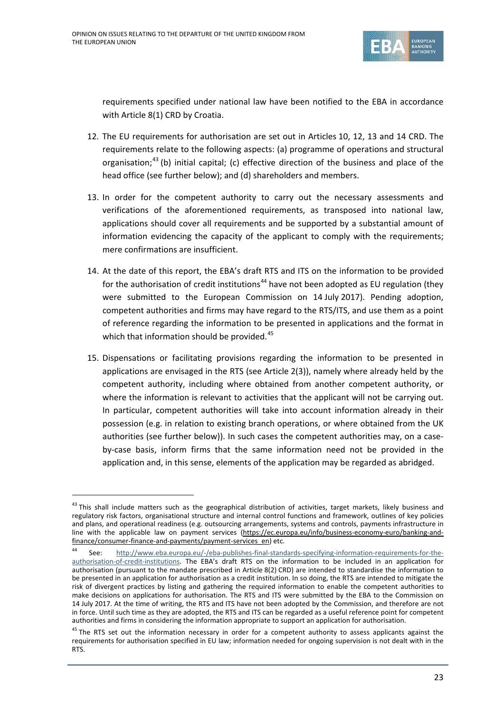

requirements specified under national law have been notified to the EBA in accordance with Article 8(1) CRD by Croatia.

- 12. The EU requirements for authorisation are set out in Articles 10, 12, 13 and 14 CRD. The requirements relate to the following aspects: (a) programme of operations and structural organisation;<sup>[43](#page-22-0)</sup> (b) initial capital; (c) effective direction of the business and place of the head office (see further below); and (d) shareholders and members.
- 13. In order for the competent authority to carry out the necessary assessments and verifications of the aforementioned requirements, as transposed into national law, applications should cover all requirements and be supported by a substantial amount of information evidencing the capacity of the applicant to comply with the requirements; mere confirmations are insufficient.
- 14. At the date of this report, the EBA's draft RTS and ITS on the information to be provided for the authorisation of credit institutions<sup>[44](#page-22-1)</sup> have not been adopted as EU regulation (they were submitted to the European Commission on 14 July 2017). Pending adoption, competent authorities and firms may have regard to the RTS/ITS, and use them as a point of reference regarding the information to be presented in applications and the format in which that information should be provided.<sup>[45](#page-22-2)</sup>
- 15. Dispensations or facilitating provisions regarding the information to be presented in applications are envisaged in the RTS (see Article 2(3)), namely where already held by the competent authority, including where obtained from another competent authority, or where the information is relevant to activities that the applicant will not be carrying out. In particular, competent authorities will take into account information already in their possession (e.g. in relation to existing branch operations, or where obtained from the UK authorities (see further below)). In such cases the competent authorities may, on a caseby-case basis, inform firms that the same information need not be provided in the application and, in this sense, elements of the application may be regarded as abridged.

<span id="page-22-0"></span><sup>&</sup>lt;sup>43</sup> This shall include matters such as the geographical distribution of activities, target markets, likely business and regulatory risk factors, organisational structure and internal control functions and framework, outlines of key policies and plans, and operational readiness (e.g. outsourcing arrangements, systems and controls, payments infrastructure in line with the applicable law on payment services [\(https://ec.europa.eu/info/business-economy-euro/banking-and](https://ec.europa.eu/info/business-economy-euro/banking-and-finance/consumer-finance-and-payments/payment-services_en)[finance/consumer-finance-and-payments/payment-services\\_en\)](https://ec.europa.eu/info/business-economy-euro/banking-and-finance/consumer-finance-and-payments/payment-services_en) etc.

<span id="page-22-1"></span><sup>44</sup> See: [http://www.eba.europa.eu/-/eba-publishes-final-standards-specifying-information-requirements-for-the](http://www.eba.europa.eu/-/eba-publishes-final-standards-specifying-information-requirements-for-the-authorisation-of-credit-institutions)[authorisation-of-credit-institutions.](http://www.eba.europa.eu/-/eba-publishes-final-standards-specifying-information-requirements-for-the-authorisation-of-credit-institutions) The EBA's draft RTS on the information to be included in an application for authorisation (pursuant to the mandate prescribed in Article 8(2) CRD) are intended to standardise the information to be presented in an application for authorisation as a credit institution. In so doing, the RTS are intended to mitigate the risk of divergent practices by listing and gathering the required information to enable the competent authorities to make decisions on applications for authorisation. The RTS and ITS were submitted by the EBA to the Commission on 14 July 2017. At the time of writing, the RTS and ITS have not been adopted by the Commission, and therefore are not in force. Until such time as they are adopted, the RTS and ITS can be regarded as a useful reference point for competent authorities and firms in considering the information appropriate to support an application for authorisation.

<span id="page-22-2"></span><sup>&</sup>lt;sup>45</sup> The RTS set out the information necessary in order for a competent authority to assess applicants against the requirements for authorisation specified in EU law; information needed for ongoing supervision is not dealt with in the RTS.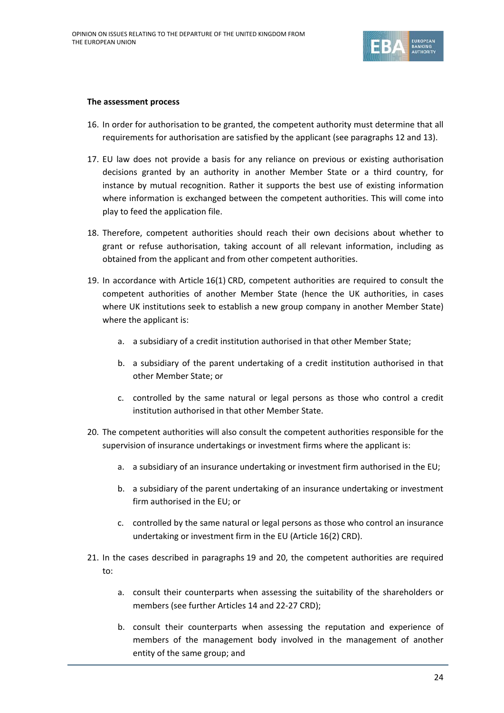

#### **The assessment process**

- 16. In order for authorisation to be granted, the competent authority must determine that all requirements for authorisation are satisfied by the applicant (see paragraphs 12 and 13).
- 17. EU law does not provide a basis for any reliance on previous or existing authorisation decisions granted by an authority in another Member State or a third country, for instance by mutual recognition. Rather it supports the best use of existing information where information is exchanged between the competent authorities. This will come into play to feed the application file.
- 18. Therefore, competent authorities should reach their own decisions about whether to grant or refuse authorisation, taking account of all relevant information, including as obtained from the applicant and from other competent authorities.
- 19. In accordance with Article 16(1) CRD, competent authorities are required to consult the competent authorities of another Member State (hence the UK authorities, in cases where UK institutions seek to establish a new group company in another Member State) where the applicant is:
	- a. a subsidiary of a credit institution authorised in that other Member State;
	- b. a subsidiary of the parent undertaking of a credit institution authorised in that other Member State; or
	- c. controlled by the same natural or legal persons as those who control a credit institution authorised in that other Member State.
- 20. The competent authorities will also consult the competent authorities responsible for the supervision of insurance undertakings or investment firms where the applicant is:
	- a. a subsidiary of an insurance undertaking or investment firm authorised in the EU;
	- b. a subsidiary of the parent undertaking of an insurance undertaking or investment firm authorised in the EU; or
	- c. controlled by the same natural or legal persons as those who control an insurance undertaking or investment firm in the EU (Article 16(2) CRD).
- 21. In the cases described in paragraphs 19 and 20, the competent authorities are required to:
	- a. consult their counterparts when assessing the suitability of the shareholders or members (see further Articles 14 and 22-27 CRD);
	- b. consult their counterparts when assessing the reputation and experience of members of the management body involved in the management of another entity of the same group; and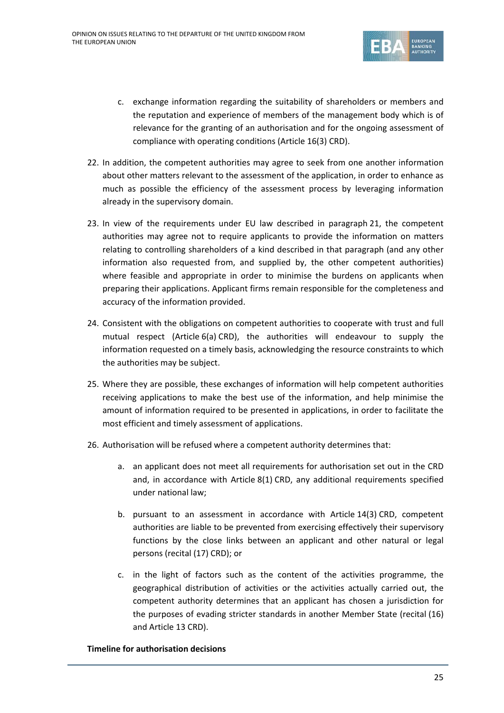

- c. exchange information regarding the suitability of shareholders or members and the reputation and experience of members of the management body which is of relevance for the granting of an authorisation and for the ongoing assessment of compliance with operating conditions (Article 16(3) CRD).
- 22. In addition, the competent authorities may agree to seek from one another information about other matters relevant to the assessment of the application, in order to enhance as much as possible the efficiency of the assessment process by leveraging information already in the supervisory domain.
- 23. In view of the requirements under EU law described in paragraph 21, the competent authorities may agree not to require applicants to provide the information on matters relating to controlling shareholders of a kind described in that paragraph (and any other information also requested from, and supplied by, the other competent authorities) where feasible and appropriate in order to minimise the burdens on applicants when preparing their applications. Applicant firms remain responsible for the completeness and accuracy of the information provided.
- 24. Consistent with the obligations on competent authorities to cooperate with trust and full mutual respect (Article 6(a) CRD), the authorities will endeavour to supply the information requested on a timely basis, acknowledging the resource constraints to which the authorities may be subject.
- 25. Where they are possible, these exchanges of information will help competent authorities receiving applications to make the best use of the information, and help minimise the amount of information required to be presented in applications, in order to facilitate the most efficient and timely assessment of applications.
- 26. Authorisation will be refused where a competent authority determines that:
	- a. an applicant does not meet all requirements for authorisation set out in the CRD and, in accordance with Article 8(1) CRD, any additional requirements specified under national law;
	- b. pursuant to an assessment in accordance with Article 14(3) CRD, competent authorities are liable to be prevented from exercising effectively their supervisory functions by the close links between an applicant and other natural or legal persons (recital (17) CRD); or
	- c. in the light of factors such as the content of the activities programme, the geographical distribution of activities or the activities actually carried out, the competent authority determines that an applicant has chosen a jurisdiction for the purposes of evading stricter standards in another Member State (recital (16) and Article 13 CRD).

## **Timeline for authorisation decisions**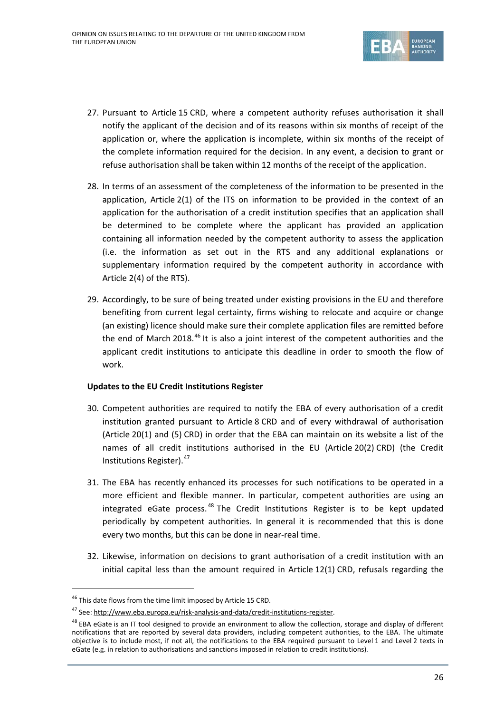

- 27. Pursuant to Article 15 CRD, where a competent authority refuses authorisation it shall notify the applicant of the decision and of its reasons within six months of receipt of the application or, where the application is incomplete, within six months of the receipt of the complete information required for the decision. In any event, a decision to grant or refuse authorisation shall be taken within 12 months of the receipt of the application.
- 28. In terms of an assessment of the completeness of the information to be presented in the application, Article 2(1) of the ITS on information to be provided in the context of an application for the authorisation of a credit institution specifies that an application shall be determined to be complete where the applicant has provided an application containing all information needed by the competent authority to assess the application (i.e. the information as set out in the RTS and any additional explanations or supplementary information required by the competent authority in accordance with Article 2(4) of the RTS).
- 29. Accordingly, to be sure of being treated under existing provisions in the EU and therefore benefiting from current legal certainty, firms wishing to relocate and acquire or change (an existing) licence should make sure their complete application files are remitted before the end of March 2018.<sup>[46](#page-25-0)</sup> It is also a joint interest of the competent authorities and the applicant credit institutions to anticipate this deadline in order to smooth the flow of work.

## **Updates to the EU Credit Institutions Register**

- 30. Competent authorities are required to notify the EBA of every authorisation of a credit institution granted pursuant to Article 8 CRD and of every withdrawal of authorisation (Article 20(1) and (5) CRD) in order that the EBA can maintain on its website a list of the names of all credit institutions authorised in the EU (Article 20(2) CRD) (the Credit Institutions Register).[47](#page-25-1)
- 31. The EBA has recently enhanced its processes for such notifications to be operated in a more efficient and flexible manner. In particular, competent authorities are using an integrated eGate process.<sup>[48](#page-25-2)</sup> The Credit Institutions Register is to be kept updated periodically by competent authorities. In general it is recommended that this is done every two months, but this can be done in near-real time.
- 32. Likewise, information on decisions to grant authorisation of a credit institution with an initial capital less than the amount required in Article 12(1) CRD, refusals regarding the

<span id="page-25-0"></span><sup>&</sup>lt;sup>46</sup> This date flows from the time limit imposed by Article 15 CRD.

<span id="page-25-1"></span><sup>47</sup> See: [http://www.eba.europa.eu/risk-analysis-and-data/credit-institutions-register.](http://www.eba.europa.eu/risk-analysis-and-data/credit-institutions-register)

<span id="page-25-2"></span> $48$  EBA eGate is an IT tool designed to provide an environment to allow the collection, storage and display of different notifications that are reported by several data providers, including competent authorities, to the EBA. The ultimate objective is to include most, if not all, the notifications to the EBA required pursuant to Level 1 and Level 2 texts in eGate (e.g. in relation to authorisations and sanctions imposed in relation to credit institutions).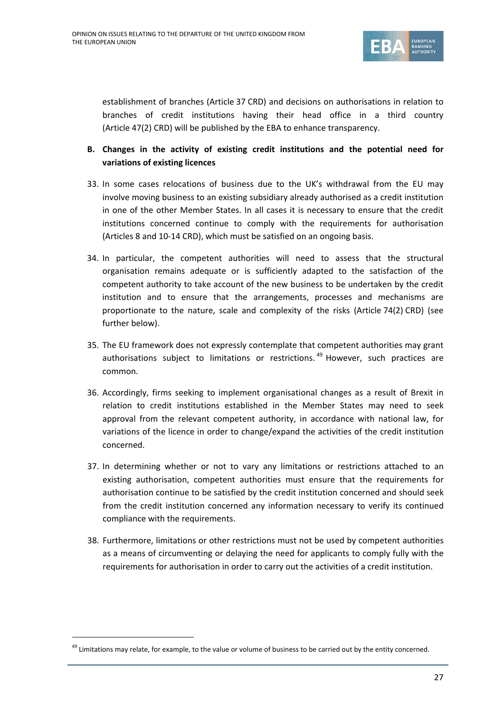

establishment of branches (Article 37 CRD) and decisions on authorisations in relation to branches of credit institutions having their head office in a third country (Article 47(2) CRD) will be published by the EBA to enhance transparency.

- **B. Changes in the activity of existing credit institutions and the potential need for variations of existing licences**
- 33. In some cases relocations of business due to the UK's withdrawal from the EU may involve moving business to an existing subsidiary already authorised as a credit institution in one of the other Member States. In all cases it is necessary to ensure that the credit institutions concerned continue to comply with the requirements for authorisation (Articles 8 and 10-14 CRD), which must be satisfied on an ongoing basis.
- 34. In particular, the competent authorities will need to assess that the structural organisation remains adequate or is sufficiently adapted to the satisfaction of the competent authority to take account of the new business to be undertaken by the credit institution and to ensure that the arrangements, processes and mechanisms are proportionate to the nature, scale and complexity of the risks (Article 74(2) CRD) (see further below).
- 35. The EU framework does not expressly contemplate that competent authorities may grant authorisations subject to limitations or restrictions.<sup>[49](#page-26-0)</sup> However, such practices are common.
- 36. Accordingly, firms seeking to implement organisational changes as a result of Brexit in relation to credit institutions established in the Member States may need to seek approval from the relevant competent authority, in accordance with national law, for variations of the licence in order to change/expand the activities of the credit institution concerned.
- 37. In determining whether or not to vary any limitations or restrictions attached to an existing authorisation, competent authorities must ensure that the requirements for authorisation continue to be satisfied by the credit institution concerned and should seek from the credit institution concerned any information necessary to verify its continued compliance with the requirements.
- 38. Furthermore, limitations or other restrictions must not be used by competent authorities as a means of circumventing or delaying the need for applicants to comply fully with the requirements for authorisation in order to carry out the activities of a credit institution.

<span id="page-26-0"></span> $49$  Limitations may relate, for example, to the value or volume of business to be carried out by the entity concerned.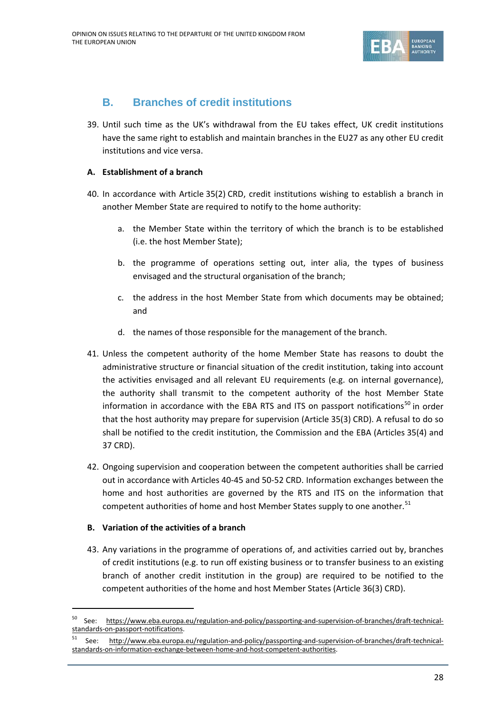

# **B. Branches of credit institutions**

39. Until such time as the UK's withdrawal from the EU takes effect, UK credit institutions have the same right to establish and maintain branches in the EU27 as any other EU credit institutions and vice versa.

# **A. Establishment of a branch**

- 40. In accordance with Article 35(2) CRD, credit institutions wishing to establish a branch in another Member State are required to notify to the home authority:
	- a. the Member State within the territory of which the branch is to be established (i.e. the host Member State);
	- b. the programme of operations setting out, inter alia, the types of business envisaged and the structural organisation of the branch;
	- c. the address in the host Member State from which documents may be obtained; and
	- d. the names of those responsible for the management of the branch.
- 41. Unless the competent authority of the home Member State has reasons to doubt the administrative structure or financial situation of the credit institution, taking into account the activities envisaged and all relevant EU requirements (e.g. on internal governance), the authority shall transmit to the competent authority of the host Member State information in accordance with the EBA RTS and ITS on passport notifications<sup>[50](#page-27-0)</sup> in order that the host authority may prepare for supervision (Article 35(3) CRD). A refusal to do so shall be notified to the credit institution, the Commission and the EBA (Articles 35(4) and 37 CRD).
- 42. Ongoing supervision and cooperation between the competent authorities shall be carried out in accordance with Articles 40-45 and 50-52 CRD. Information exchanges between the home and host authorities are governed by the RTS and ITS on the information that competent authorities of home and host Member States supply to one another.<sup>[51](#page-27-1)</sup>

## **B. Variation of the activities of a branch**

43. Any variations in the programme of operations of, and activities carried out by, branches of credit institutions (e.g. to run off existing business or to transfer business to an existing branch of another credit institution in the group) are required to be notified to the competent authorities of the home and host Member States (Article 36(3) CRD).

<span id="page-27-0"></span> <sup>50</sup> See: [https://www.eba.europa.eu/regulation-and-policy/passporting-and-supervision-of-branches/draft-technical](https://www.eba.europa.eu/regulation-and-policy/passporting-and-supervision-of-branches/draft-technical-standards-on-passport-notifications)[standards-on-passport-notifications.](https://www.eba.europa.eu/regulation-and-policy/passporting-and-supervision-of-branches/draft-technical-standards-on-passport-notifications)

<span id="page-27-1"></span>See: [http://www.eba.europa.eu/regulation-and-policy/passporting-and-supervision-of-branches/draft-technical](http://www.eba.europa.eu/regulation-and-policy/passporting-and-supervision-of-branches/draft-technical-standards-on-information-exchange-between-home-and-host-competent-authorities)[standards-on-information-exchange-between-home-and-host-competent-authorities.](http://www.eba.europa.eu/regulation-and-policy/passporting-and-supervision-of-branches/draft-technical-standards-on-information-exchange-between-home-and-host-competent-authorities)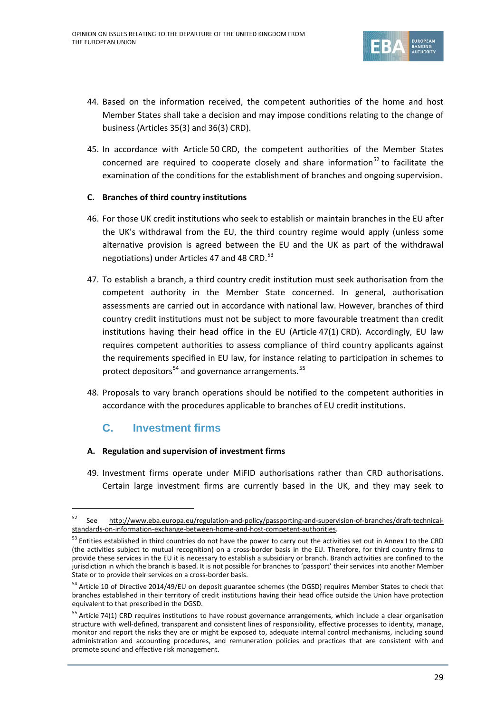

- 44. Based on the information received, the competent authorities of the home and host Member States shall take a decision and may impose conditions relating to the change of business (Articles 35(3) and 36(3) CRD).
- 45. In accordance with Article 50 CRD, the competent authorities of the Member States concerned are required to cooperate closely and share information<sup>[52](#page-28-0)</sup> to facilitate the examination of the conditions for the establishment of branches and ongoing supervision.

## **C. Branches of third country institutions**

- 46. For those UK credit institutions who seek to establish or maintain branches in the EU after the UK's withdrawal from the EU, the third country regime would apply (unless some alternative provision is agreed between the EU and the UK as part of the withdrawal negotiations) under Articles 47 and 48 CRD.<sup>[53](#page-28-1)</sup>
- 47. To establish a branch, a third country credit institution must seek authorisation from the competent authority in the Member State concerned. In general, authorisation assessments are carried out in accordance with national law. However, branches of third country credit institutions must not be subject to more favourable treatment than credit institutions having their head office in the EU (Article 47(1) CRD). Accordingly, EU law requires competent authorities to assess compliance of third country applicants against the requirements specified in EU law, for instance relating to participation in schemes to protect depositors $54$  and governance arrangements.  $55$
- 48. Proposals to vary branch operations should be notified to the competent authorities in accordance with the procedures applicable to branches of EU credit institutions.

# **C. Investment firms**

## **A. Regulation and supervision of investment firms**

49. Investment firms operate under MiFID authorisations rather than CRD authorisations. Certain large investment firms are currently based in the UK, and they may seek to

<span id="page-28-0"></span> <sup>52</sup> See [http://www.eba.europa.eu/regulation-and-policy/passporting-and-supervision-of-branches/draft-technical](http://www.eba.europa.eu/regulation-and-policy/passporting-and-supervision-of-branches/draft-technical-standards-on-information-exchange-between-home-and-host-competent-authorities)[standards-on-information-exchange-between-home-and-host-competent-authorities.](http://www.eba.europa.eu/regulation-and-policy/passporting-and-supervision-of-branches/draft-technical-standards-on-information-exchange-between-home-and-host-competent-authorities)

<span id="page-28-1"></span><sup>53</sup> Entities established in third countries do not have the power to carry out the activities set out in Annex I to the CRD (the activities subject to mutual recognition) on a cross-border basis in the EU. Therefore, for third country firms to provide these services in the EU it is necessary to establish a subsidiary or branch. Branch activities are confined to the jurisdiction in which the branch is based. It is not possible for branches to 'passport' their services into another Member State or to provide their services on a cross-border basis.

<span id="page-28-2"></span><sup>&</sup>lt;sup>54</sup> Article 10 of Directive 2014/49/EU on deposit guarantee schemes (the DGSD) requires Member States to check that branches established in their territory of credit institutions having their head office outside the Union have protection equivalent to that prescribed in the DGSD.

<span id="page-28-3"></span><sup>&</sup>lt;sup>55</sup> Article 74(1) CRD requires institutions to have robust governance arrangements, which include a clear organisation structure with well-defined, transparent and consistent lines of responsibility, effective processes to identity, manage, monitor and report the risks they are or might be exposed to, adequate internal control mechanisms, including sound administration and accounting procedures, and remuneration policies and practices that are consistent with and promote sound and effective risk management.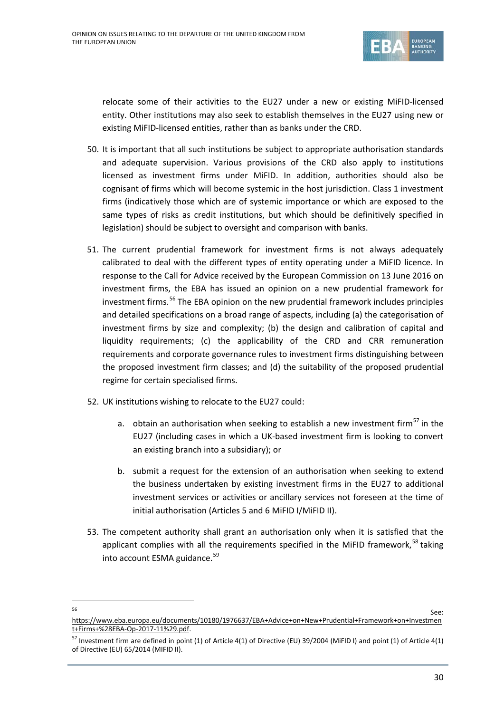

relocate some of their activities to the EU27 under a new or existing MiFID-licensed entity. Other institutions may also seek to establish themselves in the EU27 using new or existing MiFID-licensed entities, rather than as banks under the CRD.

- 50. It is important that all such institutions be subject to appropriate authorisation standards and adequate supervision. Various provisions of the CRD also apply to institutions licensed as investment firms under MiFID. In addition, authorities should also be cognisant of firms which will become systemic in the host jurisdiction. Class 1 investment firms (indicatively those which are of systemic importance or which are exposed to the same types of risks as credit institutions, but which should be definitively specified in legislation) should be subject to oversight and comparison with banks.
- 51. The current prudential framework for investment firms is not always adequately calibrated to deal with the different types of entity operating under a MiFID licence. In response to the Call for Advice received by the European Commission on 13 June 2016 on investment firms, the EBA has issued an opinion on a new prudential framework for investment firms.<sup>[56](#page-29-0)</sup> The EBA opinion on the new prudential framework includes principles and detailed specifications on a broad range of aspects, including (a) the categorisation of investment firms by size and complexity; (b) the design and calibration of capital and liquidity requirements; (c) the applicability of the CRD and CRR remuneration requirements and corporate governance rules to investment firms distinguishing between the proposed investment firm classes; and (d) the suitability of the proposed prudential regime for certain specialised firms.
- 52. UK institutions wishing to relocate to the EU27 could:
	- a. obtain an authorisation when seeking to establish a new investment firm<sup>[57](#page-29-1)</sup> in the EU27 (including cases in which a UK-based investment firm is looking to convert an existing branch into a subsidiary); or
	- b. submit a request for the extension of an authorisation when seeking to extend the business undertaken by existing investment firms in the EU27 to additional investment services or activities or ancillary services not foreseen at the time of initial authorisation (Articles 5 and 6 MiFID I/MiFID II).
- <span id="page-29-2"></span>53. The competent authority shall grant an authorisation only when it is satisfied that the applicant complies with all the requirements specified in the MiFID framework,<sup>[58](#page-29-2)</sup> taking into account ESMA guidance.<sup>[59](#page-29-3)</sup>

<span id="page-29-0"></span>

<span id="page-29-3"></span> $\overline{\phantom{1}}$  See: [https://www.eba.europa.eu/documents/10180/1976637/EBA+Advice+on+New+Prudential+Framework+on+Investmen](https://www.eba.europa.eu/documents/10180/1976637/EBA+Advice+on+New+Prudential+Framework+on+Investment+Firms+%28EBA-Op-2017-11%29.pdf) [t+Firms+%28EBA-Op-2017-11%29.pdf.](https://www.eba.europa.eu/documents/10180/1976637/EBA+Advice+on+New+Prudential+Framework+on+Investment+Firms+%28EBA-Op-2017-11%29.pdf)

<span id="page-29-1"></span> $^{57}$  Investment firm are defined in point (1) of Article 4(1) of Directive (EU) 39/2004 (MiFID I) and point (1) of Article 4(1) of Directive (EU) 65/2014 (MIFID II).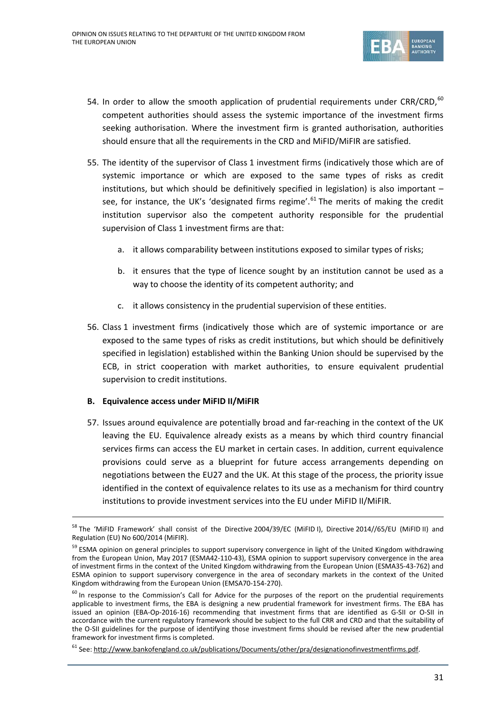

- 54. In order to allow the smooth application of prudential requirements under CRR/CRD, $^{60}$  $^{60}$  $^{60}$ competent authorities should assess the systemic importance of the investment firms seeking authorisation. Where the investment firm is granted authorisation, authorities should ensure that all the requirements in the CRD and MiFID/MiFIR are satisfied.
- 55. The identity of the supervisor of Class 1 investment firms (indicatively those which are of systemic importance or which are exposed to the same types of risks as credit institutions, but which should be definitively specified in legislation) is also important – see, for instance, the UK's 'designated firms regime'.<sup>[61](#page-30-1)</sup> The merits of making the credit institution supervisor also the competent authority responsible for the prudential supervision of Class 1 investment firms are that:
	- a. it allows comparability between institutions exposed to similar types of risks;
	- b. it ensures that the type of licence sought by an institution cannot be used as a way to choose the identity of its competent authority; and
	- c. it allows consistency in the prudential supervision of these entities.
- 56. Class 1 investment firms (indicatively those which are of systemic importance or are exposed to the same types of risks as credit institutions, but which should be definitively specified in legislation) established within the Banking Union should be supervised by the ECB, in strict cooperation with market authorities, to ensure equivalent prudential supervision to credit institutions.

## **B. Equivalence access under MiFID II/MiFIR**

57. Issues around equivalence are potentially broad and far-reaching in the context of the UK leaving the EU. Equivalence already exists as a means by which third country financial services firms can access the EU market in certain cases. In addition, current equivalence provisions could serve as a blueprint for future access arrangements depending on negotiations between the EU27 and the UK. At this stage of the process, the priority issue identified in the context of equivalence relates to its use as a mechanism for third country institutions to provide investment services into the EU under MiFID II/MiFIR.

<sup>&</sup>lt;sup>58</sup> The 'MiFID Framework' shall consist of the Directive 2004/39/EC (MiFID I), Directive 2014//65/EU (MiFID II) and Regulation (EU) No 600/2014 (MiFIR).

<sup>&</sup>lt;sup>59</sup> ESMA opinion on general principles to support supervisory convergence in light of the United Kingdom withdrawing from the European Union, May 2017 (ESMA42-110-43), ESMA opinion to support supervisory convergence in the area of investment firms in the context of the United Kingdom withdrawing from the European Union (ESMA35-43-762) and ESMA opinion to support supervisory convergence in the area of secondary markets in the context of the United Kingdom withdrawing from the European Union (EMSA70-154-270).

<span id="page-30-0"></span> $60$  In response to the Commission's Call for Advice for the purposes of the report on the prudential requirements applicable to investment firms, the EBA is designing a new prudential framework for investment firms. The EBA has issued an opinion (EBA-Op-2016-16) recommending that investment firms that are identified as G-SII or O-SII in accordance with the current regulatory framework should be subject to the full CRR and CRD and that the suitability of the O-SII guidelines for the purpose of identifying those investment firms should be revised after the new prudential framework for investment firms is completed.

<span id="page-30-1"></span><sup>&</sup>lt;sup>61</sup> See: [http://www.bankofengland.co.uk/publications/Documents/other/pra/designationofinvestmentfirms.pdf.](http://www.bankofengland.co.uk/publications/Documents/other/pra/designationofinvestmentfirms.pdf)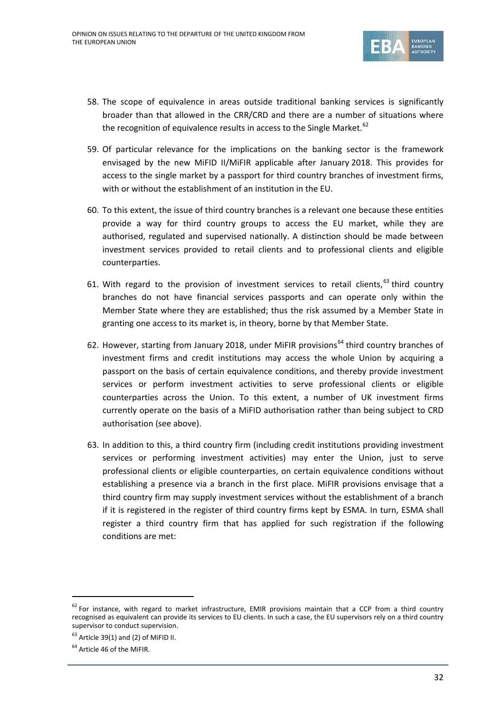

- 58. The scope of equivalence in areas outside traditional banking services is significantly broader than that allowed in the CRR/CRD and there are a number of situations where the recognition of equivalence results in access to the Single Market.<sup>[62](#page-31-0)</sup>
- 59. Of particular relevance for the implications on the banking sector is the framework envisaged by the new MiFID II/MiFIR applicable after January 2018. This provides for access to the single market by a passport for third country branches of investment firms, with or without the establishment of an institution in the EU.
- 60. To this extent, the issue of third country branches is a relevant one because these entities provide a way for third country groups to access the EU market, while they are authorised, regulated and supervised nationally. A distinction should be made between investment services provided to retail clients and to professional clients and eligible counterparties.
- 61. With regard to the provision of investment services to retail clients.<sup>[63](#page-31-1)</sup> third country branches do not have financial services passports and can operate only within the Member State where they are established; thus the risk assumed by a Member State in granting one access to its market is, in theory, borne by that Member State.
- 62. However, starting from January 2018, under MiFIR provisions<sup>[64](#page-31-2)</sup> third country branches of investment firms and credit institutions may access the whole Union by acquiring a passport on the basis of certain equivalence conditions, and thereby provide investment services or perform investment activities to serve professional clients or eligible counterparties across the Union. To this extent, a number of UK investment firms currently operate on the basis of a MiFID authorisation rather than being subject to CRD authorisation (see above).
- 63. In addition to this, a third country firm (including credit institutions providing investment services or performing investment activities) may enter the Union, just to serve professional clients or eligible counterparties, on certain equivalence conditions without establishing a presence via a branch in the first place. MiFIR provisions envisage that a third country firm may supply investment services without the establishment of a branch if it is registered in the register of third country firms kept by ESMA. In turn, ESMA shall register a third country firm that has applied for such registration if the following conditions are met:

<span id="page-31-0"></span> $62$  For instance, with regard to market infrastructure, EMIR provisions maintain that a CCP from a third country recognised as equivalent can provide its services to EU clients. In such a case, the EU supervisors rely on a third country supervisor to conduct supervision.

<span id="page-31-1"></span> $63$  Article 39(1) and (2) of MiFID II.

<span id="page-31-2"></span><sup>&</sup>lt;sup>64</sup> Article 46 of the MiFIR.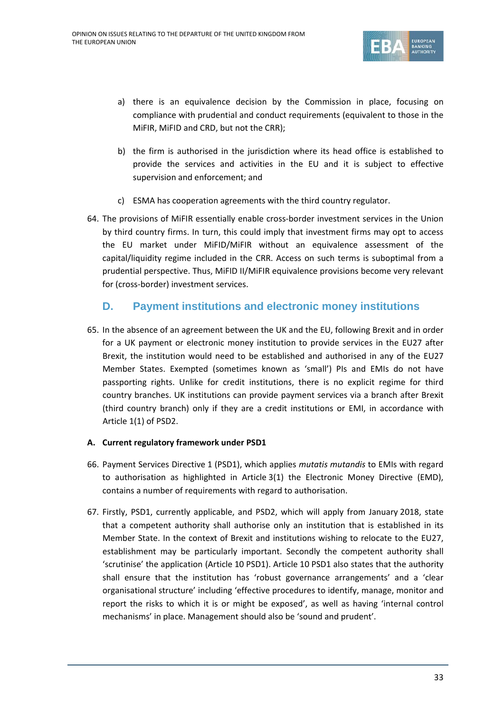

- a) there is an equivalence decision by the Commission in place, focusing on compliance with prudential and conduct requirements (equivalent to those in the MiFIR, MiFID and CRD, but not the CRR);
- b) the firm is authorised in the jurisdiction where its head office is established to provide the services and activities in the EU and it is subject to effective supervision and enforcement; and
- c) ESMA has cooperation agreements with the third country regulator.
- 64. The provisions of MiFIR essentially enable cross-border investment services in the Union by third country firms. In turn, this could imply that investment firms may opt to access the EU market under MiFID/MiFIR without an equivalence assessment of the capital/liquidity regime included in the CRR. Access on such terms is suboptimal from a prudential perspective. Thus, MiFID II/MiFIR equivalence provisions become very relevant for (cross-border) investment services.

# **D. Payment institutions and electronic money institutions**

65. In the absence of an agreement between the UK and the EU, following Brexit and in order for a UK payment or electronic money institution to provide services in the EU27 after Brexit, the institution would need to be established and authorised in any of the EU27 Member States. Exempted (sometimes known as 'small') PIs and EMIs do not have passporting rights. Unlike for credit institutions, there is no explicit regime for third country branches. UK institutions can provide payment services via a branch after Brexit (third country branch) only if they are a credit institutions or EMI, in accordance with Article 1(1) of PSD2.

# **A. Current regulatory framework under PSD1**

- 66. Payment Services Directive 1 (PSD1), which applies *mutatis mutandis* to EMIs with regard to authorisation as highlighted in Article 3(1) the Electronic Money Directive (EMD), contains a number of requirements with regard to authorisation.
- 67. Firstly, PSD1, currently applicable, and PSD2, which will apply from January 2018, state that a competent authority shall authorise only an institution that is established in its Member State. In the context of Brexit and institutions wishing to relocate to the EU27, establishment may be particularly important. Secondly the competent authority shall 'scrutinise' the application (Article 10 PSD1). Article 10 PSD1 also states that the authority shall ensure that the institution has 'robust governance arrangements' and a 'clear organisational structure' including 'effective procedures to identify, manage, monitor and report the risks to which it is or might be exposed', as well as having 'internal control mechanisms' in place. Management should also be 'sound and prudent'.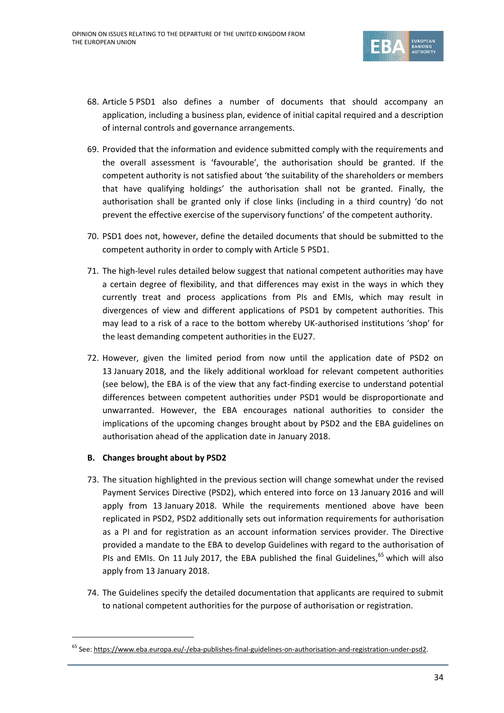

- 68. Article 5 PSD1 also defines a number of documents that should accompany an application, including a business plan, evidence of initial capital required and a description of internal controls and governance arrangements.
- 69. Provided that the information and evidence submitted comply with the requirements and the overall assessment is 'favourable', the authorisation should be granted. If the competent authority is not satisfied about 'the suitability of the shareholders or members that have qualifying holdings' the authorisation shall not be granted. Finally, the authorisation shall be granted only if close links (including in a third country) 'do not prevent the effective exercise of the supervisory functions' of the competent authority.
- 70. PSD1 does not, however, define the detailed documents that should be submitted to the competent authority in order to comply with Article 5 PSD1.
- 71. The high-level rules detailed below suggest that national competent authorities may have a certain degree of flexibility, and that differences may exist in the ways in which they currently treat and process applications from PIs and EMIs, which may result in divergences of view and different applications of PSD1 by competent authorities. This may lead to a risk of a race to the bottom whereby UK-authorised institutions 'shop' for the least demanding competent authorities in the EU27.
- 72. However, given the limited period from now until the application date of PSD2 on 13 January 2018, and the likely additional workload for relevant competent authorities (see below), the EBA is of the view that any fact-finding exercise to understand potential differences between competent authorities under PSD1 would be disproportionate and unwarranted. However, the EBA encourages national authorities to consider the implications of the upcoming changes brought about by PSD2 and the EBA guidelines on authorisation ahead of the application date in January 2018.

## **B. Changes brought about by PSD2**

- 73. The situation highlighted in the previous section will change somewhat under the revised Payment Services Directive (PSD2), which entered into force on 13 January 2016 and will apply from 13 January 2018. While the requirements mentioned above have been replicated in PSD2, PSD2 additionally sets out information requirements for authorisation as a PI and for registration as an account information services provider. The Directive provided a mandate to the EBA to develop Guidelines with regard to the authorisation of PIs and EMIs. On 11 July 2017, the EBA published the final Guidelines,  $65$  which will also apply from 13 January 2018.
- 74. The Guidelines specify the detailed documentation that applicants are required to submit to national competent authorities for the purpose of authorisation or registration.

<span id="page-33-0"></span><sup>&</sup>lt;sup>65</sup> See: [https://www.eba.europa.eu/-/eba-publishes-final-guidelines-on-authorisation-and-registration-under-psd2.](https://www.eba.europa.eu/-/eba-publishes-final-guidelines-on-authorisation-and-registration-under-psd2)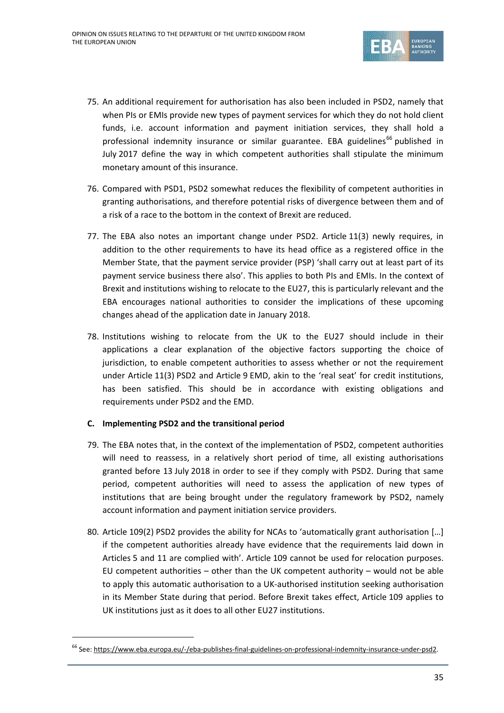

- 75. An additional requirement for authorisation has also been included in PSD2, namely that when PIs or EMIs provide new types of payment services for which they do not hold client funds, i.e. account information and payment initiation services, they shall hold a professional indemnity insurance or similar guarantee. EBA guidelines<sup>[66](#page-34-0)</sup> published in July 2017 define the way in which competent authorities shall stipulate the minimum monetary amount of this insurance.
- 76. Compared with PSD1, PSD2 somewhat reduces the flexibility of competent authorities in granting authorisations, and therefore potential risks of divergence between them and of a risk of a race to the bottom in the context of Brexit are reduced.
- 77. The EBA also notes an important change under PSD2. Article 11(3) newly requires, in addition to the other requirements to have its head office as a registered office in the Member State, that the payment service provider (PSP) 'shall carry out at least part of its payment service business there also'. This applies to both PIs and EMIs. In the context of Brexit and institutions wishing to relocate to the EU27, this is particularly relevant and the EBA encourages national authorities to consider the implications of these upcoming changes ahead of the application date in January 2018.
- 78. Institutions wishing to relocate from the UK to the EU27 should include in their applications a clear explanation of the objective factors supporting the choice of jurisdiction, to enable competent authorities to assess whether or not the requirement under Article 11(3) PSD2 and Article 9 EMD, akin to the 'real seat' for credit institutions, has been satisfied. This should be in accordance with existing obligations and requirements under PSD2 and the EMD.

## **C. Implementing PSD2 and the transitional period**

- 79. The EBA notes that, in the context of the implementation of PSD2, competent authorities will need to reassess, in a relatively short period of time, all existing authorisations granted before 13 July 2018 in order to see if they comply with PSD2. During that same period, competent authorities will need to assess the application of new types of institutions that are being brought under the regulatory framework by PSD2, namely account information and payment initiation service providers.
- 80. Article 109(2) PSD2 provides the ability for NCAs to 'automatically grant authorisation […] if the competent authorities already have evidence that the requirements laid down in Articles 5 and 11 are complied with'. Article 109 cannot be used for relocation purposes. EU competent authorities – other than the UK competent authority – would not be able to apply this automatic authorisation to a UK-authorised institution seeking authorisation in its Member State during that period. Before Brexit takes effect, Article 109 applies to UK institutions just as it does to all other EU27 institutions.

<span id="page-34-0"></span><sup>&</sup>lt;sup>66</sup> See: [https://www.eba.europa.eu/-/eba-publishes-final-guidelines-on-professional-indemnity-insurance-under-psd2.](https://www.eba.europa.eu/-/eba-publishes-final-guidelines-on-professional-indemnity-insurance-under-psd2)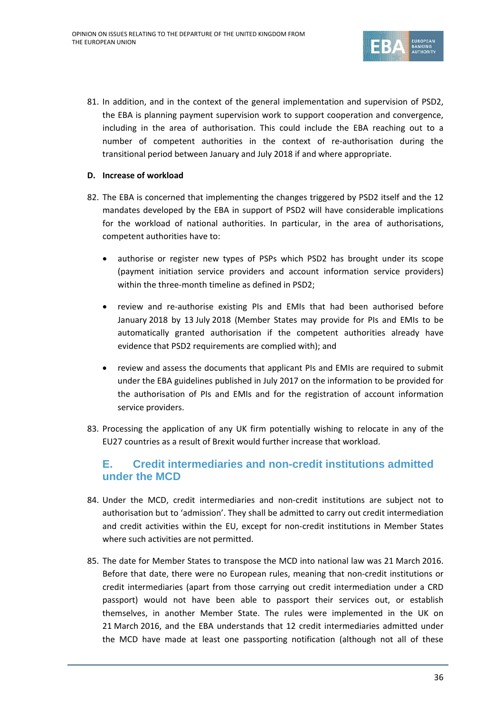

81. In addition, and in the context of the general implementation and supervision of PSD2, the EBA is planning payment supervision work to support cooperation and convergence, including in the area of authorisation. This could include the EBA reaching out to a number of competent authorities in the context of re-authorisation during the transitional period between January and July 2018 if and where appropriate.

## **D. Increase of workload**

- 82. The EBA is concerned that implementing the changes triggered by PSD2 itself and the 12 mandates developed by the EBA in support of PSD2 will have considerable implications for the workload of national authorities. In particular, in the area of authorisations, competent authorities have to:
	- authorise or register new types of PSPs which PSD2 has brought under its scope (payment initiation service providers and account information service providers) within the three-month timeline as defined in PSD2;
	- review and re-authorise existing PIs and EMIs that had been authorised before January 2018 by 13 July 2018 (Member States may provide for PIs and EMIs to be automatically granted authorisation if the competent authorities already have evidence that PSD2 requirements are complied with); and
	- review and assess the documents that applicant PIs and EMIs are required to submit under the EBA guidelines published in July 2017 on the information to be provided for the authorisation of PIs and EMIs and for the registration of account information service providers.
- 83. Processing the application of any UK firm potentially wishing to relocate in any of the EU27 countries as a result of Brexit would further increase that workload.

# **E. Credit intermediaries and non-credit institutions admitted under the MCD**

- 84. Under the MCD, credit intermediaries and non-credit institutions are subject not to authorisation but to 'admission'. They shall be admitted to carry out credit intermediation and credit activities within the EU, except for non-credit institutions in Member States where such activities are not permitted.
- 85. The date for Member States to transpose the MCD into national law was 21 March 2016. Before that date, there were no European rules, meaning that non-credit institutions or credit intermediaries (apart from those carrying out credit intermediation under a CRD passport) would not have been able to passport their services out, or establish themselves, in another Member State. The rules were implemented in the UK on 21 March 2016, and the EBA understands that 12 credit intermediaries admitted under the MCD have made at least one passporting notification (although not all of these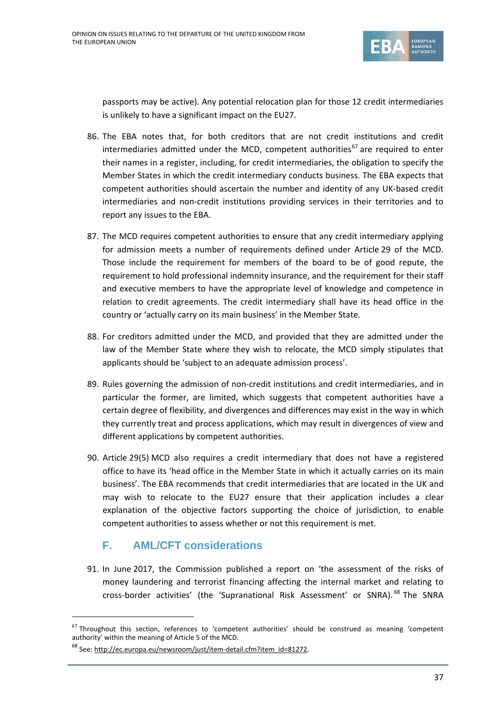

passports may be active). Any potential relocation plan for those 12 credit intermediaries is unlikely to have a significant impact on the EU27.

- 86. The EBA notes that, for both creditors that are not credit institutions and credit intermediaries admitted under the MCD, competent authorities<sup>[67](#page-36-0)</sup> are required to enter their names in a register, including, for credit intermediaries, the obligation to specify the Member States in which the credit intermediary conducts business. The EBA expects that competent authorities should ascertain the number and identity of any UK-based credit intermediaries and non-credit institutions providing services in their territories and to report any issues to the EBA.
- 87. The MCD requires competent authorities to ensure that any credit intermediary applying for admission meets a number of requirements defined under Article 29 of the MCD. Those include the requirement for members of the board to be of good repute, the requirement to hold professional indemnity insurance, and the requirement for their staff and executive members to have the appropriate level of knowledge and competence in relation to credit agreements. The credit intermediary shall have its head office in the country or 'actually carry on its main business' in the Member State.
- 88. For creditors admitted under the MCD, and provided that they are admitted under the law of the Member State where they wish to relocate, the MCD simply stipulates that applicants should be 'subject to an adequate admission process'.
- 89. Rules governing the admission of non-credit institutions and credit intermediaries, and in particular the former, are limited, which suggests that competent authorities have a certain degree of flexibility, and divergences and differences may exist in the way in which they currently treat and process applications, which may result in divergences of view and different applications by competent authorities.
- 90. Article 29(5) MCD also requires a credit intermediary that does not have a registered office to have its 'head office in the Member State in which it actually carries on its main business'. The EBA recommends that credit intermediaries that are located in the UK and may wish to relocate to the EU27 ensure that their application includes a clear explanation of the objective factors supporting the choice of jurisdiction, to enable competent authorities to assess whether or not this requirement is met.

# **F. AML/CFT considerations**

91. In June 2017, the Commission published a report on 'the assessment of the risks of money laundering and terrorist financing affecting the internal market and relating to cross-border activities' (the 'Supranational Risk Assessment' or SNRA). [68](#page-36-1) The SNRA

<span id="page-36-0"></span> $67$  Throughout this section, references to 'competent authorities' should be construed as meaning 'competent authority' within the meaning of Article 5 of the MCD.

<span id="page-36-1"></span><sup>&</sup>lt;sup>68</sup> See: [http://ec.europa.eu/newsroom/just/item-detail.cfm?item\\_id=81272.](http://ec.europa.eu/newsroom/just/item-detail.cfm?item_id=81272)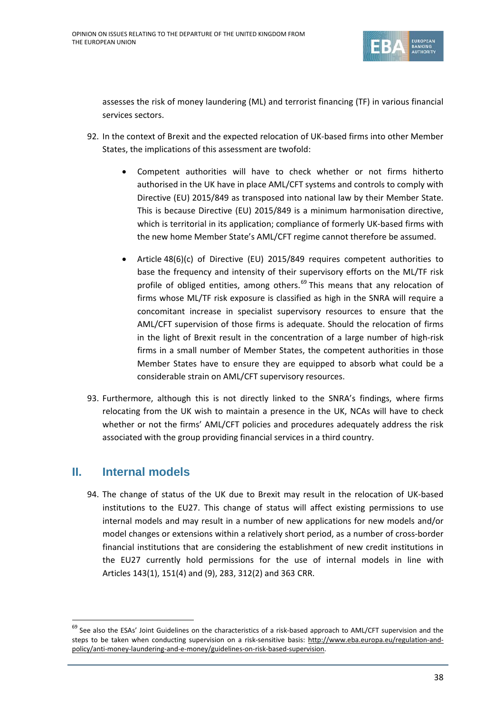

assesses the risk of money laundering (ML) and terrorist financing (TF) in various financial services sectors.

- 92. In the context of Brexit and the expected relocation of UK-based firms into other Member States, the implications of this assessment are twofold:
	- Competent authorities will have to check whether or not firms hitherto authorised in the UK have in place AML/CFT systems and controls to comply with Directive (EU) 2015/849 as transposed into national law by their Member State. This is because Directive (EU) 2015/849 is a minimum harmonisation directive, which is territorial in its application; compliance of formerly UK-based firms with the new home Member State's AML/CFT regime cannot therefore be assumed.
	- Article 48(6)(c) of Directive (EU) 2015/849 requires competent authorities to base the frequency and intensity of their supervisory efforts on the ML/TF risk profile of obliged entities, among others. $^{69}$  $^{69}$  $^{69}$  This means that any relocation of firms whose ML/TF risk exposure is classified as high in the SNRA will require a concomitant increase in specialist supervisory resources to ensure that the AML/CFT supervision of those firms is adequate. Should the relocation of firms in the light of Brexit result in the concentration of a large number of high-risk firms in a small number of Member States, the competent authorities in those Member States have to ensure they are equipped to absorb what could be a considerable strain on AML/CFT supervisory resources.
- 93. Furthermore, although this is not directly linked to the SNRA's findings, where firms relocating from the UK wish to maintain a presence in the UK, NCAs will have to check whether or not the firms' AML/CFT policies and procedures adequately address the risk associated with the group providing financial services in a third country.

# **II. Internal models**

94. The change of status of the UK due to Brexit may result in the relocation of UK-based institutions to the EU27. This change of status will affect existing permissions to use internal models and may result in a number of new applications for new models and/or model changes or extensions within a relatively short period, as a number of cross-border financial institutions that are considering the establishment of new credit institutions in the EU27 currently hold permissions for the use of internal models in line with Articles 143(1), 151(4) and (9), 283, 312(2) and 363 CRR.

<span id="page-37-0"></span> $69$  See also the ESAs' Joint Guidelines on the characteristics of a risk-based approach to AML/CFT supervision and the steps to be taken when conducting supervision on a risk-sensitive basis: [http://www.eba.europa.eu/regulation-and](http://www.eba.europa.eu/regulation-and-policy/anti-money-laundering-and-e-money/guidelines-on-risk-based-supervision)[policy/anti-money-laundering-and-e-money/guidelines-on-risk-based-supervision.](http://www.eba.europa.eu/regulation-and-policy/anti-money-laundering-and-e-money/guidelines-on-risk-based-supervision)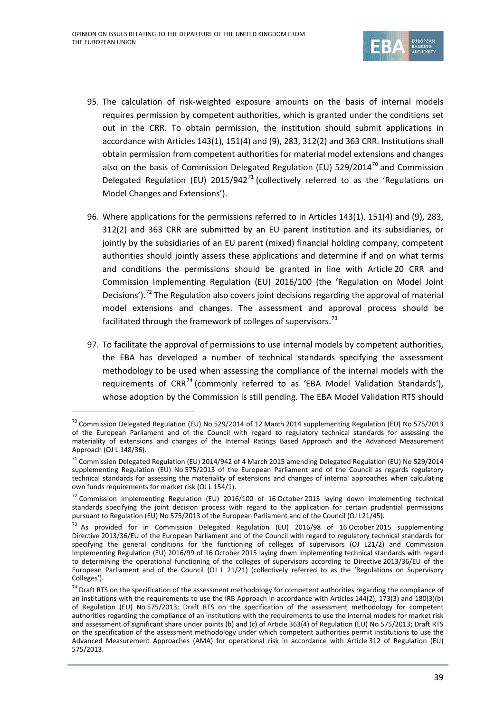

- 95. The calculation of risk-weighted exposure amounts on the basis of internal models requires permission by competent authorities, which is granted under the conditions set out in the CRR. To obtain permission, the institution should submit applications in accordance with Articles 143(1), 151(4) and (9), 283, 312(2) and 363 CRR. Institutions shall obtain permission from competent authorities for material model extensions and changes also on the basis of Commission Delegated Regulation (EU) 529/2014<sup>[70](#page-38-0)</sup> and Commission Delegated Regulation (EU)  $2015/942^{71}$  $2015/942^{71}$  $2015/942^{71}$  (collectively referred to as the 'Regulations on Model Changes and Extensions').
- 96. Where applications for the permissions referred to in Articles 143(1), 151(4) and (9), 283, 312(2) and 363 CRR are submitted by an EU parent institution and its subsidiaries, or jointly by the subsidiaries of an EU parent (mixed) financial holding company, competent authorities should jointly assess these applications and determine if and on what terms and conditions the permissions should be granted in line with Article 20 CRR and Commission Implementing Regulation (EU) 2016/100 (the 'Regulation on Model Joint Decisions').<sup>[72](#page-38-2)</sup> The Regulation also covers joint decisions regarding the approval of material model extensions and changes. The assessment and approval process should be facilitated through the framework of colleges of supervisors.<sup>[73](#page-38-3)</sup>
- 97. To facilitate the approval of permissions to use internal models by competent authorities, the EBA has developed a number of technical standards specifying the assessment methodology to be used when assessing the compliance of the internal models with the requirements of CRR<sup>[74](#page-38-4)</sup> (commonly referred to as 'EBA Model Validation Standards'), whose adoption by the Commission is still pending. The EBA Model Validation RTS should

<span id="page-38-0"></span> <sup>70</sup> Commission Delegated Regulation (EU) No 529/2014 of <sup>12</sup> March <sup>2014</sup> supplementing Regulation (EU) No 575/2013 of the European Parliament and of the Council with regard to regulatory technical standards for assessing the materiality of extensions and changes of the Internal Ratings Based Approach and the Advanced Measurement Approach (OJ L 148/36).

<span id="page-38-1"></span> $^{71}$  Commission Delegated Regulation (EU) 2014/942 of 4 March 2015 amending Delegated Regulation (EU) No 529/2014 supplementing Regulation (EU) No 575/2013 of the European Parliament and of the Council as regards regulatory technical standards for assessing the materiality of extensions and changes of internal approaches when calculating own funds requirements for market risk (OJ L 154/1).

<span id="page-38-2"></span> $72$  Commission Implementing Regulation (EU) 2016/100 of 16 October 2015 laying down implementing technical standards specifying the joint decision process with regard to the application for certain prudential permissions pursuant to Regulation (EU) No 575/2013 of the European Parliament and of the Council (OJ L21/45).

<span id="page-38-3"></span> $^{73}$  As provided for in Commission Delegated Regulation (EU) 2016/98 of 16 October 2015 supplementing Directive 2013/36/EU of the European Parliament and of the Council with regard to regulatory technical standards for specifying the general conditions for the functioning of colleges of supervisors (OJ L21/2) and Commission Implementing Regulation (EU) 2016/99 of 16 October 2015 laying down implementing technical standards with regard to determining the operational functioning of the colleges of supervisors according to Directive 2013/36/EU of the European Parliament and of the Council (OJ L 21/21) (collectively referred to as the 'Regulations on Supervisory Colleges').

<span id="page-38-4"></span> $74$  Draft RTS on the specification of the assessment methodology for competent authorities regarding the compliance of an institutions with the requirements to use the IRB Approach in accordance with Articles 144(2), 173(3) and 180(3)(b) of Regulation (EU) No 575/2013; Draft RTS on the specification of the assessment methodology for competent authorities regarding the compliance of an institutions with the requirements to use the internal models for market risk and assessment of significant share under points (b) and (c) of Article 363(4) of Regulation (EU) No 575/2013; Draft RTS on the specification of the assessment methodology under which competent authorities permit institutions to use the Advanced Measurement Approaches (AMA) for operational risk in accordance with Article 312 of Regulation (EU) 575/2013.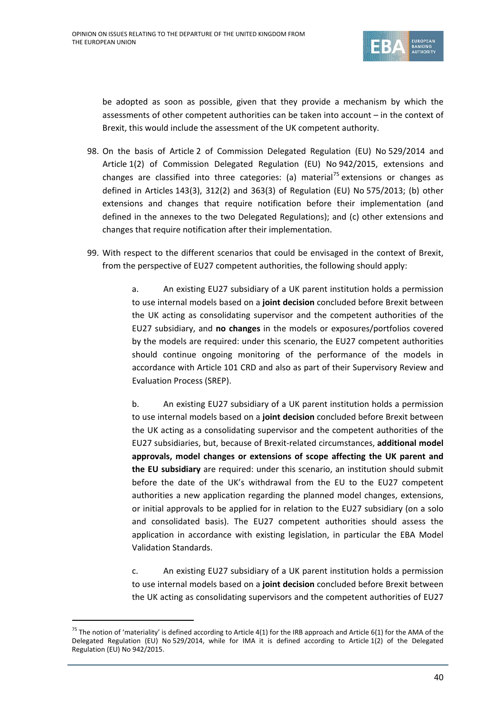

be adopted as soon as possible, given that they provide a mechanism by which the assessments of other competent authorities can be taken into account – in the context of Brexit, this would include the assessment of the UK competent authority.

- 98. On the basis of Article 2 of Commission Delegated Regulation (EU) No 529/2014 and Article 1(2) of Commission Delegated Regulation (EU) No 942/2015, extensions and changes are classified into three categories: (a) material<sup>[75](#page-39-0)</sup> extensions or changes as defined in Articles 143(3), 312(2) and 363(3) of Regulation (EU) No 575/2013; (b) other extensions and changes that require notification before their implementation (and defined in the annexes to the two Delegated Regulations); and (c) other extensions and changes that require notification after their implementation.
- 99. With respect to the different scenarios that could be envisaged in the context of Brexit, from the perspective of EU27 competent authorities, the following should apply:

a. An existing EU27 subsidiary of a UK parent institution holds a permission to use internal models based on a **joint decision** concluded before Brexit between the UK acting as consolidating supervisor and the competent authorities of the EU27 subsidiary, and **no changes** in the models or exposures/portfolios covered by the models are required: under this scenario, the EU27 competent authorities should continue ongoing monitoring of the performance of the models in accordance with Article 101 CRD and also as part of their Supervisory Review and Evaluation Process (SREP).

b. An existing EU27 subsidiary of a UK parent institution holds a permission to use internal models based on a **joint decision** concluded before Brexit between the UK acting as a consolidating supervisor and the competent authorities of the EU27 subsidiaries, but, because of Brexit-related circumstances, **additional model approvals, model changes or extensions of scope affecting the UK parent and the EU subsidiary** are required: under this scenario, an institution should submit before the date of the UK's withdrawal from the EU to the EU27 competent authorities a new application regarding the planned model changes, extensions, or initial approvals to be applied for in relation to the EU27 subsidiary (on a solo and consolidated basis). The EU27 competent authorities should assess the application in accordance with existing legislation, in particular the EBA Model Validation Standards.

c. An existing EU27 subsidiary of a UK parent institution holds a permission to use internal models based on a **joint decision** concluded before Brexit between the UK acting as consolidating supervisors and the competent authorities of EU27

<span id="page-39-0"></span><sup>&</sup>lt;sup>75</sup> The notion of 'materiality' is defined according to Article 4(1) for the IRB approach and Article 6(1) for the AMA of the Delegated Regulation (EU) No 529/2014, while for IMA it is defined according to Article 1(2) of the Delegated Regulation (EU) No 942/2015.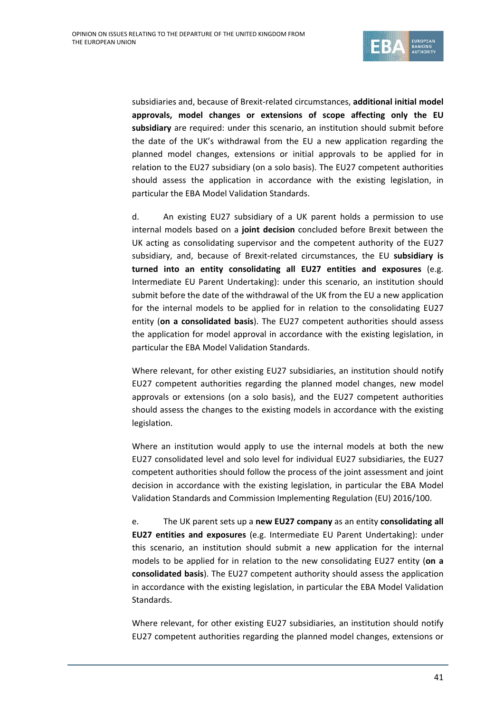

subsidiaries and, because of Brexit-related circumstances, **additional initial model approvals, model changes or extensions of scope affecting only the EU subsidiary** are required: under this scenario, an institution should submit before the date of the UK's withdrawal from the EU a new application regarding the planned model changes, extensions or initial approvals to be applied for in relation to the EU27 subsidiary (on a solo basis). The EU27 competent authorities should assess the application in accordance with the existing legislation, in particular the EBA Model Validation Standards.

d. An existing EU27 subsidiary of a UK parent holds a permission to use internal models based on a **joint decision** concluded before Brexit between the UK acting as consolidating supervisor and the competent authority of the EU27 subsidiary, and, because of Brexit-related circumstances, the EU **subsidiary is turned into an entity consolidating all EU27 entities and exposures** (e.g. Intermediate EU Parent Undertaking): under this scenario, an institution should submit before the date of the withdrawal of the UK from the EU a new application for the internal models to be applied for in relation to the consolidating EU27 entity (**on a consolidated basis**). The EU27 competent authorities should assess the application for model approval in accordance with the existing legislation, in particular the EBA Model Validation Standards.

Where relevant, for other existing EU27 subsidiaries, an institution should notify EU27 competent authorities regarding the planned model changes, new model approvals or extensions (on a solo basis), and the EU27 competent authorities should assess the changes to the existing models in accordance with the existing legislation.

Where an institution would apply to use the internal models at both the new EU27 consolidated level and solo level for individual EU27 subsidiaries, the EU27 competent authorities should follow the process of the joint assessment and joint decision in accordance with the existing legislation, in particular the EBA Model Validation Standards and Commission Implementing Regulation (EU) 2016/100.

e. The UK parent sets up a **new EU27 company** as an entity **consolidating all EU27 entities and exposures** (e.g. Intermediate EU Parent Undertaking): under this scenario, an institution should submit a new application for the internal models to be applied for in relation to the new consolidating EU27 entity (**on a consolidated basis**). The EU27 competent authority should assess the application in accordance with the existing legislation, in particular the EBA Model Validation Standards.

Where relevant, for other existing EU27 subsidiaries, an institution should notify EU27 competent authorities regarding the planned model changes, extensions or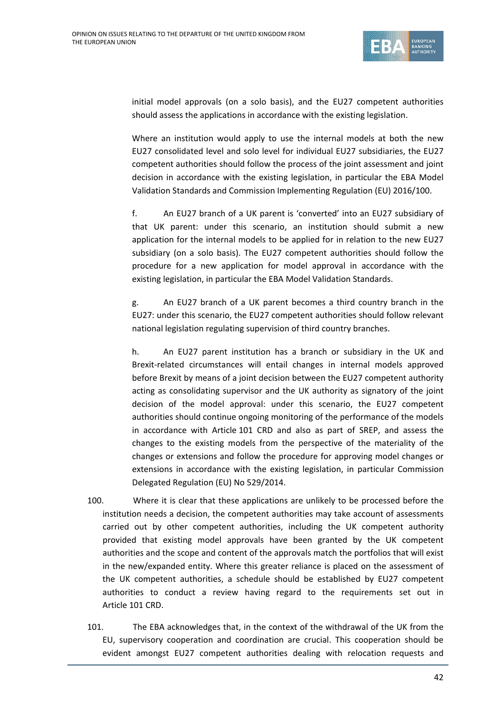

initial model approvals (on a solo basis), and the EU27 competent authorities should assess the applications in accordance with the existing legislation.

Where an institution would apply to use the internal models at both the new EU27 consolidated level and solo level for individual EU27 subsidiaries, the EU27 competent authorities should follow the process of the joint assessment and joint decision in accordance with the existing legislation, in particular the EBA Model Validation Standards and Commission Implementing Regulation (EU) 2016/100.

f. An EU27 branch of a UK parent is 'converted' into an EU27 subsidiary of that UK parent: under this scenario, an institution should submit a new application for the internal models to be applied for in relation to the new EU27 subsidiary (on a solo basis). The EU27 competent authorities should follow the procedure for a new application for model approval in accordance with the existing legislation, in particular the EBA Model Validation Standards.

g. An EU27 branch of a UK parent becomes a third country branch in the EU27: under this scenario, the EU27 competent authorities should follow relevant national legislation regulating supervision of third country branches.

h. An EU27 parent institution has a branch or subsidiary in the UK and Brexit-related circumstances will entail changes in internal models approved before Brexit by means of a joint decision between the EU27 competent authority acting as consolidating supervisor and the UK authority as signatory of the joint decision of the model approval: under this scenario, the EU27 competent authorities should continue ongoing monitoring of the performance of the models in accordance with Article 101 CRD and also as part of SREP, and assess the changes to the existing models from the perspective of the materiality of the changes or extensions and follow the procedure for approving model changes or extensions in accordance with the existing legislation, in particular Commission Delegated Regulation (EU) No 529/2014.

- 100. Where it is clear that these applications are unlikely to be processed before the institution needs a decision, the competent authorities may take account of assessments carried out by other competent authorities, including the UK competent authority provided that existing model approvals have been granted by the UK competent authorities and the scope and content of the approvals match the portfolios that will exist in the new/expanded entity. Where this greater reliance is placed on the assessment of the UK competent authorities, a schedule should be established by EU27 competent authorities to conduct a review having regard to the requirements set out in Article 101 CRD.
- 101. The EBA acknowledges that, in the context of the withdrawal of the UK from the EU, supervisory cooperation and coordination are crucial. This cooperation should be evident amongst EU27 competent authorities dealing with relocation requests and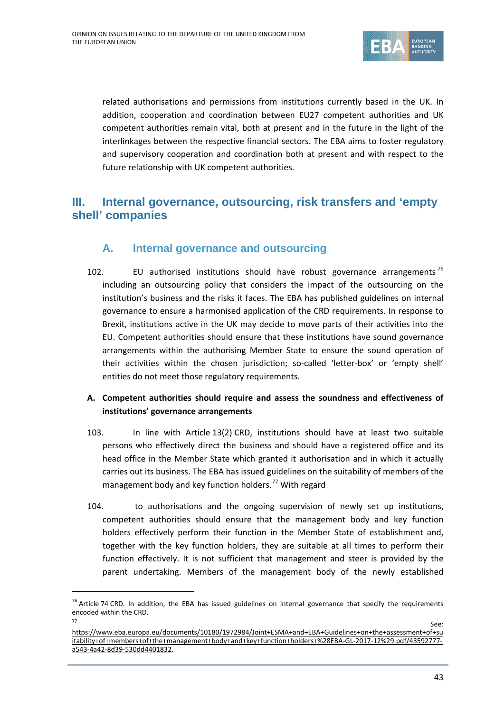

related authorisations and permissions from institutions currently based in the UK. In addition, cooperation and coordination between EU27 competent authorities and UK competent authorities remain vital, both at present and in the future in the light of the interlinkages between the respective financial sectors. The EBA aims to foster regulatory and supervisory cooperation and coordination both at present and with respect to the future relationship with UK competent authorities.

# **III. Internal governance, outsourcing, risk transfers and 'empty shell' companies**

# **A. Internal governance and outsourcing**

102. EU authorised institutions should have robust governance arrangements<sup>[76](#page-42-0)</sup> including an outsourcing policy that considers the impact of the outsourcing on the institution's business and the risks it faces. The EBA has published guidelines on internal governance to ensure a harmonised application of the CRD requirements. In response to Brexit, institutions active in the UK may decide to move parts of their activities into the EU. Competent authorities should ensure that these institutions have sound governance arrangements within the authorising Member State to ensure the sound operation of their activities within the chosen jurisdiction; so-called 'letter-box' or 'empty shell' entities do not meet those regulatory requirements.

# **A. Competent authorities should require and assess the soundness and effectiveness of institutions' governance arrangements**

- 103. In line with Article 13(2) CRD, institutions should have at least two suitable persons who effectively direct the business and should have a registered office and its head office in the Member State which granted it authorisation and in which it actually carries out its business. The EBA has issued guidelines on the suitability of members of the management body and key function holders.<sup>[77](#page-42-1)</sup> With regard
- 104. to authorisations and the ongoing supervision of newly set up institutions, competent authorities should ensure that the management body and key function holders effectively perform their function in the Member State of establishment and, together with the key function holders, they are suitable at all times to perform their function effectively. It is not sufficient that management and steer is provided by the parent undertaking. Members of the management body of the newly established

<span id="page-42-0"></span> $76$  Article 74 CRD. In addition, the EBA has issued guidelines on internal governance that specify the requirements encoded within the CRD.

<span id="page-42-1"></span><sup>&</sup>lt;u>77 See:</u> [https://www.eba.europa.eu/documents/10180/1972984/Joint+ESMA+and+EBA+Guidelines+on+the+assessment+of+su](https://www.eba.europa.eu/documents/10180/1972984/Joint+ESMA+and+EBA+Guidelines+on+the+assessment+of+suitability+of+members+of+the+management+body+and+key+function+holders+%28EBA-GL-2017-12%29.pdf/43592777-a543-4a42-8d39-530dd4401832) [itability+of+members+of+the+management+body+and+key+function+holders+%28EBA-GL-2017-12%29.pdf/43592777](https://www.eba.europa.eu/documents/10180/1972984/Joint+ESMA+and+EBA+Guidelines+on+the+assessment+of+suitability+of+members+of+the+management+body+and+key+function+holders+%28EBA-GL-2017-12%29.pdf/43592777-a543-4a42-8d39-530dd4401832) [a543-4a42-8d39-530dd4401832.](https://www.eba.europa.eu/documents/10180/1972984/Joint+ESMA+and+EBA+Guidelines+on+the+assessment+of+suitability+of+members+of+the+management+body+and+key+function+holders+%28EBA-GL-2017-12%29.pdf/43592777-a543-4a42-8d39-530dd4401832)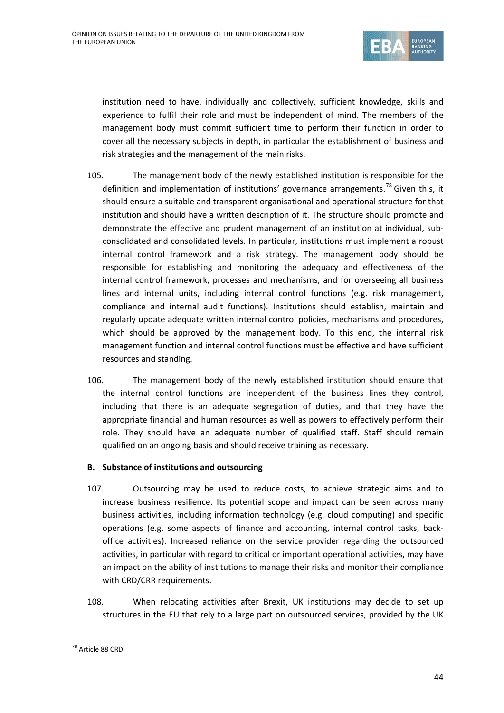

institution need to have, individually and collectively, sufficient knowledge, skills and experience to fulfil their role and must be independent of mind. The members of the management body must commit sufficient time to perform their function in order to cover all the necessary subjects in depth, in particular the establishment of business and risk strategies and the management of the main risks.

- 105. The management body of the newly established institution is responsible for the definition and implementation of institutions' governance arrangements.<sup>[78](#page-43-0)</sup> Given this, it should ensure a suitable and transparent organisational and operational structure for that institution and should have a written description of it. The structure should promote and demonstrate the effective and prudent management of an institution at individual, subconsolidated and consolidated levels. In particular, institutions must implement a robust internal control framework and a risk strategy. The management body should be responsible for establishing and monitoring the adequacy and effectiveness of the internal control framework, processes and mechanisms, and for overseeing all business lines and internal units, including internal control functions (e.g. risk management, compliance and internal audit functions). Institutions should establish, maintain and regularly update adequate written internal control policies, mechanisms and procedures, which should be approved by the management body. To this end, the internal risk management function and internal control functions must be effective and have sufficient resources and standing.
- 106. The management body of the newly established institution should ensure that the internal control functions are independent of the business lines they control, including that there is an adequate segregation of duties, and that they have the appropriate financial and human resources as well as powers to effectively perform their role. They should have an adequate number of qualified staff. Staff should remain qualified on an ongoing basis and should receive training as necessary.

## **B. Substance of institutions and outsourcing**

- 107. Outsourcing may be used to reduce costs, to achieve strategic aims and to increase business resilience. Its potential scope and impact can be seen across many business activities, including information technology (e.g. cloud computing) and specific operations (e.g. some aspects of finance and accounting, internal control tasks, backoffice activities). Increased reliance on the service provider regarding the outsourced activities, in particular with regard to critical or important operational activities, may have an impact on the ability of institutions to manage their risks and monitor their compliance with CRD/CRR requirements.
- 108. When relocating activities after Brexit, UK institutions may decide to set up structures in the EU that rely to a large part on outsourced services, provided by the UK

<span id="page-43-0"></span><sup>&</sup>lt;sup>78</sup> Article 88 CRD.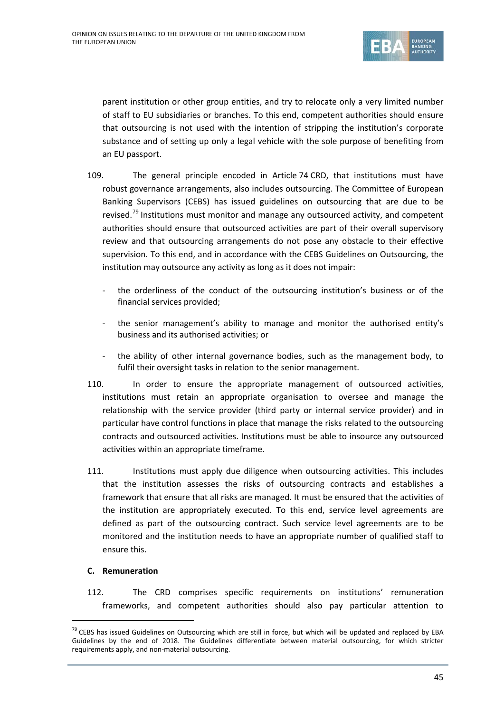

parent institution or other group entities, and try to relocate only a very limited number of staff to EU subsidiaries or branches. To this end, competent authorities should ensure that outsourcing is not used with the intention of stripping the institution's corporate substance and of setting up only a legal vehicle with the sole purpose of benefiting from an EU passport.

- 109. The general principle encoded in Article 74 CRD, that institutions must have robust governance arrangements, also includes outsourcing. The Committee of European Banking Supervisors (CEBS) has issued guidelines on outsourcing that are due to be revised.<sup>[79](#page-44-0)</sup> Institutions must monitor and manage any outsourced activity, and competent authorities should ensure that outsourced activities are part of their overall supervisory review and that outsourcing arrangements do not pose any obstacle to their effective supervision. To this end, and in accordance with the CEBS Guidelines on Outsourcing, the institution may outsource any activity as long as it does not impair:
	- the orderliness of the conduct of the outsourcing institution's business or of the financial services provided;
	- the senior management's ability to manage and monitor the authorised entity's business and its authorised activities; or
	- the ability of other internal governance bodies, such as the management body, to fulfil their oversight tasks in relation to the senior management.
- 110. In order to ensure the appropriate management of outsourced activities, institutions must retain an appropriate organisation to oversee and manage the relationship with the service provider (third party or internal service provider) and in particular have control functions in place that manage the risks related to the outsourcing contracts and outsourced activities. Institutions must be able to insource any outsourced activities within an appropriate timeframe.
- 111. Institutions must apply due diligence when outsourcing activities. This includes that the institution assesses the risks of outsourcing contracts and establishes a framework that ensure that all risks are managed. It must be ensured that the activities of the institution are appropriately executed. To this end, service level agreements are defined as part of the outsourcing contract. Such service level agreements are to be monitored and the institution needs to have an appropriate number of qualified staff to ensure this.

## **C. Remuneration**

112. The CRD comprises specific requirements on institutions' remuneration frameworks, and competent authorities should also pay particular attention to

<span id="page-44-0"></span><sup>&</sup>lt;sup>79</sup> CEBS has issued Guidelines on Outsourcing which are still in force, but which will be updated and replaced by EBA Guidelines by the end of 2018. The Guidelines differentiate between material outsourcing, for which stricter requirements apply, and non-material outsourcing.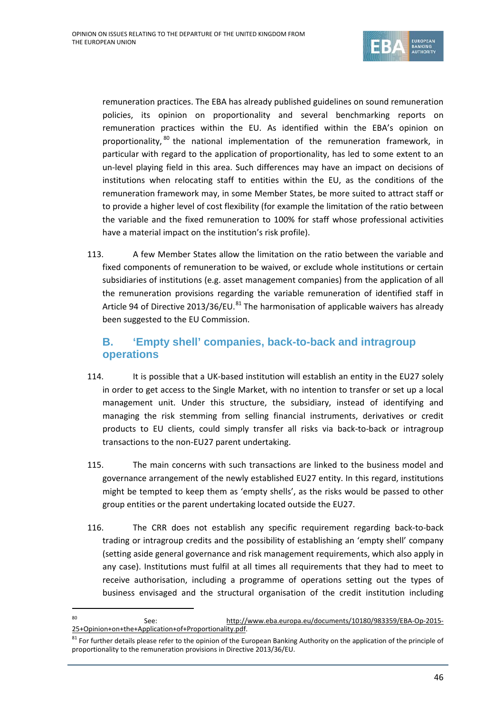

remuneration practices. The EBA has already published guidelines on sound remuneration policies, its opinion on proportionality and several benchmarking reports on remuneration practices within the EU. As identified within the EBA's opinion on proportionality, <sup>[80](#page-45-0)</sup> the national implementation of the remuneration framework, in particular with regard to the application of proportionality, has led to some extent to an un-level playing field in this area. Such differences may have an impact on decisions of institutions when relocating staff to entities within the EU, as the conditions of the remuneration framework may, in some Member States, be more suited to attract staff or to provide a higher level of cost flexibility (for example the limitation of the ratio between the variable and the fixed remuneration to 100% for staff whose professional activities have a material impact on the institution's risk profile).

113. A few Member States allow the limitation on the ratio between the variable and fixed components of remuneration to be waived, or exclude whole institutions or certain subsidiaries of institutions (e.g. asset management companies) from the application of all the remuneration provisions regarding the variable remuneration of identified staff in Article 94 of Directive 2013/36/EU.<sup>[81](#page-45-1)</sup> The harmonisation of applicable waivers has already been suggested to the EU Commission.

# **B. 'Empty shell' companies, back-to-back and intragroup operations**

- 114. It is possible that a UK-based institution will establish an entity in the EU27 solely in order to get access to the Single Market, with no intention to transfer or set up a local management unit. Under this structure, the subsidiary, instead of identifying and managing the risk stemming from selling financial instruments, derivatives or credit products to EU clients, could simply transfer all risks via back-to-back or intragroup transactions to the non-EU27 parent undertaking.
- 115. The main concerns with such transactions are linked to the business model and governance arrangement of the newly established EU27 entity. In this regard, institutions might be tempted to keep them as 'empty shells', as the risks would be passed to other group entities or the parent undertaking located outside the EU27.
- 116. The CRR does not establish any specific requirement regarding back-to-back trading or intragroup credits and the possibility of establishing an 'empty shell' company (setting aside general governance and risk management requirements, which also apply in any case). Institutions must fulfil at all times all requirements that they had to meet to receive authorisation, including a programme of operations setting out the types of business envisaged and the structural organisation of the credit institution including

<span id="page-45-0"></span> <sup>80</sup> See: [http://www.eba.europa.eu/documents/10180/983359/EBA-Op-2015-](http://www.eba.europa.eu/documents/10180/983359/EBA-Op-2015-25+Opinion+on+the+Application+of+Proportionality.pdf) [25+Opinion+on+the+Application+of+Proportionality.pdf.](http://www.eba.europa.eu/documents/10180/983359/EBA-Op-2015-25+Opinion+on+the+Application+of+Proportionality.pdf)

<span id="page-45-1"></span> $81$  For further details please refer to the opinion of the European Banking Authority on the application of the principle of proportionality to the remuneration provisions in Directive 2013/36/EU.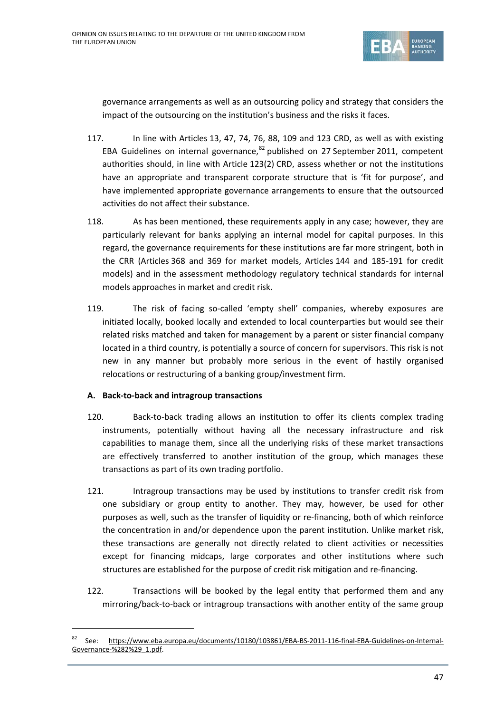

governance arrangements as well as an outsourcing policy and strategy that considers the impact of the outsourcing on the institution's business and the risks it faces.

- 117. In line with Articles 13, 47, 74, 76, 88, 109 and 123 CRD, as well as with existing EBA Guidelines on internal governance, <sup>[82](#page-46-0)</sup> published on 27 September 2011, competent authorities should, in line with Article 123(2) CRD, assess whether or not the institutions have an appropriate and transparent corporate structure that is 'fit for purpose', and have implemented appropriate governance arrangements to ensure that the outsourced activities do not affect their substance.
- 118. As has been mentioned, these requirements apply in any case; however, they are particularly relevant for banks applying an internal model for capital purposes. In this regard, the governance requirements for these institutions are far more stringent, both in the CRR (Articles 368 and 369 for market models, Articles 144 and 185-191 for credit models) and in the assessment methodology regulatory technical standards for internal models approaches in market and credit risk.
- 119. The risk of facing so-called 'empty shell' companies, whereby exposures are initiated locally, booked locally and extended to local counterparties but would see their related risks matched and taken for management by a parent or sister financial company located in a third country, is potentially a source of concern for supervisors. This risk is not new in any manner but probably more serious in the event of hastily organised relocations or restructuring of a banking group/investment firm.

# **A. Back-to-back and intragroup transactions**

- 120. Back-to-back trading allows an institution to offer its clients complex trading instruments, potentially without having all the necessary infrastructure and risk capabilities to manage them, since all the underlying risks of these market transactions are effectively transferred to another institution of the group, which manages these transactions as part of its own trading portfolio.
- 121. Intragroup transactions may be used by institutions to transfer credit risk from one subsidiary or group entity to another. They may, however, be used for other purposes as well, such as the transfer of liquidity or re-financing, both of which reinforce the concentration in and/or dependence upon the parent institution. Unlike market risk, these transactions are generally not directly related to client activities or necessities except for financing midcaps, large corporates and other institutions where such structures are established for the purpose of credit risk mitigation and re-financing.
- 122. Transactions will be booked by the legal entity that performed them and any mirroring/back-to-back or intragroup transactions with another entity of the same group

<span id="page-46-0"></span> <sup>82</sup> See: [https://www.eba.europa.eu/documents/10180/103861/EBA-BS-2011-116-final-EBA-Guidelines-on-Internal-](https://www.eba.europa.eu/documents/10180/103861/EBA-BS-2011-116-final-EBA-Guidelines-on-Internal-Governance-%282%29_1.pdf)[Governance-%282%29\\_1.pdf.](https://www.eba.europa.eu/documents/10180/103861/EBA-BS-2011-116-final-EBA-Guidelines-on-Internal-Governance-%282%29_1.pdf)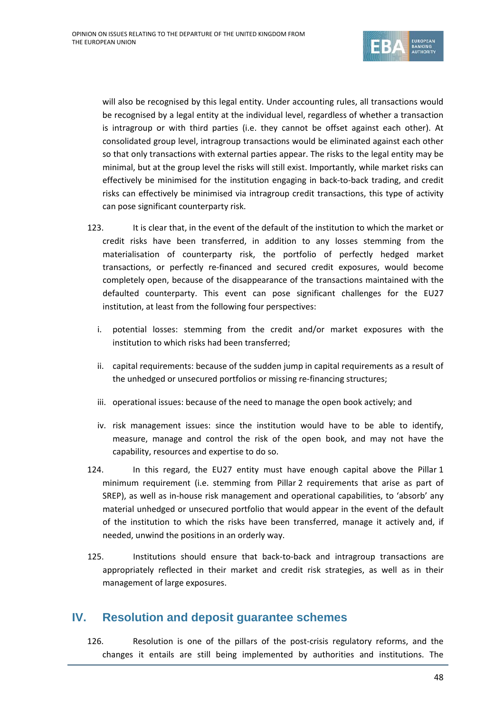

will also be recognised by this legal entity. Under accounting rules, all transactions would be recognised by a legal entity at the individual level, regardless of whether a transaction is intragroup or with third parties (i.e. they cannot be offset against each other). At consolidated group level, intragroup transactions would be eliminated against each other so that only transactions with external parties appear. The risks to the legal entity may be minimal, but at the group level the risks will still exist. Importantly, while market risks can effectively be minimised for the institution engaging in back-to-back trading, and credit risks can effectively be minimised via intragroup credit transactions, this type of activity can pose significant counterparty risk.

- 123. It is clear that, in the event of the default of the institution to which the market or credit risks have been transferred, in addition to any losses stemming from the materialisation of counterparty risk, the portfolio of perfectly hedged market transactions, or perfectly re-financed and secured credit exposures, would become completely open, because of the disappearance of the transactions maintained with the defaulted counterparty. This event can pose significant challenges for the EU27 institution, at least from the following four perspectives:
	- i. potential losses: stemming from the credit and/or market exposures with the institution to which risks had been transferred;
	- ii. capital requirements: because of the sudden jump in capital requirements as a result of the unhedged or unsecured portfolios or missing re-financing structures;
	- iii. operational issues: because of the need to manage the open book actively; and
	- iv. risk management issues: since the institution would have to be able to identify, measure, manage and control the risk of the open book, and may not have the capability, resources and expertise to do so.
- 124. In this regard, the EU27 entity must have enough capital above the Pillar 1 minimum requirement (i.e. stemming from Pillar 2 requirements that arise as part of SREP), as well as in-house risk management and operational capabilities, to 'absorb' any material unhedged or unsecured portfolio that would appear in the event of the default of the institution to which the risks have been transferred, manage it actively and, if needed, unwind the positions in an orderly way.
- 125. Institutions should ensure that back-to-back and intragroup transactions are appropriately reflected in their market and credit risk strategies, as well as in their management of large exposures.

# **IV. Resolution and deposit guarantee schemes**

126. Resolution is one of the pillars of the post-crisis regulatory reforms, and the changes it entails are still being implemented by authorities and institutions. The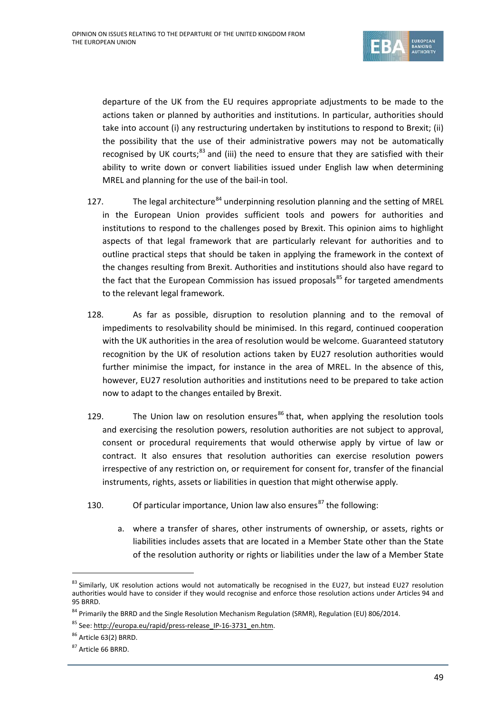

departure of the UK from the EU requires appropriate adjustments to be made to the actions taken or planned by authorities and institutions. In particular, authorities should take into account (i) any restructuring undertaken by institutions to respond to Brexit; (ii) the possibility that the use of their administrative powers may not be automatically recognised by UK courts: $83$  and (iii) the need to ensure that they are satisfied with their ability to write down or convert liabilities issued under English law when determining MREL and planning for the use of the bail-in tool.

- 127. The legal architecture<sup>[84](#page-48-1)</sup> underpinning resolution planning and the setting of MREL in the European Union provides sufficient tools and powers for authorities and institutions to respond to the challenges posed by Brexit. This opinion aims to highlight aspects of that legal framework that are particularly relevant for authorities and to outline practical steps that should be taken in applying the framework in the context of the changes resulting from Brexit. Authorities and institutions should also have regard to the fact that the European Commission has issued proposals $^{85}$  $^{85}$  $^{85}$  for targeted amendments to the relevant legal framework.
- 128. As far as possible, disruption to resolution planning and to the removal of impediments to resolvability should be minimised. In this regard, continued cooperation with the UK authorities in the area of resolution would be welcome. Guaranteed statutory recognition by the UK of resolution actions taken by EU27 resolution authorities would further minimise the impact, for instance in the area of MREL. In the absence of this, however, EU27 resolution authorities and institutions need to be prepared to take action now to adapt to the changes entailed by Brexit.
- 129. The Union law on resolution ensures<sup>[86](#page-48-3)</sup> that, when applying the resolution tools and exercising the resolution powers, resolution authorities are not subject to approval, consent or procedural requirements that would otherwise apply by virtue of law or contract. It also ensures that resolution authorities can exercise resolution powers irrespective of any restriction on, or requirement for consent for, transfer of the financial instruments, rights, assets or liabilities in question that might otherwise apply*.*
- 130. Of particular importance, Union law also ensures<sup>[87](#page-48-4)</sup> the following:
	- a. where a transfer of shares, other instruments of ownership, or assets, rights or liabilities includes assets that are located in a Member State other than the State of the resolution authority or rights or liabilities under the law of a Member State

<span id="page-48-0"></span><sup>83</sup> Similarly, UK resolution actions would not automatically be recognised in the EU27, but instead EU27 resolution authorities would have to consider if they would recognise and enforce those resolution actions under Articles 94 and 95 BRRD.

<span id="page-48-1"></span><sup>&</sup>lt;sup>84</sup> Primarily the BRRD and the Single Resolution Mechanism Regulation (SRMR), Regulation (EU) 806/2014.

<span id="page-48-2"></span><sup>85</sup> See: [http://europa.eu/rapid/press-release\\_IP-16-3731\\_en.htm.](http://europa.eu/rapid/press-release_IP-16-3731_en.htm)

<span id="page-48-3"></span><sup>86</sup> Article 63(2) BRRD.

<span id="page-48-4"></span><sup>&</sup>lt;sup>87</sup> Article 66 BRRD.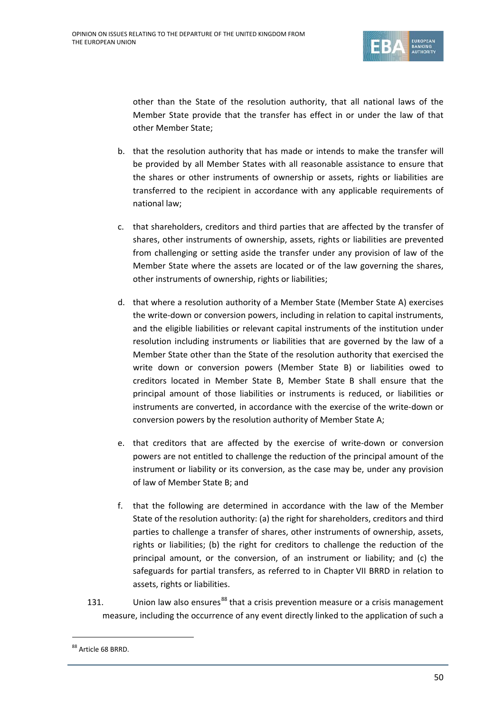

other than the State of the resolution authority, that all national laws of the Member State provide that the transfer has effect in or under the law of that other Member State;

- b. that the resolution authority that has made or intends to make the transfer will be provided by all Member States with all reasonable assistance to ensure that the shares or other instruments of ownership or assets, rights or liabilities are transferred to the recipient in accordance with any applicable requirements of national law;
- c. that shareholders, creditors and third parties that are affected by the transfer of shares, other instruments of ownership, assets, rights or liabilities are prevented from challenging or setting aside the transfer under any provision of law of the Member State where the assets are located or of the law governing the shares, other instruments of ownership, rights or liabilities;
- d. that where a resolution authority of a Member State (Member State A) exercises the write-down or conversion powers, including in relation to capital instruments, and the eligible liabilities or relevant capital instruments of the institution under resolution including instruments or liabilities that are governed by the law of a Member State other than the State of the resolution authority that exercised the write down or conversion powers (Member State B) or liabilities owed to creditors located in Member State B, Member State B shall ensure that the principal amount of those liabilities or instruments is reduced, or liabilities or instruments are converted, in accordance with the exercise of the write-down or conversion powers by the resolution authority of Member State A;
- e. that creditors that are affected by the exercise of write-down or conversion powers are not entitled to challenge the reduction of the principal amount of the instrument or liability or its conversion, as the case may be, under any provision of law of Member State B; and
- f. that the following are determined in accordance with the law of the Member State of the resolution authority: (a) the right for shareholders, creditors and third parties to challenge a transfer of shares, other instruments of ownership, assets, rights or liabilities; (b) the right for creditors to challenge the reduction of the principal amount, or the conversion, of an instrument or liability; and (c) the safeguards for partial transfers, as referred to in Chapter VII BRRD in relation to assets, rights or liabilities.
- 131. Union law also ensures<sup>[88](#page-49-0)</sup> that a crisis prevention measure or a crisis management measure, including the occurrence of any event directly linked to the application of such a

<span id="page-49-0"></span><sup>88</sup> Article 68 BRRD.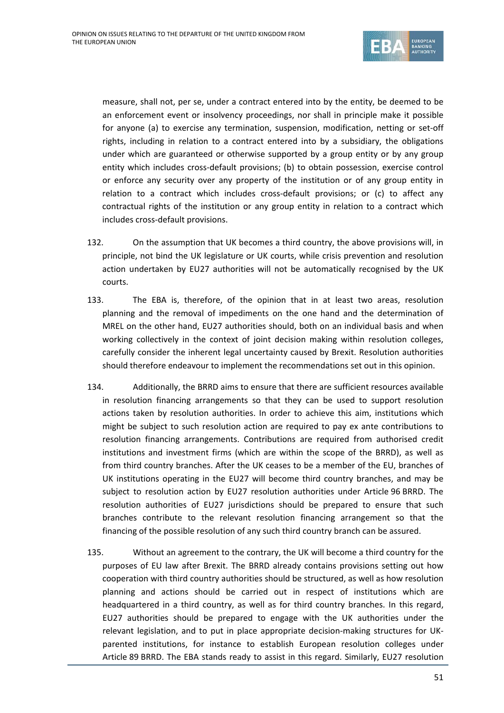

measure, shall not, per se, under a contract entered into by the entity, be deemed to be an enforcement event or insolvency proceedings, nor shall in principle make it possible for anyone (a) to exercise any termination, suspension, modification, netting or set-off rights, including in relation to a contract entered into by a subsidiary, the obligations under which are guaranteed or otherwise supported by a group entity or by any group entity which includes cross-default provisions; (b) to obtain possession, exercise control or enforce any security over any property of the institution or of any group entity in relation to a contract which includes cross-default provisions; or (c) to affect any contractual rights of the institution or any group entity in relation to a contract which includes cross-default provisions.

- 132. On the assumption that UK becomes a third country, the above provisions will, in principle, not bind the UK legislature or UK courts, while crisis prevention and resolution action undertaken by EU27 authorities will not be automatically recognised by the UK courts.
- 133. The EBA is, therefore, of the opinion that in at least two areas, resolution planning and the removal of impediments on the one hand and the determination of MREL on the other hand, EU27 authorities should, both on an individual basis and when working collectively in the context of joint decision making within resolution colleges, carefully consider the inherent legal uncertainty caused by Brexit. Resolution authorities should therefore endeavour to implement the recommendations set out in this opinion.
- 134. Additionally, the BRRD aims to ensure that there are sufficient resources available in resolution financing arrangements so that they can be used to support resolution actions taken by resolution authorities. In order to achieve this aim, institutions which might be subject to such resolution action are required to pay ex ante contributions to resolution financing arrangements. Contributions are required from authorised credit institutions and investment firms (which are within the scope of the BRRD), as well as from third country branches. After the UK ceases to be a member of the EU, branches of UK institutions operating in the EU27 will become third country branches, and may be subject to resolution action by EU27 resolution authorities under Article 96 BRRD. The resolution authorities of EU27 jurisdictions should be prepared to ensure that such branches contribute to the relevant resolution financing arrangement so that the financing of the possible resolution of any such third country branch can be assured.
- 135. Without an agreement to the contrary, the UK will become a third country for the purposes of EU law after Brexit. The BRRD already contains provisions setting out how cooperation with third country authorities should be structured, as well as how resolution planning and actions should be carried out in respect of institutions which are headquartered in a third country, as well as for third country branches. In this regard, EU27 authorities should be prepared to engage with the UK authorities under the relevant legislation, and to put in place appropriate decision-making structures for UKparented institutions, for instance to establish European resolution colleges under Article 89 BRRD. The EBA stands ready to assist in this regard. Similarly, EU27 resolution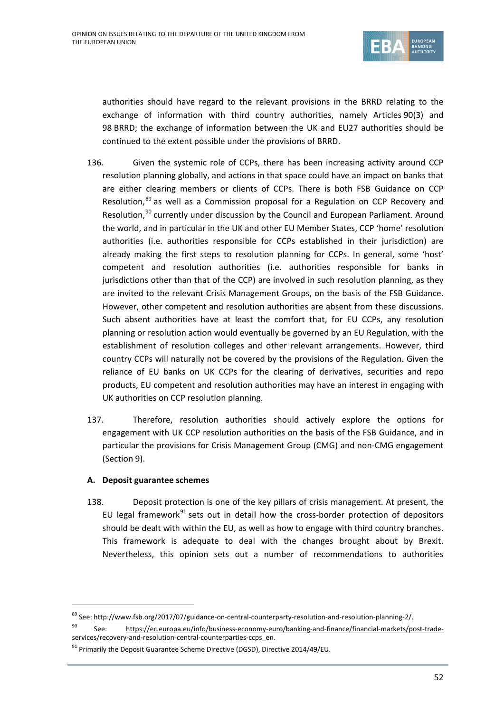

authorities should have regard to the relevant provisions in the BRRD relating to the exchange of information with third country authorities, namely Articles 90(3) and 98 BRRD; the exchange of information between the UK and EU27 authorities should be continued to the extent possible under the provisions of BRRD.

- 136. Given the systemic role of CCPs, there has been increasing activity around CCP resolution planning globally, and actions in that space could have an impact on banks that are either clearing members or clients of CCPs. There is both FSB Guidance on CCP Resolution,<sup>[89](#page-51-0)</sup> as well as a Commission proposal for a Regulation on CCP Recovery and Resolution,<sup>[90](#page-51-1)</sup> currently under discussion by the Council and European Parliament. Around the world, and in particular in the UK and other EU Member States, CCP 'home' resolution authorities (i.e. authorities responsible for CCPs established in their jurisdiction) are already making the first steps to resolution planning for CCPs. In general, some 'host' competent and resolution authorities (i.e. authorities responsible for banks in jurisdictions other than that of the CCP) are involved in such resolution planning, as they are invited to the relevant Crisis Management Groups, on the basis of the FSB Guidance. However, other competent and resolution authorities are absent from these discussions. Such absent authorities have at least the comfort that, for EU CCPs, any resolution planning or resolution action would eventually be governed by an EU Regulation, with the establishment of resolution colleges and other relevant arrangements. However, third country CCPs will naturally not be covered by the provisions of the Regulation. Given the reliance of EU banks on UK CCPs for the clearing of derivatives, securities and repo products, EU competent and resolution authorities may have an interest in engaging with UK authorities on CCP resolution planning.
- 137. Therefore, resolution authorities should actively explore the options for engagement with UK CCP resolution authorities on the basis of the FSB Guidance, and in particular the provisions for Crisis Management Group (CMG) and non-CMG engagement (Section 9).

## **A. Deposit guarantee schemes**

138. Deposit protection is one of the key pillars of crisis management. At present, the EU legal framework $91$  sets out in detail how the cross-border protection of depositors should be dealt with within the EU, as well as how to engage with third country branches. This framework is adequate to deal with the changes brought about by Brexit. Nevertheless, this opinion sets out a number of recommendations to authorities

<sup>&</sup>lt;sup>89</sup> See: [http://www.fsb.org/2017/07/guidance-on-central-counterparty-resolution-and-resolution-planning-2/.](http://www.fsb.org/2017/07/guidance-on-central-counterparty-resolution-and-resolution-planning-2/)

<span id="page-51-1"></span><span id="page-51-0"></span><sup>90</sup> See: [https://ec.europa.eu/info/business-economy-euro/banking-and-finance/financial-markets/post-trade](https://ec.europa.eu/info/business-economy-euro/banking-and-finance/financial-markets/post-trade-services/recovery-and-resolution-central-counterparties-ccps_en)[services/recovery-and-resolution-central-counterparties-ccps\\_en.](https://ec.europa.eu/info/business-economy-euro/banking-and-finance/financial-markets/post-trade-services/recovery-and-resolution-central-counterparties-ccps_en)

<span id="page-51-2"></span> $91$  Primarily the Deposit Guarantee Scheme Directive (DGSD), Directive 2014/49/EU.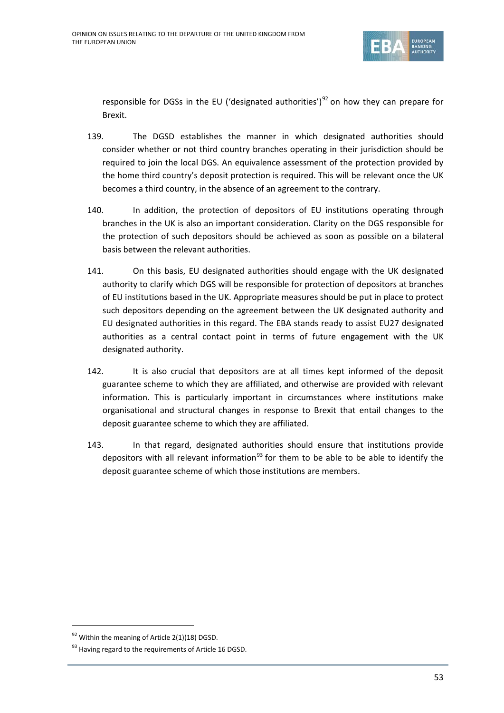

responsible for DGSs in the EU ('designated authorities')<sup>[92](#page-52-0)</sup> on how they can prepare for Brexit.

- 139. The DGSD establishes the manner in which designated authorities should consider whether or not third country branches operating in their jurisdiction should be required to join the local DGS. An equivalence assessment of the protection provided by the home third country's deposit protection is required. This will be relevant once the UK becomes a third country, in the absence of an agreement to the contrary.
- 140. In addition, the protection of depositors of EU institutions operating through branches in the UK is also an important consideration. Clarity on the DGS responsible for the protection of such depositors should be achieved as soon as possible on a bilateral basis between the relevant authorities.
- 141. On this basis, EU designated authorities should engage with the UK designated authority to clarify which DGS will be responsible for protection of depositors at branches of EU institutions based in the UK. Appropriate measures should be put in place to protect such depositors depending on the agreement between the UK designated authority and EU designated authorities in this regard. The EBA stands ready to assist EU27 designated authorities as a central contact point in terms of future engagement with the UK designated authority.
- 142. It is also crucial that depositors are at all times kept informed of the deposit guarantee scheme to which they are affiliated, and otherwise are provided with relevant information. This is particularly important in circumstances where institutions make organisational and structural changes in response to Brexit that entail changes to the deposit guarantee scheme to which they are affiliated.
- 143. In that regard, designated authorities should ensure that institutions provide depositors with all relevant information<sup>[93](#page-52-1)</sup> for them to be able to be able to identify the deposit guarantee scheme of which those institutions are members.

<span id="page-52-0"></span> $92$  Within the meaning of Article 2(1)(18) DGSD.

<span id="page-52-1"></span><sup>&</sup>lt;sup>93</sup> Having regard to the requirements of Article 16 DGSD.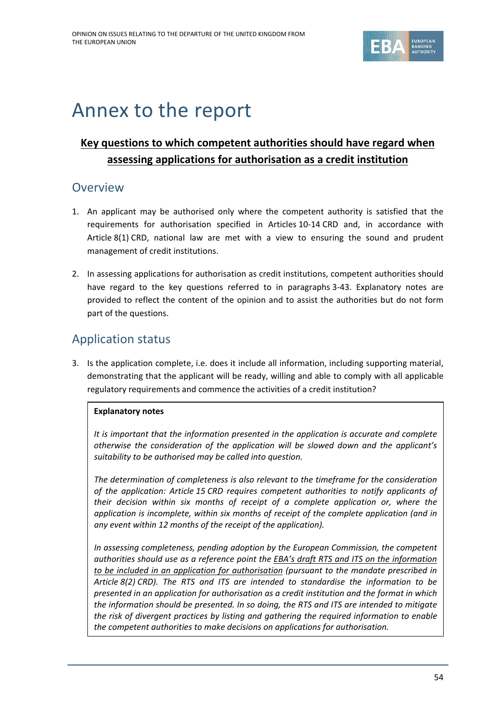

# Annex to the report

# **Key questions to which competent authorities should have regard when assessing applications for authorisation as a credit institution**

# **Overview**

- 1. An applicant may be authorised only where the competent authority is satisfied that the requirements for authorisation specified in Articles 10-14 CRD and, in accordance with Article 8(1) CRD, national law are met with a view to ensuring the sound and prudent management of credit institutions.
- 2. In assessing applications for authorisation as credit institutions, competent authorities should have regard to the key questions referred to in paragraphs 3-43. Explanatory notes are provided to reflect the content of the opinion and to assist the authorities but do not form part of the questions.

# Application status

3. Is the application complete, i.e. does it include all information, including supporting material, demonstrating that the applicant will be ready, willing and able to comply with all applicable regulatory requirements and commence the activities of a credit institution?

# **Explanatory notes**

*It is important that the information presented in the application is accurate and complete otherwise the consideration of the application will be slowed down and the applicant's suitability to be authorised may be called into question.*

*The determination of completeness is also relevant to the timeframe for the consideration of the application: Article 15 CRD requires competent authorities to notify applicants of their decision within six months of receipt of a complete application or, where the application is incomplete, within six months of receipt of the complete application (and in any event within 12 months of the receipt of the application).*

*In assessing completeness, pending adoption by the European Commission, the competent authorities should use as a reference point the EBA's draft RTS and ITS on the [information](https://www.eba.europa.eu/regulation-and-policy/other-topics/rts-and-its-on-the-authorisation-of-credit-institutions) to be included in an application for [authorisation](https://www.eba.europa.eu/regulation-and-policy/other-topics/rts-and-its-on-the-authorisation-of-credit-institutions) (pursuant to the mandate prescribed in Article 8(2) CRD). The RTS and ITS are intended to standardise the information to be presented in an application for authorisation as a credit institution and the format in which the information should be presented. In so doing, the RTS and ITS are intended to mitigate the risk of divergent practices by listing and gathering the required information to enable the competent authorities to make decisions on applications for authorisation.*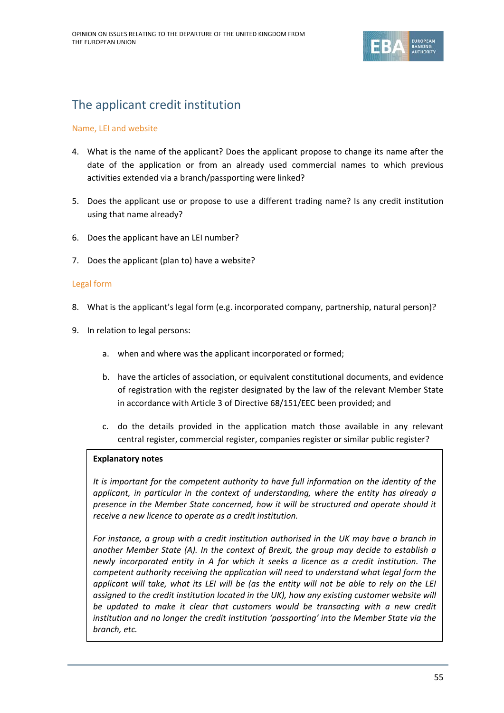

# The applicant credit institution

## Name, LEI and website

- 4. What is the name of the applicant? Does the applicant propose to change its name after the date of the application or from an already used commercial names to which previous activities extended via a branch/passporting were linked?
- 5. Does the applicant use or propose to use a different trading name? Is any credit institution using that name already?
- 6. Does the applicant have an LEI number?
- 7. Does the applicant (plan to) have a website?

## Legal form

- 8. What is the applicant's legal form (e.g. incorporated company, partnership, natural person)?
- 9. In relation to legal persons:
	- a. when and where was the applicant incorporated or formed;
	- b. have the articles of association, or equivalent constitutional documents, and evidence of registration with the register designated by the law of the relevant Member State in accordance with Article 3 of Directive 68/151/EEC been provided; and
	- c. do the details provided in the application match those available in any relevant central register, commercial register, companies register or similar public register?

## **Explanatory notes**

*It is important for the competent authority to have full information on the identity of the applicant, in particular in the context of understanding, where the entity has already a presence in the Member State concerned, how it will be structured and operate should it receive a new licence to operate as a credit institution.*

*For instance, a group with a credit institution authorised in the UK may have a branch in another Member State (A). In the context of Brexit, the group may decide to establish a newly incorporated entity in A for which it seeks a licence as a credit institution. The competent authority receiving the application will need to understand what legal form the* applicant will take, what its LEI will be (as the entity will not be able to rely on the LEI *assigned to the credit institution located in the UK), how any existing customer website will be updated to make it clear that customers would be transacting with a new credit institution and no longer the credit institution 'passporting' into the Member State via the branch, etc.*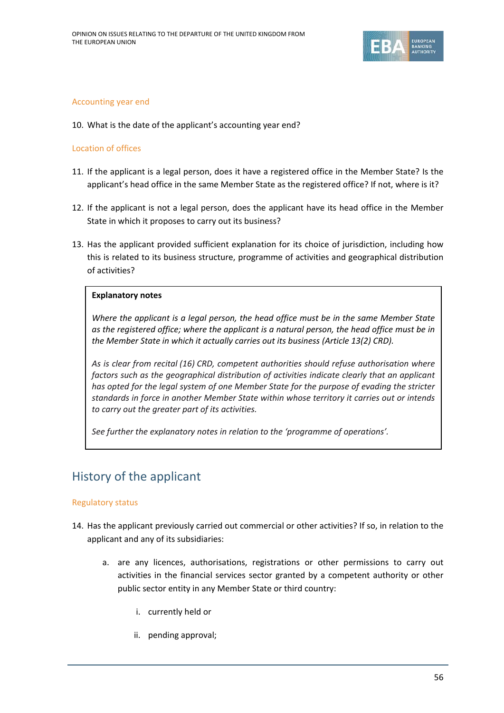

## Accounting year end

10. What is the date of the applicant's accounting year end?

## Location of offices

- 11. If the applicant is a legal person, does it have a registered office in the Member State? Is the applicant's head office in the same Member State as the registered office? If not, where is it?
- 12. If the applicant is not a legal person, does the applicant have its head office in the Member State in which it proposes to carry out its business?
- 13. Has the applicant provided sufficient explanation for its choice of jurisdiction, including how this is related to its business structure, programme of activities and geographical distribution of activities?

## **Explanatory notes**

*Where the applicant is a legal person, the head office must be in the same Member State as the registered office; where the applicant is a natural person, the head office must be in the Member State in which it actually carries out its business (Article 13(2) CRD).*

*As is clear from recital (16) CRD, competent authorities should refuse authorisation where factors such as the geographical distribution of activities indicate clearly that an applicant has opted for the legal system of one Member State for the purpose of evading the stricter standards in force in another Member State within whose territory it carries out or intends to carry out the greater part of its activities.*

*See further the explanatory notes in relation to the 'programme of operations'.*

# History of the applicant

## Regulatory status

- 14. Has the applicant previously carried out commercial or other activities? If so, in relation to the applicant and any of its subsidiaries:
	- a. are any licences, authorisations, registrations or other permissions to carry out activities in the financial services sector granted by a competent authority or other public sector entity in any Member State or third country:
		- i. currently held or
		- ii. pending approval;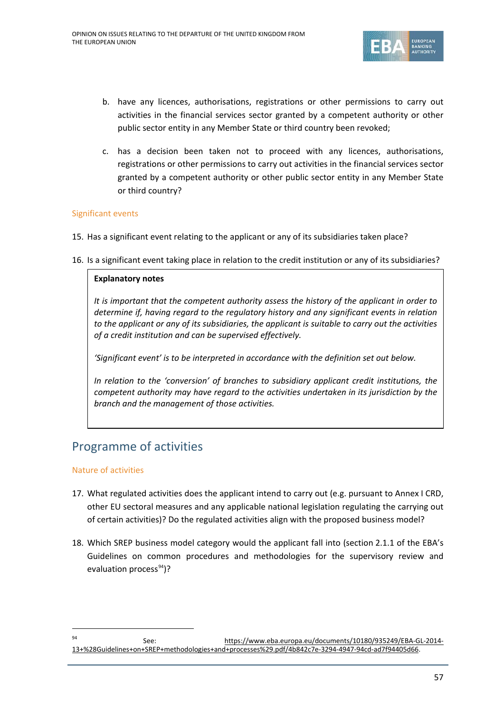

- b. have any licences, authorisations, registrations or other permissions to carry out activities in the financial services sector granted by a competent authority or other public sector entity in any Member State or third country been revoked;
- c. has a decision been taken not to proceed with any licences, authorisations, registrations or other permissions to carry out activities in the financial services sector granted by a competent authority or other public sector entity in any Member State or third country?

## Significant events

- 15. Has a significant event relating to the applicant or any of its subsidiaries taken place?
- 16. Is a significant event taking place in relation to the credit institution or any of its subsidiaries?

## **Explanatory notes**

*It is important that the competent authority assess the history of the applicant in order to determine if, having regard to the regulatory history and any significant events in relation to the applicant or any of its subsidiaries, the applicant is suitable to carry out the activities of a credit institution and can be supervised effectively.*

*'Significant event' is to be interpreted in accordance with the definition set out below.*

*In relation to the 'conversion' of branches to subsidiary applicant credit institutions, the competent authority may have regard to the activities undertaken in its jurisdiction by the branch and the management of those activities.*

# Programme of activities

## Nature of activities

- 17. What regulated activities does the applicant intend to carry out (e.g. pursuant to Annex I CRD, other EU sectoral measures and any applicable national legislation regulating the carrying out of certain activities)? Do the regulated activities align with the proposed business model?
- 18. Which SREP business model category would the applicant fall into (section 2.1.1 of the EBA's Guidelines on common procedures and methodologies for the supervisory review and evaluation process<sup>[94](#page-56-0)</sup>)?

<span id="page-56-0"></span> <sup>94</sup> See: [https://www.eba.europa.eu/documents/10180/935249/EBA-GL-2014-](https://www.eba.europa.eu/documents/10180/935249/EBA-GL-2014-13+%28Guidelines+on+SREP+methodologies+and+processes%29.pdf/4b842c7e-3294-4947-94cd-ad7f94405d66) [13+%28Guidelines+on+SREP+methodologies+and+processes%29.pdf/4b842c7e-3294-4947-94cd-ad7f94405d66.](https://www.eba.europa.eu/documents/10180/935249/EBA-GL-2014-13+%28Guidelines+on+SREP+methodologies+and+processes%29.pdf/4b842c7e-3294-4947-94cd-ad7f94405d66)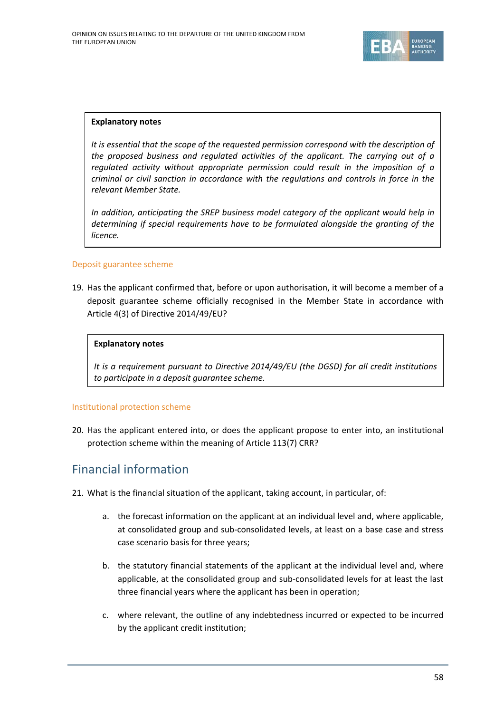

*It is essential that the scope of the requested permission correspond with the description of the proposed business and regulated activities of the applicant. The carrying out of a regulated activity without appropriate permission could result in the imposition of a criminal or civil sanction in accordance with the regulations and controls in force in the relevant Member State.*

*In addition, anticipating the SREP business model category of the applicant would help in determining if special requirements have to be formulated alongside the granting of the licence.*

## Deposit guarantee scheme

19. Has the applicant confirmed that, before or upon authorisation, it will become a member of a deposit guarantee scheme officially recognised in the Member State in accordance with Article 4(3) of Directive 2014/49/EU?

## **Explanatory notes**

*It is a requirement pursuant to Directive 2014/49/EU (the DGSD) for all credit institutions to participate in a deposit guarantee scheme.*

#### Institutional protection scheme

20. Has the applicant entered into, or does the applicant propose to enter into, an institutional protection scheme within the meaning of Article 113(7) CRR?

# Financial information

- 21. What is the financial situation of the applicant, taking account, in particular, of:
	- a. the forecast information on the applicant at an individual level and, where applicable, at consolidated group and sub-consolidated levels, at least on a base case and stress case scenario basis for three years;
	- b. the statutory financial statements of the applicant at the individual level and, where applicable, at the consolidated group and sub-consolidated levels for at least the last three financial years where the applicant has been in operation;
	- c. where relevant, the outline of any indebtedness incurred or expected to be incurred by the applicant credit institution;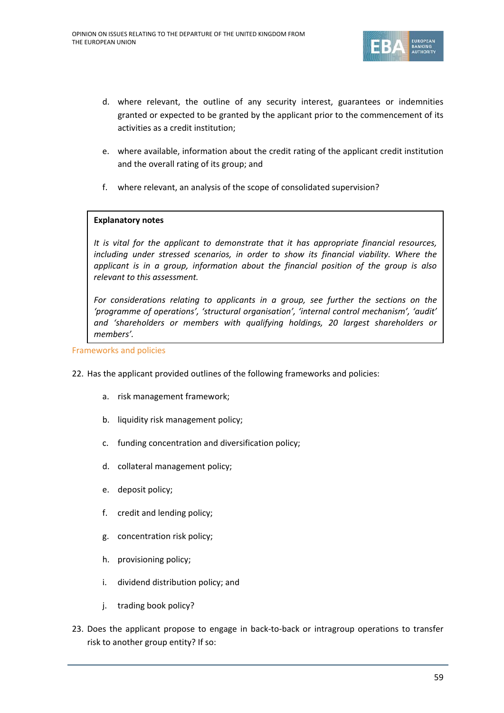

- d. where relevant, the outline of any security interest, guarantees or indemnities granted or expected to be granted by the applicant prior to the commencement of its activities as a credit institution;
- e. where available, information about the credit rating of the applicant credit institution and the overall rating of its group; and
- f. where relevant, an analysis of the scope of consolidated supervision?

*It is vital for the applicant to demonstrate that it has appropriate financial resources, including under stressed scenarios, in order to show its financial viability. Where the applicant is in a group, information about the financial position of the group is also relevant to this assessment.*

*For considerations relating to applicants in a group, see further the sections on the 'programme of operations', 'structural organisation', 'internal control mechanism', 'audit' and 'shareholders or members with qualifying holdings, 20 largest shareholders or members'.*

Frameworks and policies

- 22. Has the applicant provided outlines of the following frameworks and policies:
	- a. risk management framework;
	- b. liquidity risk management policy;
	- c. funding concentration and diversification policy;
	- d. collateral management policy;
	- e. deposit policy;
	- f. credit and lending policy;
	- g. concentration risk policy;
	- h. provisioning policy;
	- i. dividend distribution policy; and
	- j. trading book policy?
- 23. Does the applicant propose to engage in back-to-back or intragroup operations to transfer risk to another group entity? If so: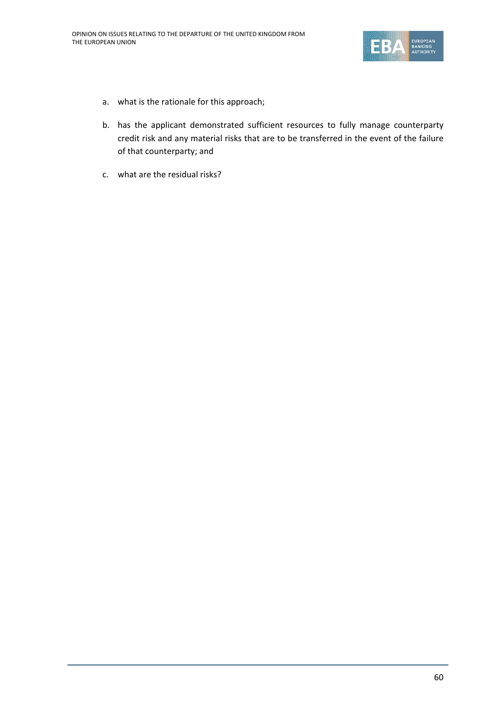

- a. what is the rationale for this approach;
- b. has the applicant demonstrated sufficient resources to fully manage counterparty credit risk and any material risks that are to be transferred in the event of the failure of that counterparty; and
- c. what are the residual risks?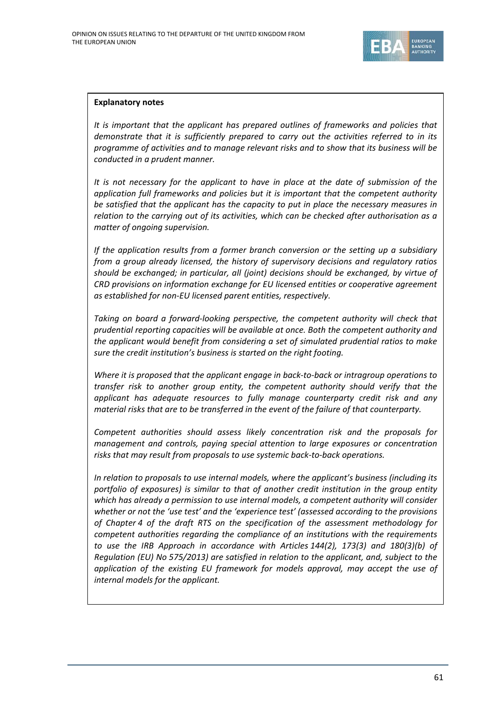

*It is important that the applicant has prepared outlines of frameworks and policies that demonstrate that it is sufficiently prepared to carry out the activities referred to in its programme of activities and to manage relevant risks and to show that its business will be conducted in a prudent manner.*

*It is not necessary for the applicant to have in place at the date of submission of the application full frameworks and policies but it is important that the competent authority be satisfied that the applicant has the capacity to put in place the necessary measures in relation to the carrying out of its activities, which can be checked after authorisation as a matter of ongoing supervision.*

*If the application results from a former branch conversion or the setting up a subsidiary from a group already licensed, the history of supervisory decisions and regulatory ratios should be exchanged; in particular, all (joint) decisions should be exchanged, by virtue of CRD provisions on information exchange for EU licensed entities or cooperative agreement as established for non-EU licensed parent entities, respectively.*

*Taking on board a forward-looking perspective, the competent authority will check that prudential reporting capacities will be available at once. Both the competent authority and the applicant would benefit from considering a set of simulated prudential ratios to make sure the credit institution's business is started on the right footing.*

*Where it is proposed that the applicant engage in back-to-back or intragroup operations to transfer risk to another group entity, the competent authority should verify that the applicant has adequate resources to fully manage counterparty credit risk and any material risks that are to be transferred in the event of the failure of that counterparty.*

*Competent authorities should assess likely concentration risk and the proposals for management and controls, paying special attention to large exposures or concentration risks that may result from proposals to use systemic back-to-back operations.*

*In relation to proposals to use internal models, where the applicant's business (including its portfolio of exposures) is similar to that of another credit institution in the group entity which has already a permission to use internal models, a competent authority will consider whether or not the 'use test' and the 'experience test' (assessed according to the provisions of Chapter 4 of the draft RTS on the specification of the assessment methodology for competent authorities regarding the compliance of an institutions with the requirements to use the IRB Approach in accordance with Articles 144(2), 173(3) and 180(3)(b) of Regulation (EU) No 575/2013) are satisfied in relation to the applicant, and, subject to the application of the existing EU framework for models approval, may accept the use of internal models for the applicant.*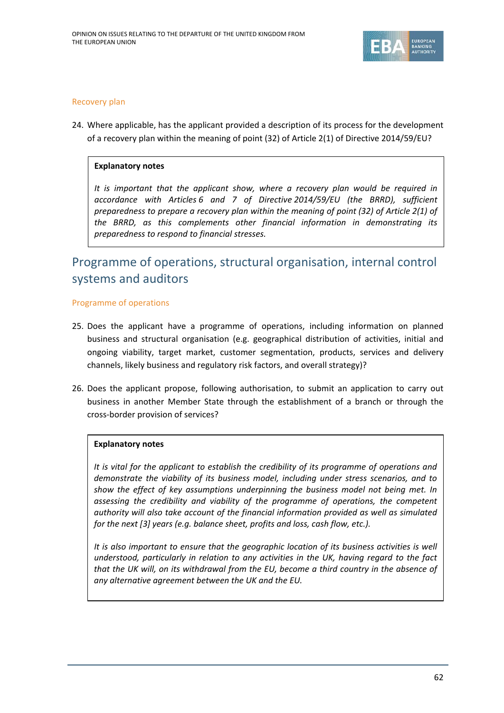

## Recovery plan

24. Where applicable, has the applicant provided a description of its process for the development of a recovery plan within the meaning of point (32) of Article 2(1) of Directive 2014/59/EU?

## **Explanatory notes**

*It is important that the applicant show, where a recovery plan would be required in accordance with Articles 6 and 7 of Directive 2014/59/EU (the BRRD), sufficient preparedness to prepare a recovery plan within the meaning of point (32) of Article 2(1) of the BRRD, as this complements other financial information in demonstrating its preparedness to respond to financial stresses.* 

# Programme of operations, structural organisation, internal control systems and auditors

## Programme of operations

- 25. Does the applicant have a programme of operations, including information on planned business and structural organisation (e.g. geographical distribution of activities, initial and ongoing viability, target market, customer segmentation, products, services and delivery channels, likely business and regulatory risk factors, and overall strategy)?
- 26. Does the applicant propose, following authorisation, to submit an application to carry out business in another Member State through the establishment of a branch or through the cross-border provision of services?

## **Explanatory notes**

*It is vital for the applicant to establish the credibility of its programme of operations and demonstrate the viability of its business model, including under stress scenarios, and to show the effect of key assumptions underpinning the business model not being met. In assessing the credibility and viability of the programme of operations, the competent authority will also take account of the financial information provided as well as simulated for the next [3] years (e.g. balance sheet, profits and loss, cash flow, etc.).*

*It is also important to ensure that the geographic location of its business activities is well understood, particularly in relation to any activities in the UK, having regard to the fact that the UK will, on its withdrawal from the EU, become a third country in the absence of any alternative agreement between the UK and the EU.*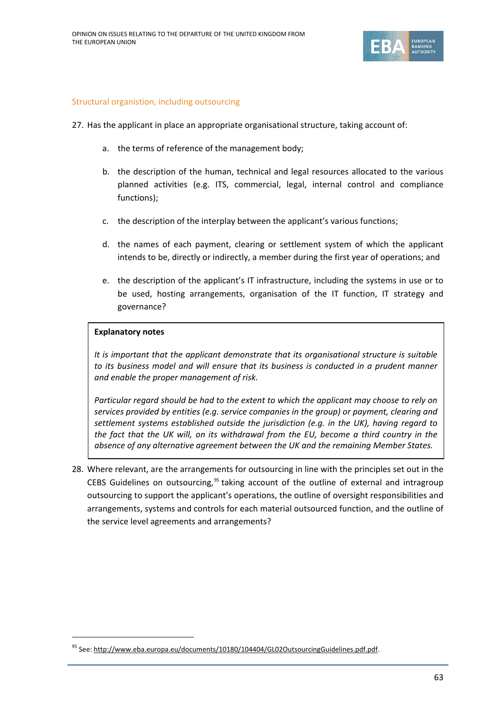

## Structural organistion, including outsourcing

- 27. Has the applicant in place an appropriate organisational structure, taking account of:
	- a. the terms of reference of the management body;
	- b. the description of the human, technical and legal resources allocated to the various planned activities (e.g. ITS, commercial, legal, internal control and compliance functions);
	- c. the description of the interplay between the applicant's various functions;
	- d. the names of each payment, clearing or settlement system of which the applicant intends to be, directly or indirectly, a member during the first year of operations; and
	- e. the description of the applicant's IT infrastructure, including the systems in use or to be used, hosting arrangements, organisation of the IT function, IT strategy and governance?

#### **Explanatory notes**

*It is important that the applicant demonstrate that its organisational structure is suitable to its business model and will ensure that its business is conducted in a prudent manner and enable the proper management of risk.*

*Particular regard should be had to the extent to which the applicant may choose to rely on services provided by entities (e.g. service companies in the group) or payment, clearing and settlement systems established outside the jurisdiction (e.g. in the UK), having regard to the fact that the UK will, on its withdrawal from the EU, become a third country in the absence of any alternative agreement between the UK and the remaining Member States.*

28. Where relevant, are the arrangements for outsourcing in line with the principles set out in the CEBS Guidelines on outsourcing,<sup>[95](#page-62-0)</sup> taking account of the outline of external and intragroup outsourcing to support the applicant's operations, the outline of oversight responsibilities and arrangements, systems and controls for each material outsourced function, and the outline of the service level agreements and arrangements?

<span id="page-62-0"></span><sup>95</sup> See: [http://www.eba.europa.eu/documents/10180/104404/GL02OutsourcingGuidelines.pdf.pdf.](http://www.eba.europa.eu/documents/10180/104404/GL02OutsourcingGuidelines.pdf.pdf)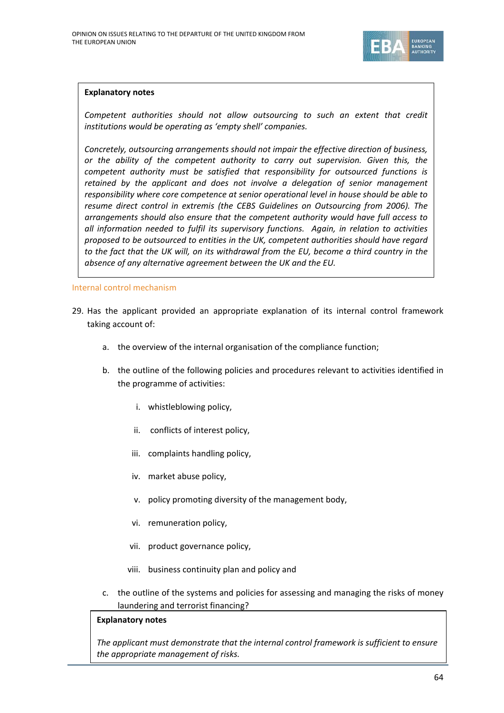

*Competent authorities should not allow outsourcing to such an extent that credit institutions would be operating as 'empty shell' companies.*

*Concretely, outsourcing arrangements should not impair the effective direction of business, or the ability of the competent authority to carry out supervision. Given this, the competent authority must be satisfied that responsibility for outsourced functions is retained by the applicant and does not involve a delegation of senior management responsibility where core competence at senior operational level in house should be able to resume direct control in extremis (the CEBS Guidelines on Outsourcing from 2006). The arrangements should also ensure that the competent authority would have full access to all information needed to fulfil its supervisory functions. Again, in relation to activities proposed to be outsourced to entities in the UK, competent authorities should have regard to the fact that the UK will, on its withdrawal from the EU, become a third country in the absence of any alternative agreement between the UK and the EU.*

Internal control mechanism

- 29. Has the applicant provided an appropriate explanation of its internal control framework taking account of:
	- a. the overview of the internal organisation of the compliance function;
	- b. the outline of the following policies and procedures relevant to activities identified in the programme of activities:
		- i. whistleblowing policy,
		- ii. conflicts of interest policy,
		- iii. complaints handling policy,
		- iv. market abuse policy,
		- v. policy promoting diversity of the management body,
		- vi. remuneration policy,
		- vii. product governance policy,
		- viii. business continuity plan and policy and
	- c. the outline of the systems and policies for assessing and managing the risks of money laundering and terrorist financing?

#### **Explanatory notes**

*The applicant must demonstrate that the internal control framework is sufficient to ensure the appropriate management of risks.*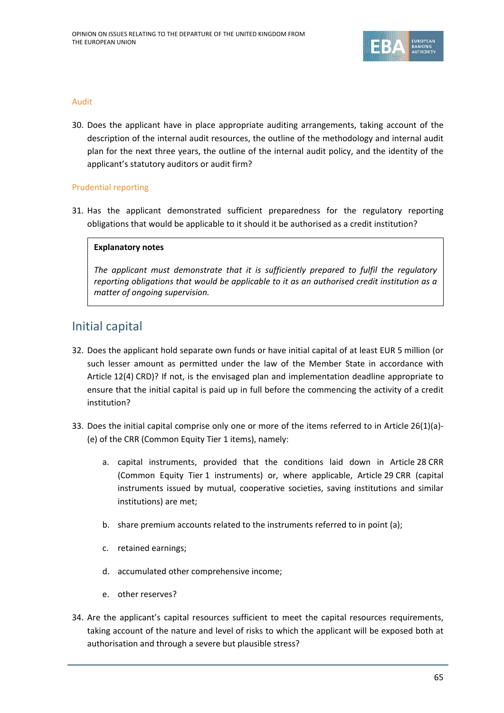

## Audit

30. Does the applicant have in place appropriate auditing arrangements, taking account of the description of the internal audit resources, the outline of the methodology and internal audit plan for the next three years, the outline of the internal audit policy, and the identity of the applicant's statutory auditors or audit firm?

## Prudential reporting

31. Has the applicant demonstrated sufficient preparedness for the regulatory reporting obligations that would be applicable to it should it be authorised as a credit institution?

## **Explanatory notes**

*The applicant must demonstrate that it is sufficiently prepared to fulfil the regulatory reporting obligations that would be applicable to it as an authorised credit institution as a matter of ongoing supervision.*

# Initial capital

- 32. Does the applicant hold separate own funds or have initial capital of at least EUR 5 million (or such lesser amount as permitted under the law of the Member State in accordance with Article 12(4) CRD)? If not, is the envisaged plan and implementation deadline appropriate to ensure that the initial capital is paid up in full before the commencing the activity of a credit institution?
- 33. Does the initial capital comprise only one or more of the items referred to in Article 26(1)(a)- (e) of the CRR (Common Equity Tier 1 items), namely:
	- a. capital instruments, provided that the conditions laid down in Article 28 CRR (Common Equity Tier 1 instruments) or, where applicable, Article 29 CRR (capital instruments issued by mutual, cooperative societies, saving institutions and similar institutions) are met;
	- b. share premium accounts related to the instruments referred to in point (a);
	- c. retained earnings;
	- d. accumulated other comprehensive income;
	- e. other reserves?
- 34. Are the applicant's capital resources sufficient to meet the capital resources requirements, taking account of the nature and level of risks to which the applicant will be exposed both at authorisation and through a severe but plausible stress?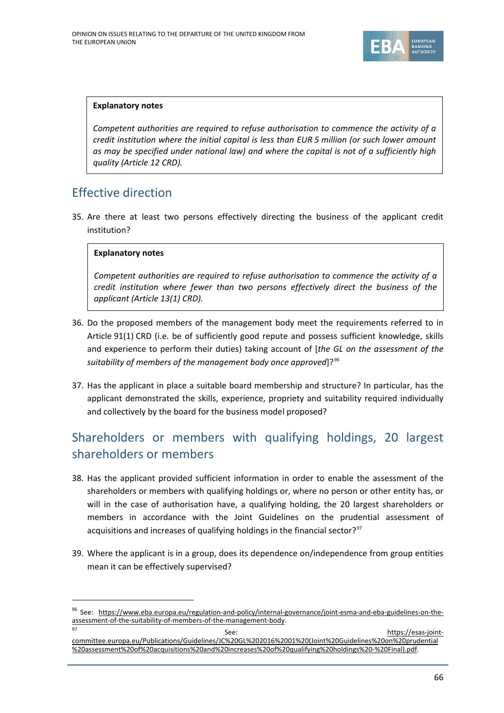

*Competent authorities are required to refuse authorisation to commence the activity of a credit institution where the initial capital is less than EUR 5 million (or such lower amount as may be specified under national law) and where the capital is not of a sufficiently high quality (Article 12 CRD).*

# Effective direction

35. Are there at least two persons effectively directing the business of the applicant credit institution?

## **Explanatory notes**

*Competent authorities are required to refuse authorisation to commence the activity of a credit institution where fewer than two persons effectively direct the business of the applicant (Article 13(1) CRD).*

- 36. Do the proposed members of the management body meet the requirements referred to in Article 91(1) CRD (i.e. be of sufficiently good repute and possess sufficient knowledge, skills and experience to perform their duties) taking account of [*the GL on the assessment of the suitability of members of the management body once approved*]?*[96](#page-65-0)*
- 37. Has the applicant in place a suitable board membership and structure? In particular, has the applicant demonstrated the skills, experience, propriety and suitability required individually and collectively by the board for the business model proposed?

# Shareholders or members with qualifying holdings, 20 largest shareholders or members

- 38. Has the applicant provided sufficient information in order to enable the assessment of the shareholders or members with qualifying holdings or, where no person or other entity has, or will in the case of authorisation have, a qualifying holding, the 20 largest shareholders or members in accordance with the Joint Guidelines on the prudential assessment of acquisitions and increases of qualifying holdings in the financial sector? $97$
- 39. Where the applicant is in a group, does its dependence on/independence from group entities mean it can be effectively supervised?

See: [https://esas-joint-](https://esas-joint-committee.europa.eu/Publications/Guidelines/JC%20GL%202016%2001%20(Joint%20Guidelines%20on%20prudential%20assessment%20of%20acquisitions%20and%20increases%20of%20qualifying%20holdings%20-%20Final).pdf)

<span id="page-65-0"></span> <sup>96</sup> See: [https://www.eba.europa.eu/regulation-and-policy/internal-governance/joint-esma-and-eba-guidelines-on-the](https://www.eba.europa.eu/regulation-and-policy/internal-governance/joint-esma-and-eba-guidelines-on-the-assessment-of-the-suitability-of-members-of-the-management-body)[assessment-of-the-suitability-of-members-of-the-management-body.](https://www.eba.europa.eu/regulation-and-policy/internal-governance/joint-esma-and-eba-guidelines-on-the-assessment-of-the-suitability-of-members-of-the-management-body)

<span id="page-65-1"></span>[committee.europa.eu/Publications/Guidelines/JC%20GL%202016%2001%20\(Joint%20Guidelines%20on%20prudential](https://esas-joint-committee.europa.eu/Publications/Guidelines/JC%20GL%202016%2001%20(Joint%20Guidelines%20on%20prudential%20assessment%20of%20acquisitions%20and%20increases%20of%20qualifying%20holdings%20-%20Final).pdf) [%20assessment%20of%20acquisitions%20and%20increases%20of%20qualifying%20holdings%20-%20Final\).pdf.](https://esas-joint-committee.europa.eu/Publications/Guidelines/JC%20GL%202016%2001%20(Joint%20Guidelines%20on%20prudential%20assessment%20of%20acquisitions%20and%20increases%20of%20qualifying%20holdings%20-%20Final).pdf)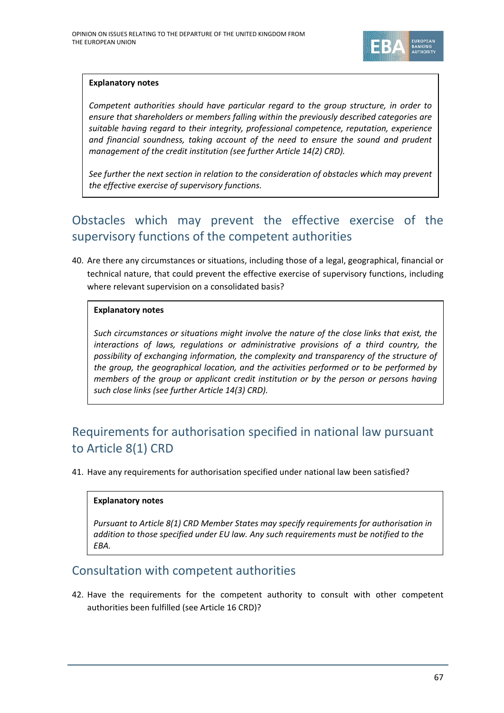

*Competent authorities should have particular regard to the group structure, in order to ensure that shareholders or members falling within the previously described categories are suitable having regard to their integrity, professional competence, reputation, experience and financial soundness, taking account of the need to ensure the sound and prudent management of the credit institution (see further Article 14(2) CRD).*

*See further the next section in relation to the consideration of obstacles which may prevent the effective exercise of supervisory functions.*

# Obstacles which may prevent the effective exercise of the supervisory functions of the competent authorities

40. Are there any circumstances or situations, including those of a legal, geographical, financial or technical nature, that could prevent the effective exercise of supervisory functions, including where relevant supervision on a consolidated basis?

## **Explanatory notes**

*Such circumstances or situations might involve the nature of the close links that exist, the interactions of laws, regulations or administrative provisions of a third country, the possibility of exchanging information, the complexity and transparency of the structure of the group, the geographical location, and the activities performed or to be performed by members of the group or applicant credit institution or by the person or persons having such close links (see further Article 14(3) CRD).*

# Requirements for authorisation specified in national law pursuant to Article 8(1) CRD

41. Have any requirements for authorisation specified under national law been satisfied?

## **Explanatory notes**

*Pursuant to Article 8(1) CRD Member States may specify requirements for authorisation in addition to those specified under EU law. Any such requirements must be notified to the EBA.* 

# Consultation with competent authorities

42. Have the requirements for the competent authority to consult with other competent authorities been fulfilled (see Article 16 CRD)?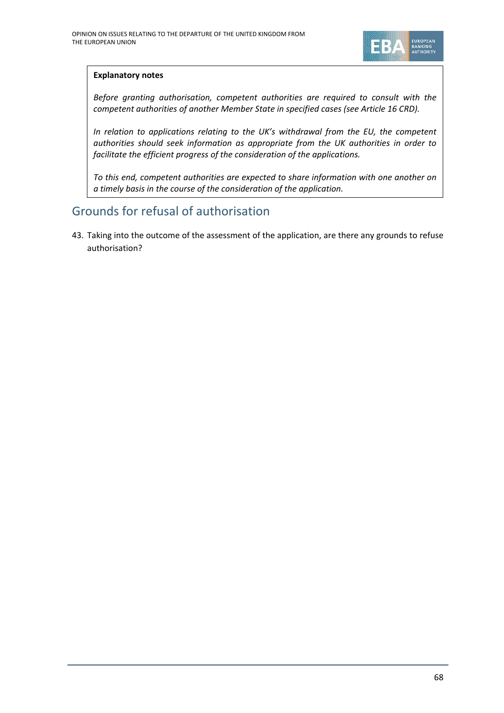

*Before granting authorisation, competent authorities are required to consult with the competent authorities of another Member State in specified cases (see Article 16 CRD).*

*In relation to applications relating to the UK's withdrawal from the EU, the competent authorities should seek information as appropriate from the UK authorities in order to facilitate the efficient progress of the consideration of the applications.* 

*To this end, competent authorities are expected to share information with one another on a timely basis in the course of the consideration of the application.*

# Grounds for refusal of authorisation

43. Taking into the outcome of the assessment of the application, are there any grounds to refuse authorisation?